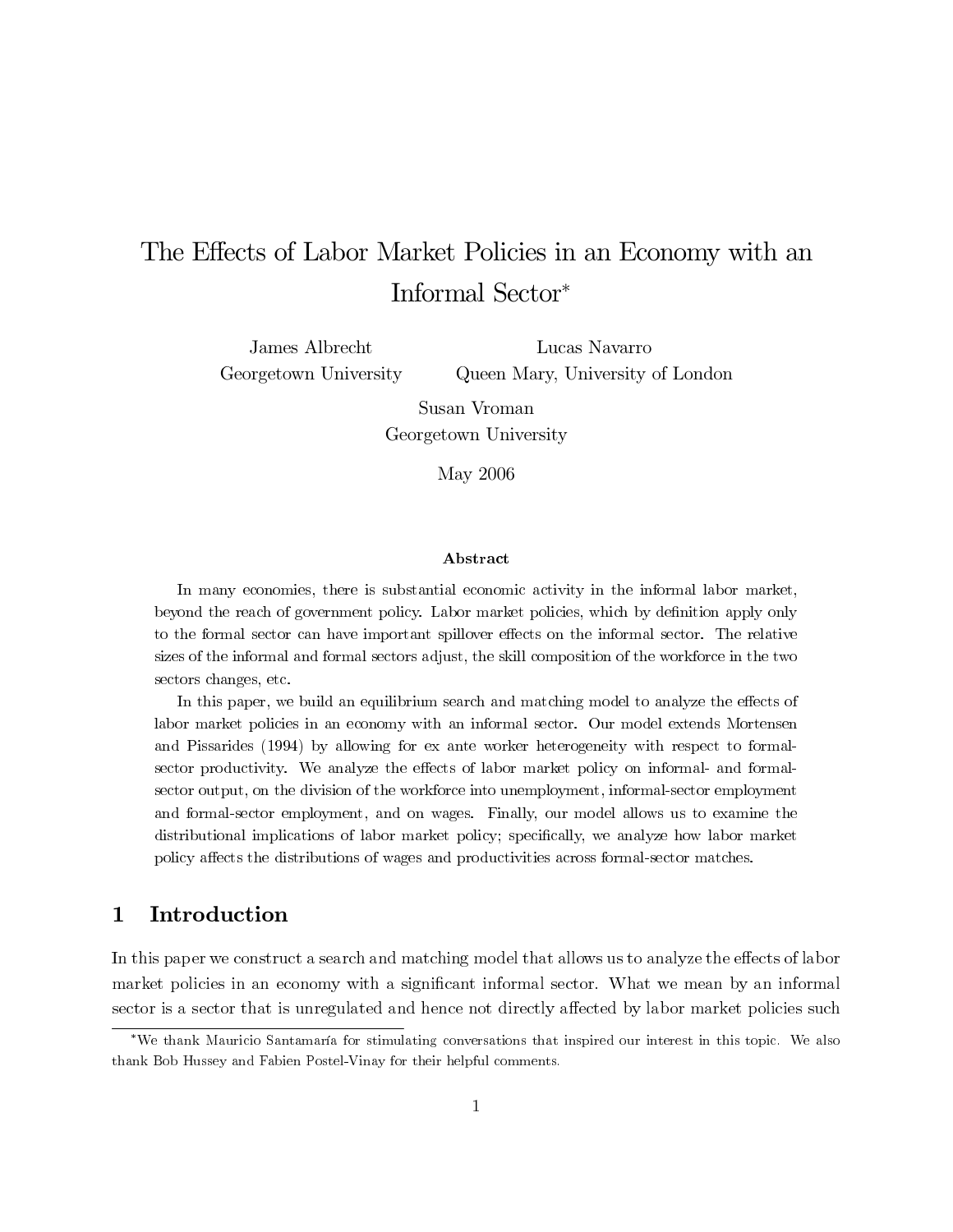# The Effects of Labor Market Policies in an Economy with an Informal Sector<sup>∗</sup>

James Albrecht Georgetown University

Lucas Navarro Queen Mary, University of London

Susan Vroman Georgetown University

May 2006

#### Abstract

 $\begin{aligned} \textbf{Abstract} \end{aligned}$ **betract**<br> **beyond the reach of government policies**, there is substantial economic activity in the informal labor market, to the formal sector the formal sector can have exponded the reach of government policy. Labor market policies, which by definition apply only to the formal sector can have important spillover effects on the informal sector. The relative In many economies, there is substantial economic activity in the informal labor market,<br>beyond the reach of government policy. Labor market policies, which by definition apply only<br>to the formal sector can have important beyond the reach of<br>to the formal sector<br>sizes of the informal sectors changes, etc. In the formal sector can have important spillover effects on the informal sector. The relative<br>s of the informal and formal sectors adjust, the skill composition of the workforce in the two<br>cors changes, etc. sizes of the informal and formal sectors adjust, the skill composition of the workforce in the two<br>sectors changes, etc.<br>In this paper, we build an equilibrium search and matching model to analyze the effects of

In this paper, we build an equilibrium search and matching model to analyze the effects of sectors changes, etc.<br>
In this paper, we build an equilibrium search and matching model to analyze the effects of<br>
labor market policies in an economy with an informal sector. Our model extends Mortensen<br>  $\frac{1}{2}R_1^2$  ( In this paper, we build an equilibrium search and matching model to analyze the effects of labor market policies in an economy with an informal-sector. Our model extends Mortensen and Pissarides (1994) by allowing for ex labor market policies in an economy with an informal sector. Our model extends Mortensen<br>and Pissarides (1994) by allowing for ex ante worker heterogeneity with respect to formal-<br>sector productivity. We analyze the effect sector output, on the division of the workforce into unemployment, informal-sector employment and Pissarides (1994) by allowing for ex ante worker heterogeneity with respect to formal-<br>sector productivity. We analyze the effects of labor market policy on informal- and formalsector productivity. We analyze the effects of labor market policy on informal- and formal-<br>sector output, on the division of the workforce into unemployment, informal-sector employment<br>and formal-sector employment, and o distributional implications of labor market policy; specifically, we analyze how labor market sector output, on the division of the workforce into unemployment, informal-sector emplo<br>and formal-sector employment, and on wages. Finally, our model allows us to exami<br>distributional implications of labor market policy; policy affects the distributions of wages and productivities across formal-sector matches.

### 1 Introduction

In this paper we constrained and hence not directly affected by labor market policies such that is unregulated and hence not directly affected by labor market policies such thank Mauricio Santamaría for stimulating convers

matter is a sector that is unregulated and hence not directly affected by labor market policies such the the mean by an interest in this topic. We also thank Bob Hussey and Fabien Postel-Vinay for their helpful comments. sector is a sector that is unregulated and hence not directly affected by labor market policies such thank Mauricio Santamaría for stimulating conversations that inspired our interest in this topic. We also thank Bob Husse ∗We thank Mauricio Santamaría for stimulating conversations that inspired our interest in this topic. We also thank Bob Hussey and Fabien Postel-Vinay for their helpful comments.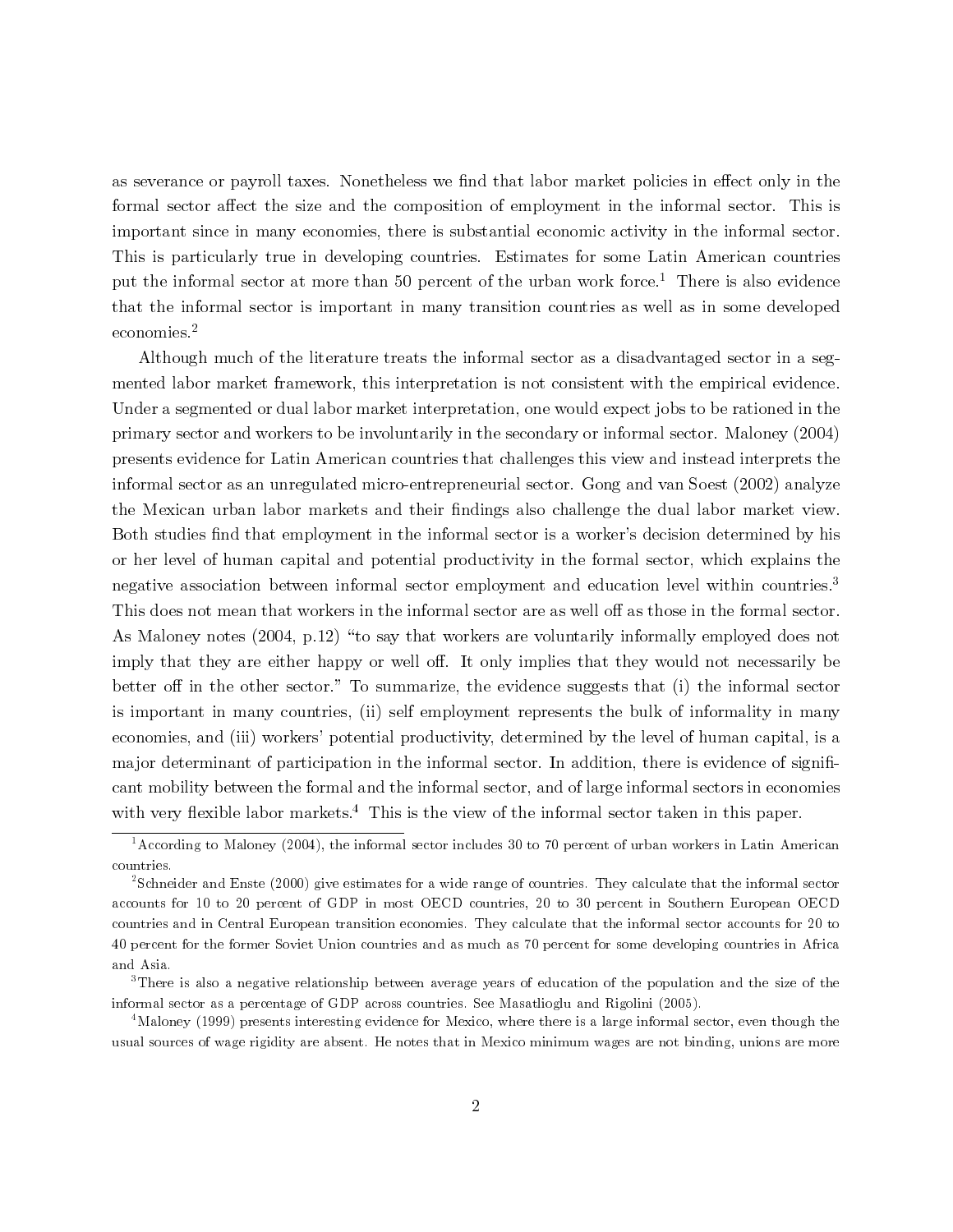as severance or payroll taxes. Nonetheless we find that labor market policies in effect only in the formal sector affect the size and the composition of employment in the informal sector. This is important since in many economies, there is substantial economic activity in the informal sector. This is particularly true in developing countries. Estimates for some Latin American countries put the informal sector at more than 50 percent of the urban work force.<sup>1</sup> There is also evidence that the informal sector is important in many transition countries as well as in some developed economies.2

Although much of the literature treats the informal sector as a disadvantaged sector in a segmented labor market framework, this interpretation is not consistent with the empirical evidence. Under a segmented or dual labor market interpretation, one would expect jobs to be rationed in the primary sector and workers to be involuntarily in the secondary or informal sector. Maloney (2004) presents evidence for Latin American countries that challenges this view and instead interprets the informal sector as an unregulated micro-entrepreneurial sector. Gong and van Soest (2002) analyze the Mexican urban labor markets and their findings also challenge the dual labor market view. Both studies find that employment in the informal sector is a worker's decision determined by his or her level of human capital and potential productivity in the formal sector, which explains the negative association between informal sector employment and education level within countries.<sup>3</sup> This does not mean that workers in the informal sector are as well off as those in the formal sector. As Maloney notes (2004, p.12) "to say that workers are voluntarily informally employed does not imply that they are either happy or well off. It only implies that they would not necessarily be better off in the other sector." To summarize, the evidence suggests that (i) the informal sector is important in many countries, (ii) self employment represents the bulk of informality in many economies, and (iii) workers' potential productivity, determined by the level of human capital, is a major determinant of participation in the informal sector. In addition, there is evidence of significant mobility between the formal and the informal sector, and of large informal sectors in economies with very flexible labor markets.<sup>4</sup> This is the view of the informal sector taken in this paper.

 $1\overline{1}$  According to Maloney (2004), the informal sector includes 30 to 70 percent of urban workers in Latin American countries.

<sup>&</sup>lt;sup>2</sup>Schneider and Enste (2000) give estimates for a wide range of countries. They calculate that the informal sector accounts for 10 to 20 percent of GDP in most OECD countries, 20 to 30 percent in Southern European OECD countries and in Central European transition economies. They calculate that the informal sector accounts for 20 to 40 percent for the former Soviet Union countries and as much as 70 percent for some developing countries in Africa and Asia.

<sup>&</sup>lt;sup>3</sup>There is also a negative relationship between average years of education of the population and the size of the informal sector as a percentage of GDP across countries. See Masatlioglu and Rigolini (2005).

<sup>&</sup>lt;sup>4</sup>Maloney (1999) presents interesting evidence for Mexico, where there is a large informal sector, even though the usual sources of wage rigidity are absent. He notes that in Mexico minimum wages are not binding, unions are more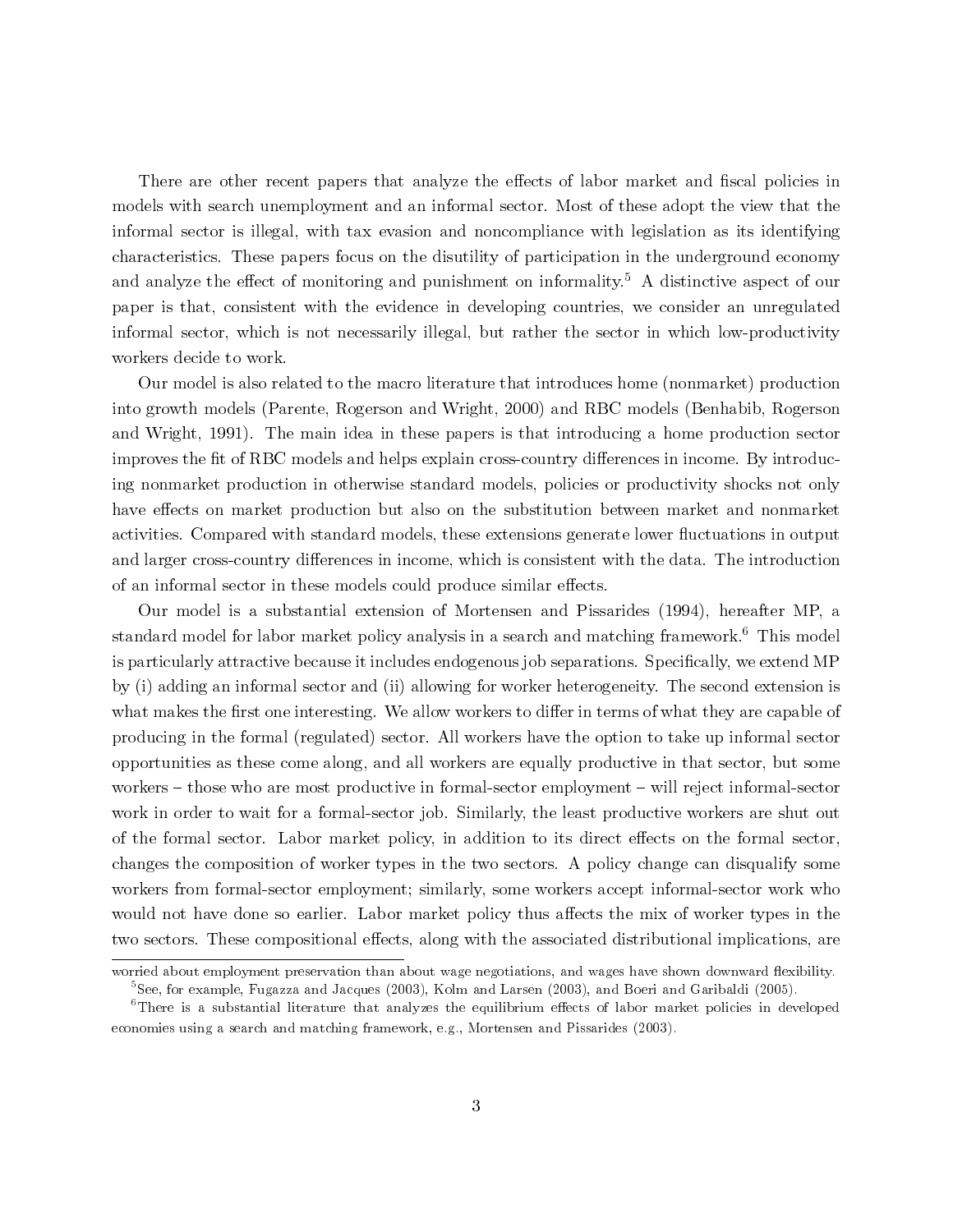There are other recent papers that analyze the effects of labor market and fiscal policies in models with search unemployment and an informal sector. Most of these adopt the view that the informal sector is illegal, with tax evasion and noncompliance with legislation as its identifying characteristics. These papers focus on the disutility of participation in the underground economy and analyze the effect of monitoring and punishment on informality.<sup>5</sup> A distinctive aspect of our paper is that, consistent with the evidence in developing countries, we consider an unregulated informal sector, which is not necessarily illegal, but rather the sector in which low-productivity workers decide to work.

Our model is also related to the macro literature that introduces home (nonmarket) production into growth models (Parente, Rogerson and Wright, 2000) and RBC models (Benhabib, Rogerson and Wright, 1991). The main idea in these papers is that introducing a home production sector improves the fit of RBC models and helps explain cross-country differences in income. By introducing nonmarket production in otherwise standard models, policies or productivity shocks not only have effects on market production but also on the substitution between market and nonmarket activities. Compared with standard models, these extensions generate lower fluctuations in output and larger cross-country differences in income, which is consistent with the data. The introduction of an informal sector in these models could produce similar effects.

Our model is a substantial extension of Mortensen and Pissarides (1994), hereafter MP, a standard model for labor market policy analysis in a search and matching framework.<sup>6</sup> This model is particularly attractive because it includes endogenous job separations. Specifically, we extend MP by (i) adding an informal sector and (ii) allowing for worker heterogeneity. The second extension is what makes the first one interesting. We allow workers to differ in terms of what they are capable of producing in the formal (regulated) sector. All workers have the option to take up informal sector opportunities as these come along, and all workers are equally productive in that sector, but some workers — those who are most productive in formal-sector employment — will reject informal-sector work in order to wait for a formal-sector job. Similarly, the least productive workers are shut out of the formal sector. Labor market policy, in addition to its direct effects on the formal sector, changes the composition of worker types in the two sectors. A policy change can disqualify some workers from formal-sector employment; similarly, some workers accept informal-sector work who would not have done so earlier. Labor market policy thus affects the mix of worker types in the two sectors. These compositional effects, along with the associated distributional implications, are

worried about employment preservation than about wage negotiations, and wages have shown downward flexibility. <sup>5</sup>See, for example, Fugazza and Jacques (2003), Kolm and Larsen (2003), and Boeri and Garibaldi (2005).

<sup>&</sup>lt;sup>6</sup>There is a substantial literature that analyzes the equilibrium effects of labor market policies in developed economies using a search and matching framework, e.g., Mortensen and Pissarides (2003).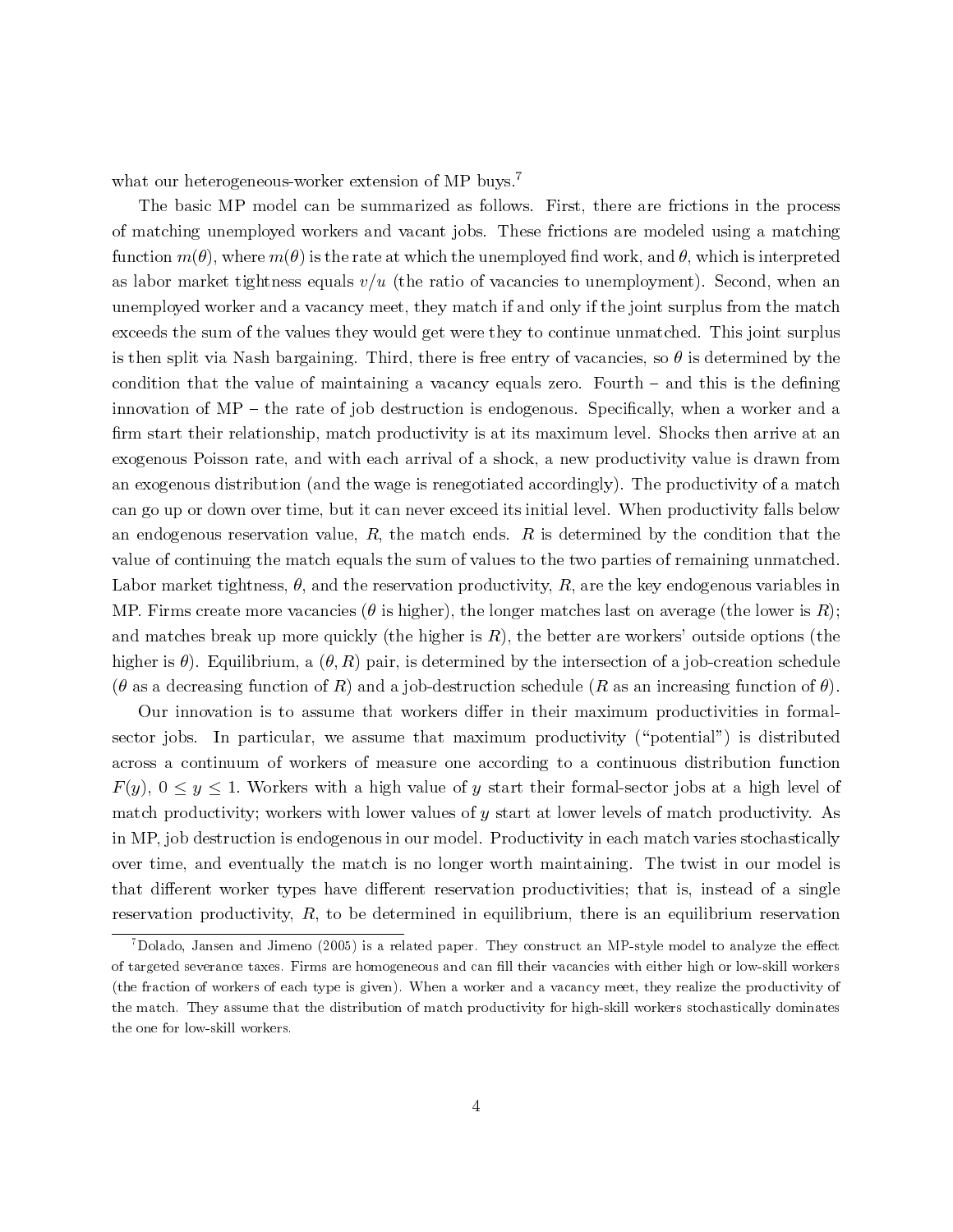what our heterogeneous-worker extension of MP buys.<sup>7</sup>

The basic MP model can be summarized as follows. First, there are frictions in the process of matching unemployed workers and vacant jobs. These frictions are modeled using a matching function  $m(\theta)$ , where  $m(\theta)$  is the rate at which the unemployed find work, and  $\theta$ , which is interpreted as labor market tightness equals  $v/u$  (the ratio of vacancies to unemployment). Second, when an unemployed worker and a vacancy meet, they match if and only if the joint surplus from the match exceeds the sum of the values they would get were they to continue unmatched. This joint surplus is then split via Nash bargaining. Third, there is free entry of vacancies, so  $\theta$  is determined by the condition that the value of maintaining a vacancy equals zero. Fourth — and this is the defining innovation of  $MP -$  the rate of job destruction is endogenous. Specifically, when a worker and a firm start their relationship, match productivity is at its maximum level. Shocks then arrive at an exogenous Poisson rate, and with each arrival of a shock, a new productivity value is drawn from an exogenous distribution (and the wage is renegotiated accordingly). The productivity of a match can go up or down over time, but it can never exceed its initial level. When productivity falls below an endogenous reservation value,  $R$ , the match ends.  $R$  is determined by the condition that the value of continuing the match equals the sum of values to the two parties of remaining unmatched. Labor market tightness,  $\theta$ , and the reservation productivity, R, are the key endogenous variables in MP. Firms create more vacancies ( $\theta$  is higher), the longer matches last on average (the lower is R); and matches break up more quickly (the higher is  $R$ ), the better are workers' outside options (the higher is  $\theta$ ). Equilibrium, a  $(\theta, R)$  pair, is determined by the intersection of a job-creation schedule (θ as a decreasing function of R) and a job-destruction schedule (R as an increasing function of  $\theta$ ).

Our innovation is to assume that workers differ in their maximum productivities in formalsector jobs. In particular, we assume that maximum productivity ("potential") is distributed across a continuum of workers of measure one according to a continuous distribution function  $F(y)$ ,  $0 \le y \le 1$ . Workers with a high value of y start their formal-sector jobs at a high level of match productivity; workers with lower values of  $y$  start at lower levels of match productivity. As in MP, job destruction is endogenous in our model. Productivity in each match varies stochastically over time, and eventually the match is no longer worth maintaining. The twist in our model is that different worker types have different reservation productivities; that is, instead of a single reservation productivity,  $R$ , to be determined in equilibrium, there is an equilibrium reservation that different worker types have different reservation productivities; that is, instead of a single<br>reservation productivity,  $R$ , to be determined in equilibrium, there is an equilibrium reservation<br><sup>7</sup>Dolado, Jansen and

<sup>&</sup>lt;sup>7</sup>Dolado, Jansen and Jimeno (2005) is a related paper. They construct an MP-style model to analyze the effect of targeted severance taxes. Firms are homogeneous and can fill their vacancies with either high or low-skill the match. They construct an MP-style model to analyze the enect<br>of targeted severance taxes. Firms are homogeneous and can fill their vacancies with either high or low-skill workers<br>(the fraction of workers of each type i the match. They assume that the distribution of match productivity for high-skill workers stochastically dominates or targeted severance taxes.<br>(the fraction of workers of ea<br>the match. They assume that the one for low-skill workers.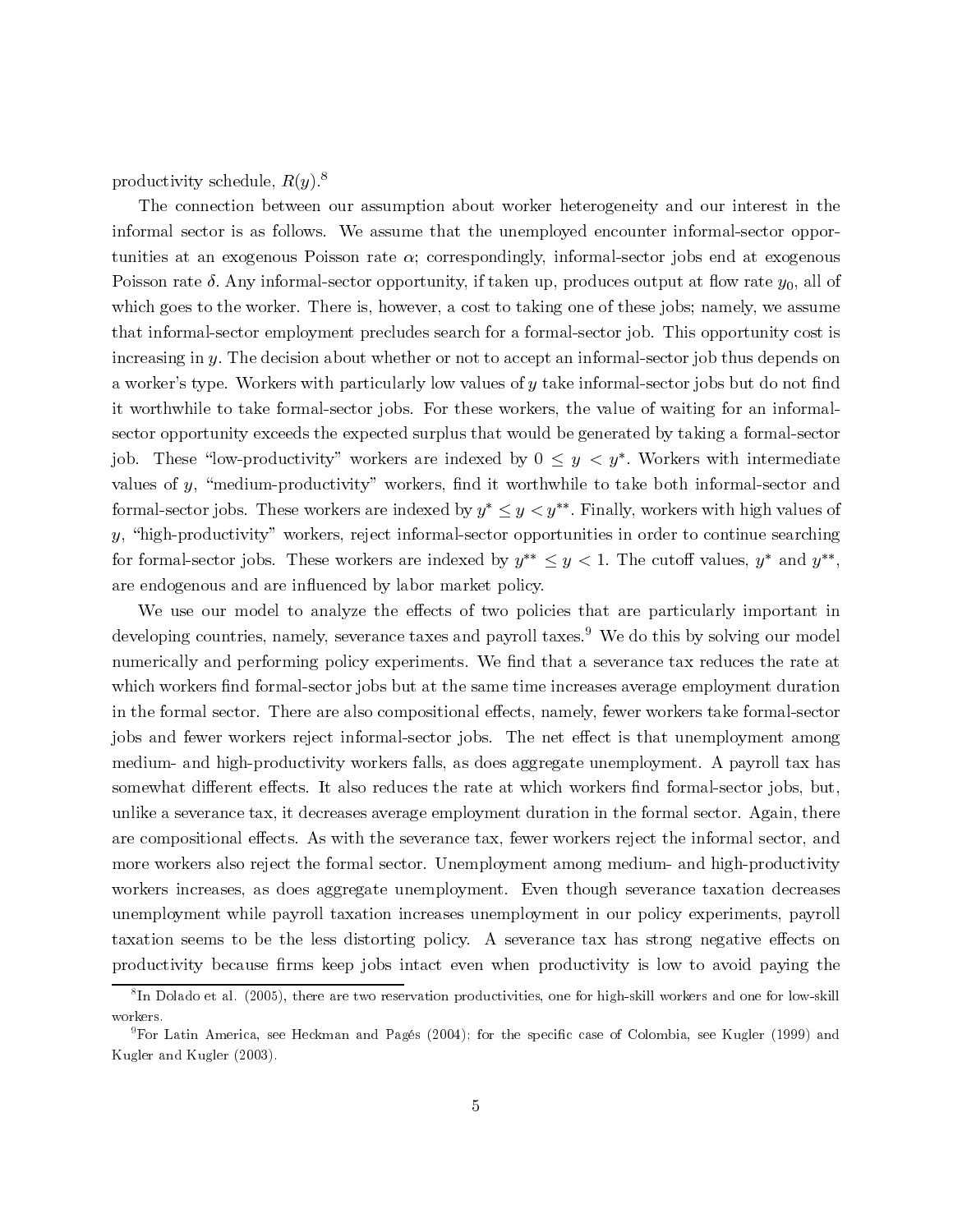productivity schedule,  $R(y)$ .<sup>8</sup>

The connection between our assumption about worker heterogeneity and our interest in the informal sector is as follows. We assume that the unemployed encounter informal-sector opportunities at an exogenous Poisson rate  $\alpha$ ; correspondingly, informal-sector jobs end at exogenous Poisson rate  $\delta$ . Any informal-sector opportunity, if taken up, produces output at flow rate  $y_0$ , all of which goes to the worker. There is, however, a cost to taking one of these jobs; namely, we assume that informal-sector employment precludes search for a formal-sector job. This opportunity cost is increasing in  $y$ . The decision about whether or not to accept an informal-sector job thus depends on a worker's type. Workers with particularly low values of  $y$  take informal-sector jobs but do not find it worthwhile to take formal-sector jobs. For these workers, the value of waiting for an informalsector opportunity exceeds the expected surplus that would be generated by taking a formal-sector job. These "low-productivity" workers are indexed by  $0 \leq y \leq y^*$ . Workers with intermediate values of y, "medium-productivity" workers, find it worthwhile to take both informal-sector and formal-sector jobs. These workers are indexed by  $y^* \leq y \leq y^{**}$ . Finally, workers with high values of y, "high-productivity" workers, reject informal-sector opportunities in order to continue searching for formal-sector jobs. These workers are indexed by  $y^{**} \leq y < 1$ . The cutoff values,  $y^*$  and  $y^{**}$ , are endogenous and are influenced by labor market policy.

We use our model to analyze the effects of two policies that are particularly important in developing countries, namely, severance taxes and payroll taxes.<sup>9</sup> We do this by solving our model numerically and performing policy experiments. We find that a severance tax reduces the rate at which workers find formal-sector jobs but at the same time increases average employment duration in the formal sector. There are also compositional effects, namely, fewer workers take formal-sector jobs and fewer workers reject informal-sector jobs. The net effect is that unemployment among medium- and high-productivity workers falls, as does aggregate unemployment. A payroll tax has somewhat different effects. It also reduces the rate at which workers find formal-sector jobs, but, unlike a severance tax, it decreases average employment duration in the formal sector. Again, there are compositional effects. As with the severance tax, fewer workers reject the informal sector, and more workers also reject the formal sector. Unemployment among medium- and high-productivity workers increases, as does aggregate unemployment. Even though severance taxation decreases unemployment while payroll taxation increases unemployment in our policy experiments, payroll taxation seems to be the less distorting policy. A severance tax has strong negative effects on productivity because firms keep jobs intact even when productivity is low to avoid paying the

 ${}^{8}$ In Dolado et al. (2005), there are two reservation productivities, one for high-skill workers and one for low-skill workers.

<sup>9</sup>For Latin America, see Heckman and Pagés (2004); for the specific case of Colombia, see Kugler (1999) and Kugler and Kugler (2003).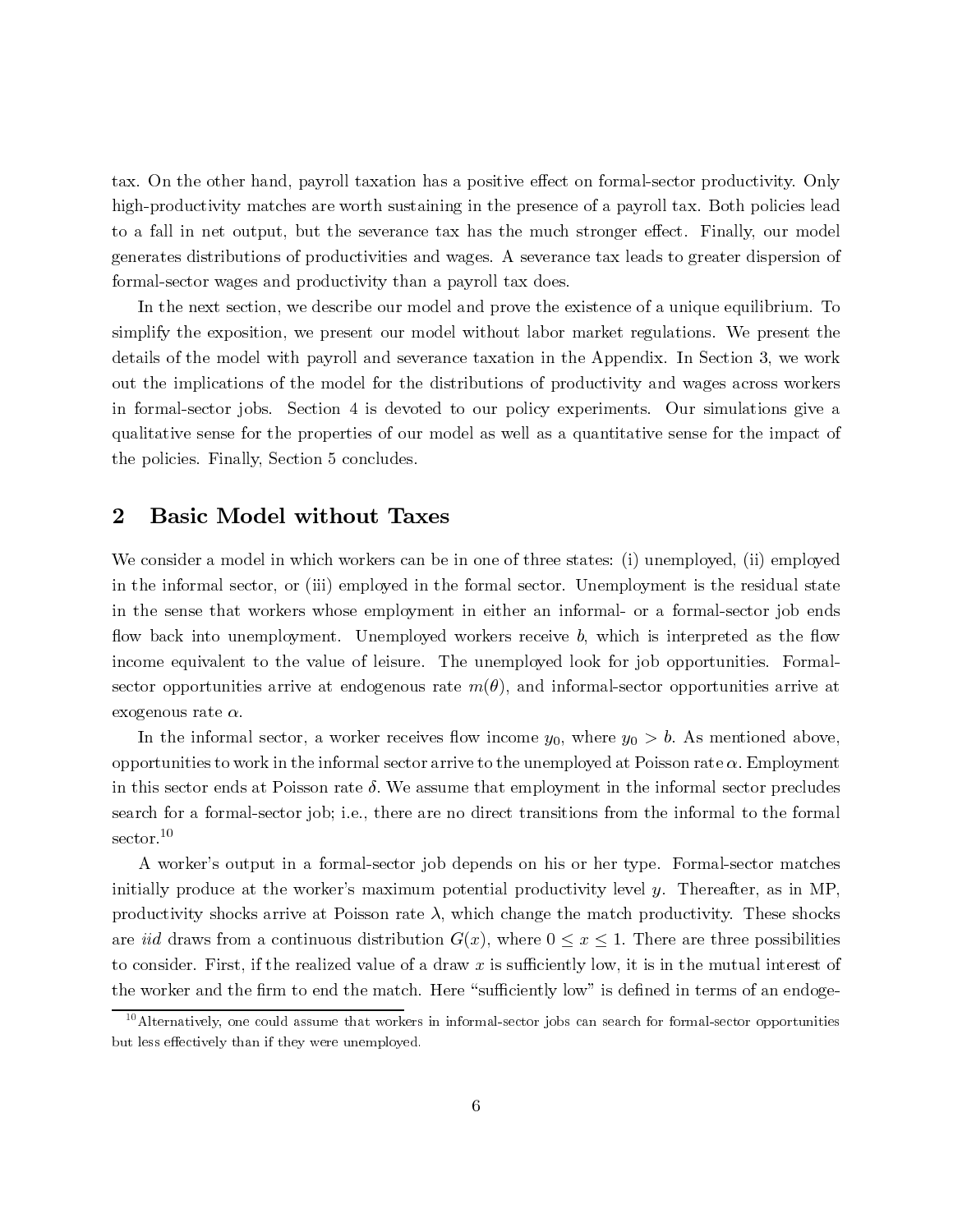tax. On the other hand, payroll taxation has a positive effect on formal-sector productivity. Only high-productivity matches are worth sustaining in the presence of a payroll tax. Both policies lead to a fall in net output, but the severance tax has the much stronger effect. Finally, our model generates distributions of productivities and wages. A severance tax leads to greater dispersion of formal-sector wages and productivity than a payroll tax does.

In the next section, we describe our model and prove the existence of a unique equilibrium. To simplify the exposition, we present our model without labor market regulations. We present the details of the model with payroll and severance taxation in the Appendix. In Section 3, we work out the implications of the model for the distributions of productivity and wages across workers in formal-sector jobs. Section 4 is devoted to our policy experiments. Our simulations give a qualitative sense for the properties of our model as well as a quantitative sense for the impact of the policies. Finally, Section 5 concludes. is. On this identical assume the<br>station bise upon informal-section assume that we could assume that in<br>the could be result in the could assume that we could be resulted to<br>the properties. The dispose the search in the fo

### 2 Basic Model without Taxes

We consider a model in which workers can be in one of three states: (i) unemployed, (ii) employed in the informal sector, or (iii) employed in the formal sector. Unemployment is the residual state in the sense that workers whose employment in either an informal- or a formal-sector job ends flow back into unemployment. Unemployed workers receive b, which is interpreted as the flow income equivalent to the value of leisure. The unemployed look for job opportunities. Formalsector opportunities arrive at endogenous rate  $m(\theta)$ , and informal-sector opportunities arrive at exogenous rate  $\alpha$ .

In the informal sector, a worker receives flow income  $y_0$ , where  $y_0 > b$ . As mentioned above, opportunities to work in the informal sector arrive to the unemployed at Poisson rate  $\alpha$ . Employment in this sector ends at Poisson rate  $\delta$ . We assume that employment in the informal sector precludes search for a formal-sector job; i.e., there are no direct transitions from the informal to the formal sector.<sup>10</sup>

A worker's output in a formal-sector job depends on his or her type. Formal-sector matches initially produce at the worker's maximum potential productivity level y. Thereafter, as in MP. productivity shocks arrive at Poisson rate  $\lambda$ , which change the match productivity. These shocks are *iid* draws from a continuous distribution  $G(x)$ , where  $0 \le x \le 1$ . There are three possibilities to consider. First, if the realized value of a draw  $x$  is sufficiently low, it is in the mutual interest of the worker and the firm to end the match. Here "sufficiently low" is defined in terms of an endoge-

 $10$  Alternatively, one could assume that workers in informal-sector jobs can search for formal-sector opportunities but less effectively than if they were unemployed.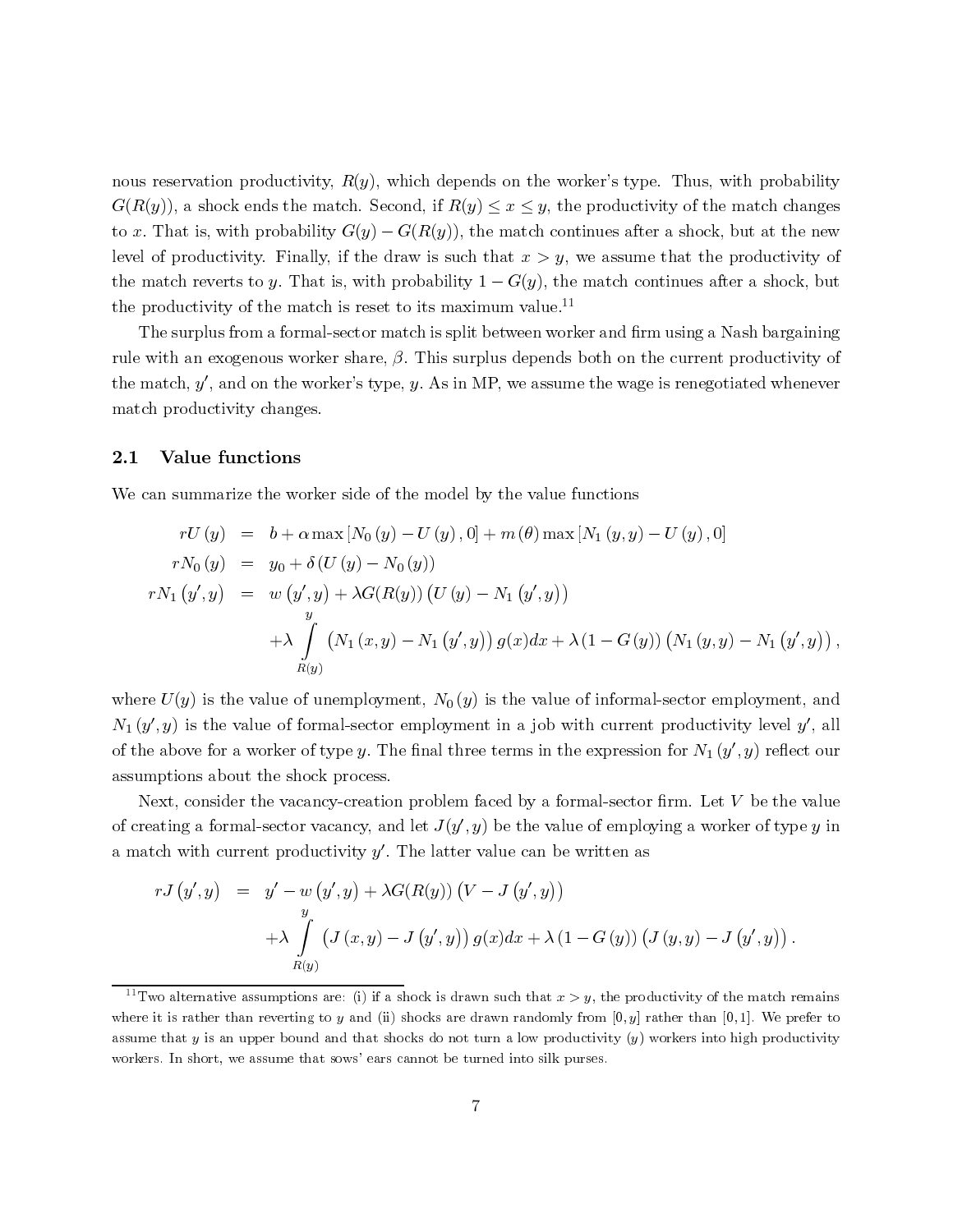nous reservation productivity,  $R(y)$ , which depends on the worker's type. Thus, with probability  $G(R(y))$ , a shock ends the match. Second, if  $R(y) \leq x \leq y$ , the productivity of the match changes to x. That is, with probability  $G(y) - G(R(y))$ , the match continues after a shock, but at the new level of productivity. Finally, if the draw is such that  $x > y$ , we assume that the productivity of the match reverts to y. That is, with probability  $1 - G(y)$ , the match continues after a shock, but the productivity of the match is reset to its maximum value.<sup>11</sup>

The surplus from a formal-sector match is split between worker and firm using a Nash bargaining rule with an exogenous worker share,  $\beta$ . This surplus depends both on the current productivity of the match,  $y'$ , and on the worker's type,  $y$ . As in MP, we assume the wage is renegotiated whenever match productivity changes.

#### 2.1 Value functions

We can summarize the worker side of the model by the value functions

$$
rU(y) = b + \alpha \max [N_0(y) - U(y), 0] + m(\theta) \max [N_1(y, y) - U(y), 0]
$$
  
\n
$$
rN_0(y) = y_0 + \delta(U(y) - N_0(y))
$$
  
\n
$$
rN_1(y', y) = w(y', y) + \lambda G(R(y)) (U(y) - N_1(y', y))
$$
  
\n
$$
+ \lambda \int_{R(y)} (N_1(x, y) - N_1(y', y)) g(x) dx + \lambda (1 - G(y)) (N_1(y, y) - N_1(y', y))
$$
  
\n
$$
= U(y)
$$
 is the value of unembryment,  $N_0(y)$  is the value of informal-sector employment, and  
\n $y', y$ ) is the value of formal-sector employment in a job with current productivity level  $y',$  all  
\ne above for a worker of type  $y$ . The final three terms in the expression for  $N_1(y', y)$  reflect our  
\nmptions about the shock process.  
\nNext, consider the vacancy-cretation problem faced by a formal-sector firm. Let  $V$  be the value  
\neating a formal-sector vacancy, and let  $J(y', y)$  be the value of employing a worker of type  $y$  in  
\n
$$
rJ(y', y) = y' - w(y', y) + \lambda G(R(y)) (V - J(y', y))
$$
  
\n
$$
+ \lambda \int_{R(y)} (J(x, y) - J(y', y)) g(x) dx + \lambda (1 - G(y)) (J(y, y) - J(y', y))
$$
  
\n
$$
+ \lambda \int_{R(y)} (J(x, y) - J(y', y)) g(x) dx + \lambda (1 - G(y)) (J(y, y) - J(y', y))
$$
  
\n
$$
= \lambda \int_{R(y)} (x, y) - J(y', y) g(x) dx + \lambda (1 - G(y)) (J(y, y) - J(y', y))
$$
  
\n
$$
= \lambda \int_{R(y)} (x, y) - J(y', y) g(x) dx + \lambda (1 - G(y)) (J(y, y) - J(y', y))
$$
  
\n
$$
= \lambda \int_{R(y)} (x, y) - J(y', y) g(x) dx + \lambda (1 - G(y)) (J(y, y) - J(y', y))
$$
  
\n
$$
= \lambda \int_{R(y)} (x, y) - J(y', y) g(x) dx + \lambda (1 - G(y)) (J(y, y
$$

 $\left(\begin{array}{c} 0 & 0 \ 0 & 0 \end{array}\right)$  is a set of  $rJ$  wo a it is defined in Fig. 1: y<br>nt l :<br>ec<br>e<br>e<br>pr<br>r<br>pr ,  $y$ )<br>i, and  $y'$ , is depth of  $y'$ <br>is depth of  $y$ <br>emained for  $y$ where  $U(y)$  is the value of unemployment,  $N_0(y)$  is the value of informal-sector employment, and  $N_1(y', y)$  is the value of formal-sector employment in a job with current productivity level y', all of the above for a worker of type y. The final three terms in the expression for  $N_1(y', y)$  reflect our assumptions about the shock process.

Next, consider the vacancy-creation problem faced by a formal-sector firm. Let V be the value<br>of creating a formal-sector vacancy, and let  $J(y', y)$  be the value of employing a worker of type y in a match with current productivity  $y'$ . The latter value can be written as

$$
T N_1 (y, y) = w (y, y) + \lambda G(R(y)) (U (y) - N_1 (y, y)))
$$
\n
$$
+ \lambda \int_{y}^{y} (N_1 (x, y) - N_1 (y', y)) g(x) dx + \lambda (1 - G (y)) (N_1 (y, y) - N_1 (y', y)),
$$
\nwhere  $U(y)$  is the value of unemplogument,  $N_0 (y)$  is the value of informal-sector employment, and  $N_1 (y', y)$  is the value of formal-sector employment in a job with current productivity level  $y'$ , all of the above for a worker of type y. The final three terms in the expression for  $N_1 (y', y)$  reflect our assumptions about the shock process.  
\nNext, consider the vacancy-creation problem faced by a formal-sector firm. Let V be the value of creating a formal-sector vacancy, and let  $J(y', y)$  be the value of employing a worker of type y in a match with current productivity y'. The latter value can be written as\n
$$
r J(y', y) = y' - w (y', y) + \lambda G(R(y)) (V - J (y', y)))
$$
\n
$$
+ \lambda \int_{R(y)} (J(x, y) - J (y', y)) g(x) dx + \lambda (1 - G (y)) (J (y, y) - J (y', y)).
$$
\n
$$
T
$$
\n
$$
T
$$
\n
$$
T
$$
\n
$$
T
$$
\n
$$
T
$$
\n
$$
T
$$
\n
$$
T
$$
\n
$$
T
$$
\n
$$
T
$$
\n
$$
T
$$
\n
$$
T
$$
\n
$$
T
$$
\n
$$
T
$$
\n
$$
T
$$
\n
$$
T
$$
\n
$$
T
$$
\n
$$
T
$$
\n
$$
T
$$
\n
$$
T
$$
\n
$$
T
$$
\n
$$
T
$$
\n
$$
T
$$
\n
$$
T
$$
\n
$$
T
$$
\n
$$
T
$$
\n
$$
T
$$
\n
$$
T
$$
\n
$$
T
$$
\n
$$
T
$$
\n
$$
T
$$
\n
$$
T
$$
\n
$$
T
$$
\n
$$
T
$$
\n
$$
T
$$

<sup>, 1 1</sup> r a, n s b y  $\frac{N_1}{N_1}$  ( $y$ <br>of the<br>assum<br>Ne<br>of crea<br>a mat<br> $\frac{11}{N}$  where ,  $y$ ) reflect our<br>  $\mathcal{V}$  be the value<br>  $(y', y)$ ).<br>  $(y', y)$ ).<br>
e match remains<br>
1]. We prefer to<br>  $\log h$  productivity  $\mathbf{v}$  be the value<br>ker of type  $y$  in<br> $(y', y)$ ).<br>he match remains<br>), 1]. We prefer to<br>high productivity  $+\lambda$ <br>  $\mu$ mp<br>
ever<br>
er b<br>  $\mu$  $J(x, y) - J(y)$ <br>re: (i) if a shocky<br>y and (ii) shocky<br>and that shocks sows' ears cann y<br>kaka<br>ot , y)<br>is dr<br>a are<br>ono<br>ibe  $g(x)dx + \lambda (1 - G(y))$  (<br>wn such that  $x > y$ , the prod<br>drawn randomly from [0, y] i<br>turn a low productivity (y)<br>irned into silk purses.<br>7  $J(y, y) - J(y)$ <br>ductivity of the<br>rather than [0, 1]<br>workers into hi  $y$  m<br>l].  $gt$  $,y)$ <br>aatcl $\overline{w}$ . .<br>r<br>1 +A  $\int_{R(y)} (J(x, y) - J(y, y)) g(x) dx + \lambda (1 - G(y)) (J(y, y) - J(y, y))$ .<br>  $\frac{11}{11}$ Two alternative assumptions are: (i) if a shock is drawn such that  $x > y$ , the productivity of the match remains<br>
where it is rather than reverting to y and (ii where it is rather than reverting to y and (ii) shocks are drawn randomly from [0, y] rather than [0, 1]. We prefer to assume that y is an upper bound and that shocks do not turn a low productivity (y) workers into high p workers. In short, we assume that sows' ears cannot be turned into silk purses.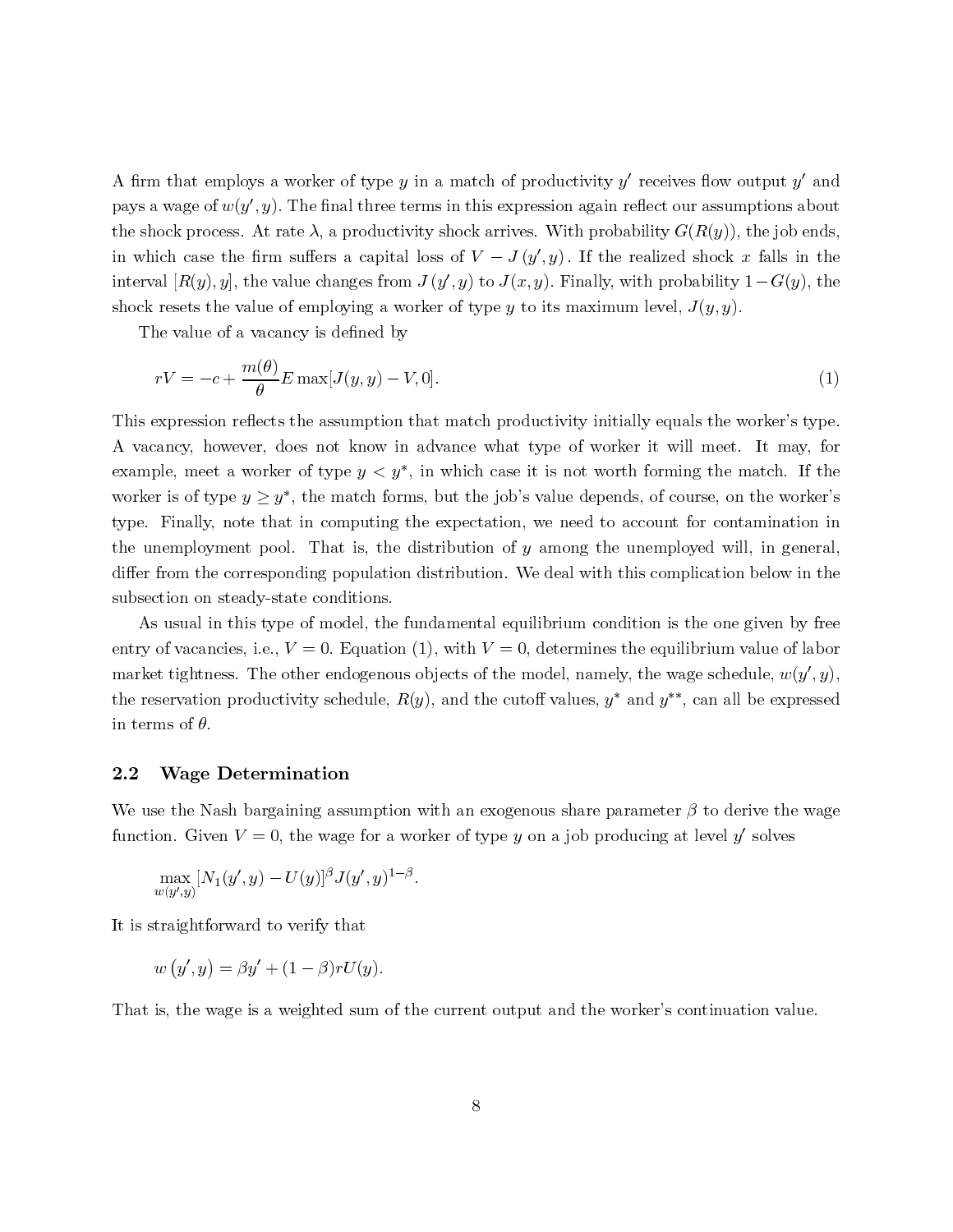A firm that employs a worker of type y in a match of productivity y' receives flow output y' and pays a wage of  $w(y', y)$ . The final three terms in this expression again reflect our assumptions about the shock process. At rate  $\lambda$ , a productivity shock arrives. With probability  $G(R(y))$ , the job ends, in which case the firm suffers a capital loss of  $V - J(y', y)$ . If the realized shock x falls in the  $- J (y$ <br>o  $J(x, y)$ <br>oe y to interval  $[R(y), y]$ , the value changes from  $J(y', y)$  to  $J(x, y)$ . Finally, with probability  $1 - G(y)$ , the shock resets the value of employing a worker of type y to its maximum level,  $J(y, y)$ .<br>The value of a vacancy is defined b shock resets the value of employing a worker of type y to its maximum level,  $J(y, y)$ .

The value of a vacancy is defined by

$$
rV = -c + \frac{m(\theta)}{\theta} E \max[J(y, y) - V, 0].
$$
\n(1)

 $rV = -c + \frac{m(v)}{\theta} E \max[J(y, y) - V, 0].$  (1)<br>This expression reflects the assumption that match productivity initially equals the worker's type.<br>A vacancy, however, does not know in advance what type of worker it will meet. It may This expression reflects the assumption that match productivity initially equals the worker's type. A vacancy, however, does not know in advance what type of worker it will meet. It may, for worker is of type  $y \geq y^*$ , the match forms, but the job's value depends, of course, on the worker's type. Finally, note that in computing the expectation, we need to account for contamination in the unemployment pool. That is, the distribution of <sup>y</sup> among the unemployed will, in general, differ from the corresponding population distribution. We deal with this complication below in the subsection on steady-state conditions.

As usual in this type of model, the fundamental equilibrium condition is the one given by free entry of vacancies, i.e.,  $V = 0$ . Equation (1), with  $V = 0$ , determines the equilibrium value of labor market tightness. The other endogenous objects of the model, namely, the wage schedule,  $w(y', y)$ , the reservation productivity schedule,  $R(y)$ , and the cutoff values, y<sup>\*</sup> and y<sup>\*\*</sup>, can all be expressed in terms of  $\theta$ .

### 2.2 Wage Determination

We use the Nash bargaining assumption with an exogenous share parameter  $\beta$  to derive the wage<br>function. Given  $V = 0$ , the wage for a worker of type y on a job producing at level y' solves<br> $\max_{w(y',y)} [N_1(y', y) - U(y)]^{\beta} J(y', y)^{$ 

$$
\max_{w(y',y)} [N_1(y',y) - U(y)]^{\beta} J(y',y)^{1-\beta}.
$$

It is straightforward to verify that

It is straightforward to verify that  
\n
$$
w(y', y) = \beta y' + (1 - \beta) r U(y).
$$

function. Given  $V = 0$ , the wage for a worker of type y on a job producing at level y solves<br>  $\max_{u(g',y)} [N_1(g', y) - U(y)]^{\beta} J(y', y)^{1-\beta}$ .<br>
It is straightforward to verify that<br>  $w(y', y) = \beta y' + (1 - \beta) r U(y)$ .<br>
That is, the wage is a w  $w(y', y) = \beta y' + (1 - \beta) r U(x)$ <br>That is, the wage is a weighted sumple that is, the wage is a weighted sumple of the sumple of the sum of the sum of the sum of the sum of the sum of the sum of the sum of the sum of the sum of the  $-p_j r U(y)$ .<br>ghted sum ne ouepue and ene worker's commutation value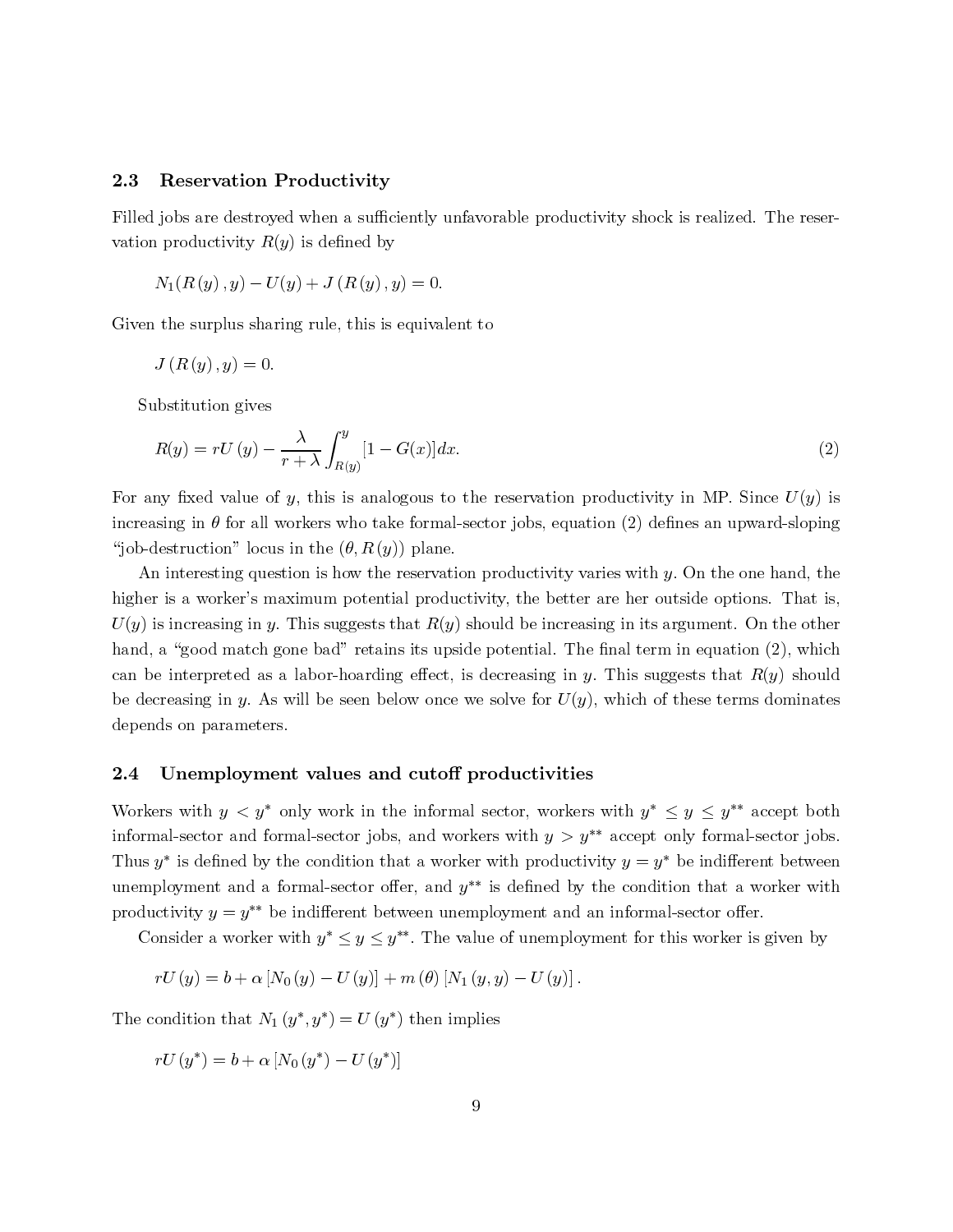# 2.3 Reservation Productivity  $F<sub>1</sub>$  are destroyed when a sufficiently unitary unitary shock is realized. The reserved. The reserved of  $\mathbb{R}^n$

Filled jobs are destroyed when a sufficiently unfavorable productivity shock is realized. The reseron Productivity<br>troyed when a suffic<br>y  $R(y)$  is defined by vation productivity  $R(y)$  is defined by<br>  $N_1(R(y), y) - U(y) + J(R(y), y) = 0.$ 

$$
N_1(R(y), y) - U(y) + J(R(y), y) = 0.
$$

 $- U(y) + J(\mathcal{H}(y), y) = 0.$ <br>sharing rule, this is equiva<br>= 0. en the surplus sha $J(R(y), y) = 0$ 

$$
J\left( R\left( y\right) ,y\right) =0.
$$

Substitution gives

Substitution gives  
\n
$$
R(y) = rU(y) - \frac{\lambda}{r + \lambda} \int_{R(y)}^{y} [1 - G(x)] dx.
$$
\n(2)  
\nFor any fixed value of y, this is analogous to the reservation productivity in MP. Since  $U(y)$  is

 $-\frac{\lambda}{r+}$ <br>of y,<br>l worl<br>cus in  $-G(x)]dx.$  (2)<br>alogous to the reservation productivity in MP. Since  $U(y)$  is<br>ake formal-sector jobs, equation (2) defines an upward-sloping<br>(y)) plane. increasing in  $\theta$  for all workers who take formal-sector jobs, equation (2) defines an upward-sloping "job-destruction" locus in the  $(\theta, R(y))$  plane.

An interesting question is how the reservation productivity varies with  $y$ . On the one hand, the higher is a worker's maximum potential productivity, the better are her outside options. That is,  $U(y)$  is increasing in y. This suggests that  $R(y)$  should be increasing in its argument. On the other hand, a "good match gone bad" retains its upside potential. The final term in equation (2), which can be interpreted as a labor-hoarding effect, is decreasing in y. This suggests that  $R(y)$  should be decreasing in y. As will be seen below once we solve for  $U(y)$ , which of these terms dominates depends on parameters.

#### 2.4 Unemployment values and cutoff productivities

Workers with  $y < y^*$  only work in the informal sector, workers with  $y^* \leq y \leq y^{**}$  accept both informal-sector and formal-sector jobs, and workers with  $y>y^{**}$  accept only formal-sector jobs. Thus y<sup>∗</sup> is defined by the condition that a worker with productivity  $y = y^*$  be indifferent between unemployment and a formal-sector offer, and  $y^{**}$  is defined by the condition that a worker with productivity  $y = y^*$  be indifferent between unemployment and an informal-sector offer.

Consider a worker with  $y^* \leq y \leq y^{**}$ . The value of unemployment for this worker is given by

$$
rU(y) = b + \alpha [N_0(y) - U(y)] + m(\theta) [N_1(y, y) - U(y)].
$$

The condition that  $N_1(y^*, y^*) = U(y^*)$  then implies

 $rU(y^*) = b + \alpha [N_0(y^*) - U(y^*)]$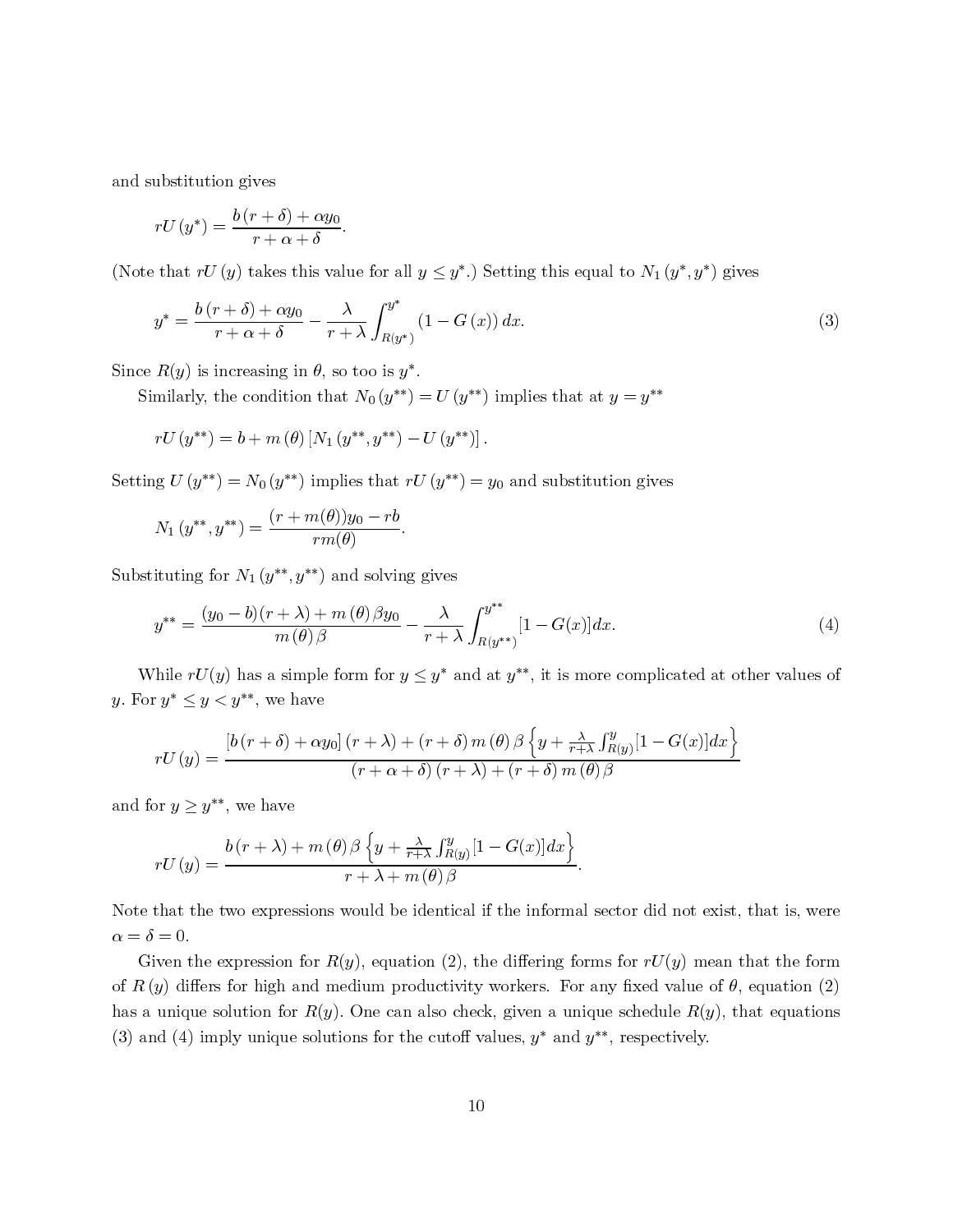and substitution gives

$$
rU(y^*) = \frac{b(r+\delta) + \alpha y_0}{r+\alpha+\delta}.
$$

(Note that  $rU(y)$  takes this value for all  $y \leq y^*$ .) Setting this equal to  $N_1(y^*, y^*)$  gives

(Note that 
$$
rU(y)
$$
 takes this value for all  $y \leq y^*$ .) Setting this equal to  $N_1(y^*, y^*)$  gives  
\n
$$
y^* = \frac{b(r+\delta) + \alpha y_0}{r + \alpha + \delta} - \frac{\lambda}{r + \lambda} \int_{R(y^*)}^{y^*} (1 - G(x)) dx.
$$
\n(3)  
\nSince  $R(y)$  is increasing in  $\theta$ , so too is  $y^*$ .  
\nSimilarly, the condition that  $N_0(y^{**}) = U(y^{**})$  implies that at  $y = y^{**}$   
\n $rU(y^{**}) = b + m(\theta) [N_1(y^{**}, y^{**}) - U(y^{**})].$   
\nSetting  $U(y^{**}) = N_0(y^{**})$  implies that  $rU(y^{**}) = y_0$  and substitution gives

$$
rU(y^{**}) = b + m(\theta) [N_1(y^{**}, y^{**}) - U(y^{**})]
$$

 $- U (y)$ ].<br> $rU (y^{**}) =$ 

Setting 
$$
U(y^-) = N_0(y^-)
$$
 implies that  $TC(y^-)$   
\n
$$
N_1(y^{**}, y^{**}) = \frac{(r + m(\theta))y_0 - rb}{rm(\theta)}.
$$
\nSubstituting for  $N_1(y^{**}, y^{**})$  and solving gives\n
$$
y^{**} = \frac{(y_0 - b)(r + \lambda) + m(\theta)\beta y_0}{r + \lambda} - \frac{\lambda}{r + \lambda}
$$

$$
r_{1}(y^{*}, y^{*}) = r_{2}(y)
$$
  
ituting for  $N_{1}(y^{**}, y^{**})$  and solving gives  

$$
y^{**} = \frac{(y_{0} - b)(r + \lambda) + m(\theta) \beta y_{0}}{m(\theta) \beta} - \frac{\lambda}{r + \lambda} \int_{R(y^{**})}^{y^{**}} [1 - G(x)] dx.
$$

$$
y^{**} = r_{1}(y)
$$
has a simple form for  $y \leq y^{*}$  and at  $y^{**}$ , it is more complicated at other values of  $y^{*} \leq y \leq y^{**}$ , we have

 $\frac{1}{m(\theta)}\frac{b}{\theta} - \frac{\lambda}{r+1}$ <br>
has a simple form for  $y \leq y^*$ <br>  $y^{**}$ , we have y. For  $y^* \leq y < y^{**}$ , we have

$$
rU(y) = \frac{\left[b(r+\delta) + \alpha y_0\right](r+\lambda) + (r+\delta) m(\theta) \beta \left\{y + \frac{\lambda}{r+\lambda} \int_{R(y)}^y [1 - G(x)] dx\right\}}{(r+\alpha+\delta)(r+\lambda) + (r+\delta) m(\theta) \beta}
$$

and for  $y \geq y^{**}$ , we have

$$
rU(y) = \frac{b(r+\lambda) + m(\theta)\beta \left\{y + \frac{\lambda}{r+\lambda}\int_{R(y)}^{y} [1 - G(x)]dx\right\}}{r+\lambda + m(\theta)\beta}.
$$

 $rU(y) = \frac{b(r + \lambda) + m(\theta) \beta \{y + \frac{\lambda}{r + \lambda} \int_{R(y)}^y [1 - G(x)] dx\}}{r + \lambda + m(\theta) \beta}$ .<br>Note that the two expressions would be identical if the informal sector did not exist, that is, were  $\alpha = \delta = 0$ .<br>Given the expression for  $R(y)$ , equatio

Note that the two expressions would be identical if the informal sector did not exist, that is, were  $\alpha = \delta = 0$ .<br>Given the expression for  $R(y)$ , equation (2), the differing forms for  $rU(y)$  mean that the form of  $R(y)$  dif  $\alpha = \delta = 0$ .<br>Given the expression for  $R(y)$ , equation (2), the differing forms for  $rU(y)$  mean that the form<br>of  $R(y)$  differs for high and medium productivity workers. For any fixed value of  $\theta$ , equation (2)  $\alpha = \delta = 0.$ <br>Given the expression for  $R(y)$ , equation (2), the differing forms for  $rU(y)$  mean that the form<br>of  $R(y)$  differs for high and medium productivity workers. For any fixed value of  $\theta$ , equation (2)<br>has a unique  $ec$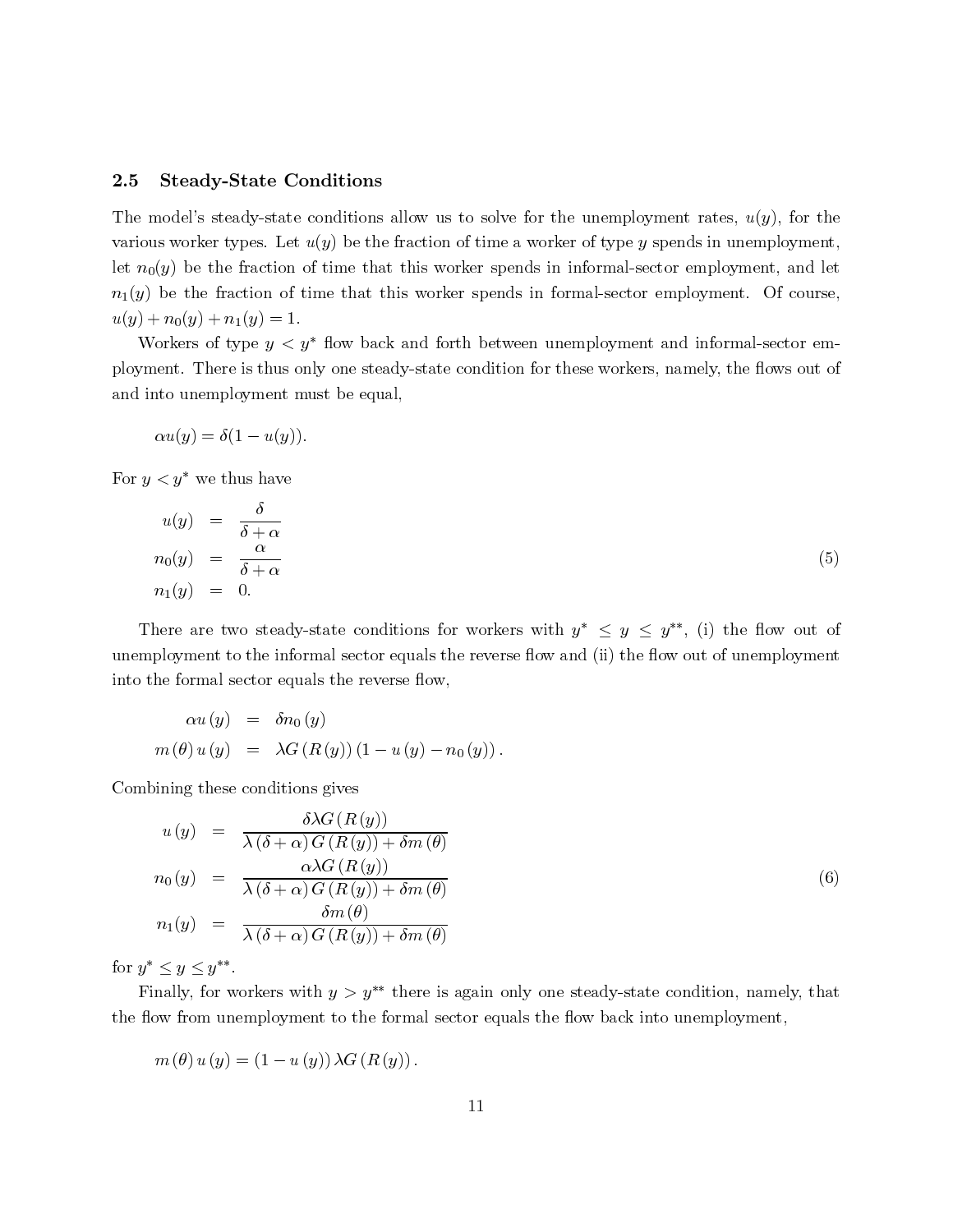# **Steady-State Conditions** 2.5 Steady-State Conditions allow us to solve for the unemployment rates, and use  $\frac{1}{2}$  $2.5$

**2.5 Steady-State Conditions**<br>The model's steady-state conditions allow us to solve for the unemployment rates,  $u(y)$ , for the<br>various worker types. Let  $u(y)$  be the fraction of time a worker of type y spends in unemploym **5 Steady-State Conditions**<br>he model's steady-state conditions allow us to solve for the unemployment rates,  $u(y)$ , for the<br>irious worker types. Let  $u(y)$  be the fraction of time a worker of type y spends in unemployment, The model's steady-state conditions allow us to solve for the unemployment rates,  $u(y)$ , for the various worker types. Let  $u(y)$  be the fraction of time a worker of type y spends in unemployment, let  $n_0(y)$  be the fracti  $u(y) + n_0(y) + n_1(y) = 1.$ <br>Workers of type  $y < y^*$  flow back and forth between unemployment and informal-sector em $m_0(y)$  be the fraction of time that this worker spends in informal-sector employment, and let  $y$ ) be the fraction of time that this worker spends in formal-sector employment. Of course,  $y + n_0(y) + n_1(y) = 1$ .<br>Workers of ty  $n_1(y)$  be the fraction of time that this worker spends in formal-sector employment. Of course,

 $u(y) + n_0(y) + n_1(y) = 1.$ <br>Workers of type  $y < y^*$  flow back<br>ployment. There is thus only one stead, and into unemployment must be equal d into unemployment<br> $\alpha u(y) = \delta(1 - u(y))$ <br>r  $y < y^*$  we thus have

$$
\alpha u(y) = \delta(1 - u(y)).
$$

For 
$$
y < y^*
$$
 we thus have  
\n
$$
u(y) = \frac{\delta}{\delta + \alpha}
$$
\n
$$
n_0(y) = \frac{\alpha}{\delta + \alpha}
$$
\n
$$
n_1(y) = 0.
$$
\nThere are two steady-state conditions for workers with  $y^* \le y \le y^{**}$ , (i) the flow out of

unemployment to the informal sector equals the reverse flow and (ii) the flow out of unemployment  $n_1(y) = 0.$ <br>There are two steady-state conditions for<br>unemployment to the informal sector equals the reverse flow, into the formal sector equals the reverse flow,

$$
\alpha u(y) = \delta n_0(y)
$$
  
\n
$$
m(\theta) u(y) = \lambda G(R(y)) (1 - u(y) - n_0(y)).
$$
  
\n
$$
G = \mathbf{h} \mathbf{i} + \mathbf{h} \mathbf{j} + \mathbf{h} \mathbf{k} \mathbf{k} + \mathbf{h} \mathbf{k} \mathbf{k} + \mathbf{h} \mathbf{k} \mathbf{k} + \mathbf{h} \mathbf{k} \mathbf{k} + \mathbf{h} \mathbf{k} \mathbf{k} + \mathbf{h} \mathbf{k} \mathbf{k} + \mathbf{h} \mathbf{k} \mathbf{k} + \mathbf{h} \mathbf{k} \mathbf{k} + \mathbf{h} \mathbf{k} \mathbf{k} + \mathbf{h} \mathbf{k} \mathbf{k} + \mathbf{h} \mathbf{k} \mathbf{k} + \mathbf{h} \mathbf{k} \mathbf{k} + \mathbf{h} \mathbf{k} \mathbf{k} + \mathbf{h} \mathbf{k} \mathbf{k} + \mathbf{h} \mathbf{k} \mathbf{k} + \mathbf{h} \mathbf{k} \mathbf{k} + \mathbf{h} \mathbf{k} \mathbf{k} + \mathbf{h} \mathbf{k} \mathbf{k} + \mathbf{h} \mathbf{k} \mathbf{k} + \mathbf{h} \mathbf{k} \mathbf{k} + \mathbf{h} \mathbf{k} \mathbf{k} + \mathbf{h} \mathbf{k} \mathbf{k} + \mathbf{h} \mathbf{k} \mathbf{k} + \mathbf{h} \mathbf{k} \mathbf{k} + \mathbf{h} \mathbf{k} \mathbf{k} + \mathbf{h} \mathbf{k} \mathbf{k} + \mathbf{h} \mathbf{k} \mathbf{k} + \mathbf{h} \mathbf{k} \mathbf{k} + \mathbf{h} \mathbf{k} \mathbf{k} + \mathbf{h} \mathbf{k} \mathbf{k} + \mathbf{h} \mathbf{k} \mathbf{k} + \mathbf{h} \mathbf{k} \mathbf{k} + \mathbf{h} \mathbf{k} \mathbf{k} + \mathbf{h} \mathbf{k} \mathbf{k} + \mathbf{h} \mathbf{k} \mathbf{k} + \mathbf{h} \mathbf{k} \mathbf{k} + \mathbf{h} \mathbf{k} \mathbf{k} + \mathbf{h} \mathbf{k} \mathbf{k} + \mathbf{h} \mathbf{k} \mathbf{k} + \mathbf{h} \mathbf
$$

Combining these conditions gives

Combining these conditions gives  
\n
$$
u(y) = \frac{\delta \lambda G(R(y))}{\lambda(\delta + \alpha) G(R(y)) + \delta m(\theta)}
$$
\n
$$
n_0(y) = \frac{\alpha \lambda G(R(y))}{\lambda(\delta + \alpha) G(R(y)) + \delta m(\theta)}
$$
\n
$$
n_1(y) = \frac{\delta m(\theta)}{\lambda(\delta + \alpha) G(R(y)) + \delta m(\theta)}
$$
\nfor  $y^* \leq y \leq y^{**}$ .  
\nFinally, for workers with  $y > y^{**}$  there is again only one steady-state condition, namely, that

for  $y^* \leq y \leq y^{**}$ .

or equals the flow back into unemployment

 $m (\theta) u (y) = (1 - u (y)) \lambda G (R (y)).$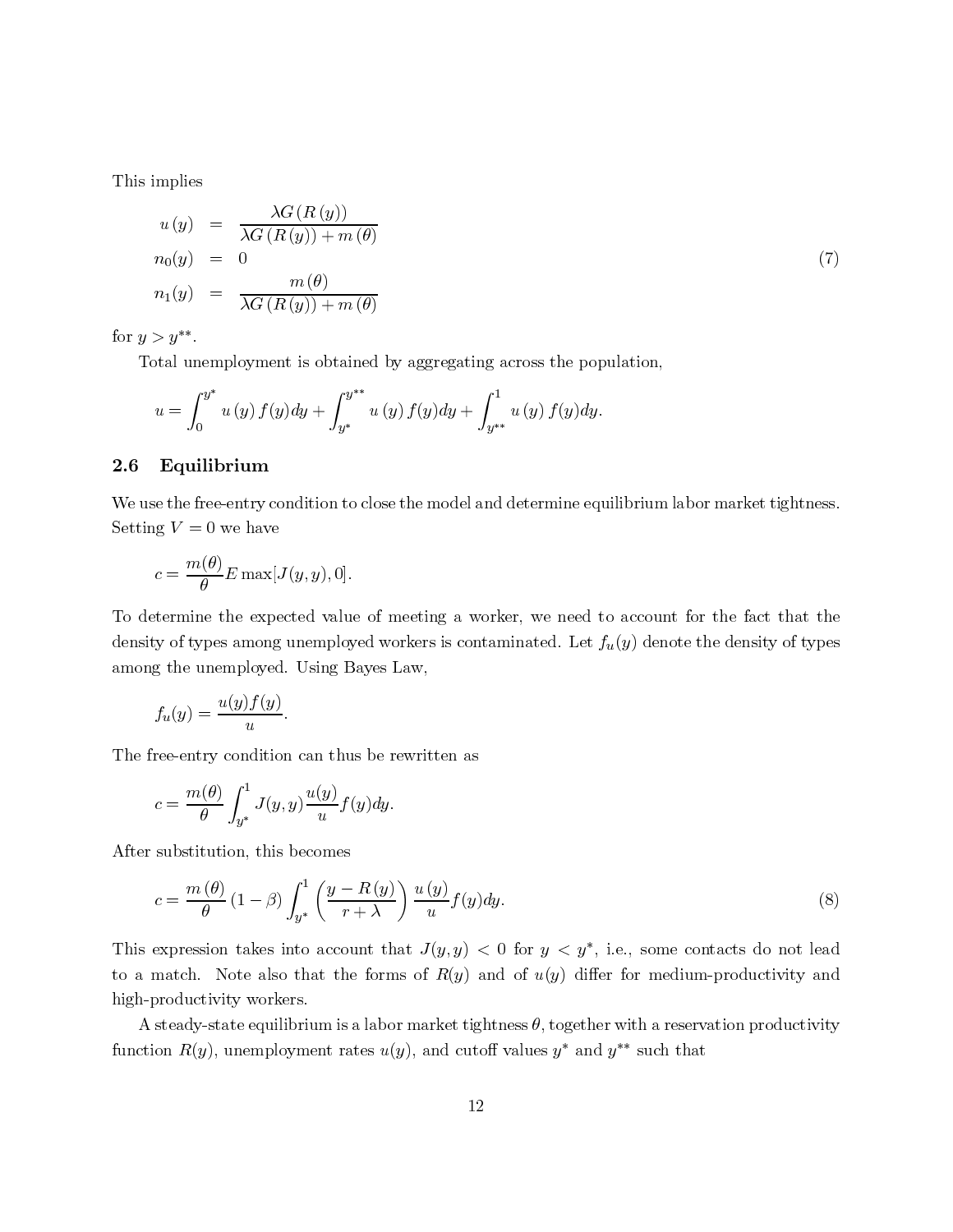$\overline{m}$  in plies in place  $\overline{m}$ This implies

<sup>u</sup> (y) = λG(R(y)) λG(R(y)) + m (θ) n0(y)=0 (7) n1(y) = <sup>m</sup> (θ) λG(R(y)) + m (θ) Total unemployment is obtained by aggregating across the population,

for  $y>y^{**}$ .

Total unemployment is obtained by aggregating across the population.

$$
u = \int_0^{y^*} u(y) f(y) dy + \int_{y^*}^{y^{**}} u(y) f(y) dy + \int_{y^{**}}^1 u(y) f(y) dy.
$$

### 2.6 Equilibrium

We use the free-entry condition to close the model and determine equilibrium labor market tightness. Setting  $V = 0$  we have

$$
c = \frac{m(\theta)}{\theta} E \max[J(y, y), 0].
$$

To determine the expected value of meeting a worker, we need to account for the fact that the density of types among unemployed workers is contaminated. Let  $f_u(y)$  denote the density of types among the unemployed. Using Bayes Law,

$$
f_u(y) = \frac{u(y)f(y)}{u}.
$$

The free-entry condition can thus be rewritten as

$$
c = \frac{m(\theta)}{\theta} \int_{y^*}^1 J(y, y) \frac{u(y)}{u} f(y) dy.
$$

After substitution, this becomes

$$
c = \frac{m(\theta)}{\theta} (1 - \beta) \int_{y^*}^1 \left( \frac{y - R(y)}{r + \lambda} \right) \frac{u(y)}{u} f(y) dy.
$$
 (8)

 $-\beta$ )  $\int_{y^*} \left( \frac{y - It(y)}{r + \lambda} \right)$ <br>kes into account the set is also that the form<br>workers. This expression takes into account that  $J(y, y) < 0$  for  $y < y^*$ , i.e., some contacts do not lead to a match. Note also that the forms of  $R(y)$  and of  $u(y)$  differ for medium-productivity and high-productivity workers.

A steady-state equilibrium is a labor market tightness  $\theta$ , together with a reservation productivity function  $R(y)$ , unemployment rates  $u(y)$ , and cutoff values  $y^*$  and  $y^{**}$  such that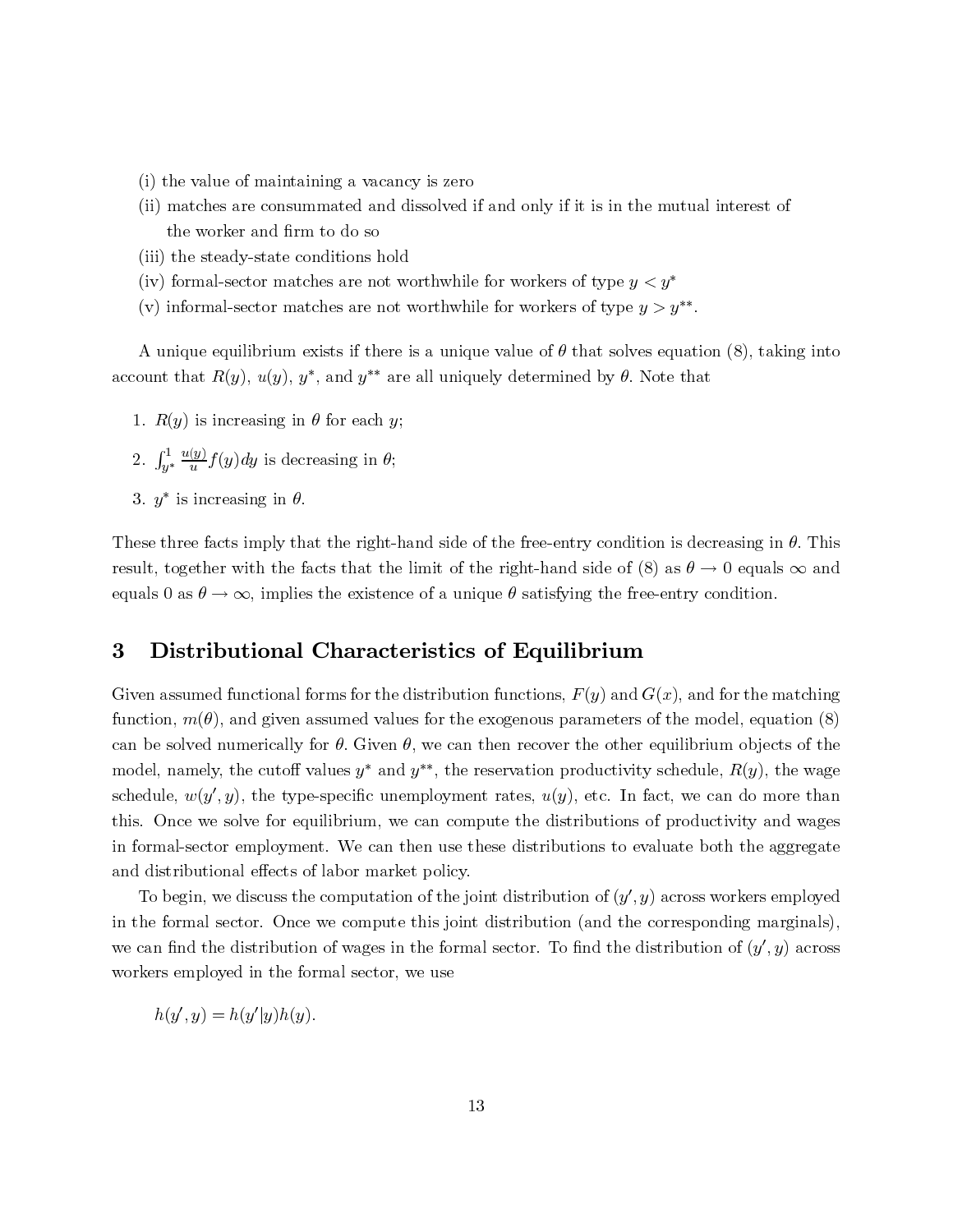- (i) the value of maintaining a vacancy is zero
- (ii) matches are consummated and dissolved if and only if it is in the mutual interest of the worker and firm to do so
- (iii) the steady-state conditions hold
- (iv) formal-sector matches are not worthwhile for workers of type  $y < y^*$
- (v) informal-sector matches are not worthwhile for workers of type  $y>y^{**}$ .

A unique equilibrium exists if there is a unique value of  $\theta$  that solves equation (8), taking into account that  $R(y)$ ,  $u(y)$ ,  $y^*$ , and  $y^{**}$  are all uniquely determined by  $\theta$ . Note that

- 1.  $R(y)$  is increasing in  $\theta$  for each y;
- 2.  $\int$  $\int_{-1}^{1}$ y∗  $\frac{u(y)}{u} f(y) dy$  is decreasing in  $\theta$ ;
- 3.  $y^*$  is increasing in  $\theta$ .

These three facts imply that the right-hand side of the free-entry condition is decreasing in  $\theta$ . This result, together with the facts that the limit of the right-hand side of (8) as  $\theta \to 0$  equals  $\infty$  and equals 0 as  $\theta \to \infty$ , implies the existence of a unique  $\theta$  satisfying the free-entry condition.

# 3 Distributional Characteristics of Equilibrium Given a<br>Given a functional forms for the distribution functions, the distribution function<br>Section functions, the distribution functions, the distribution of the distribution functions, the distribution<br>Section functions, function,

**ibrium**<br>  $F(y)$  and  $G(x)$ , and for the matching<br>
arameters of the model, equation (8)<br>
the other equilibrium objects of the<br>
roductivity schedule,  $R(y)$ , the wage<br>
i, etc. In fact, we can do more than<br>
rributions of produ **istributional Characteristics of Equilibrium**<br>
sumed functional forms for the distribution functions,  $F(y)$  and  $G(x)$ , and for the matching<br>  $m(\theta)$ , and given assumed values for the exogenous parameters of the model, equ **S DISTRUTIONAL C**<br>Given assumed functional form<br>function,  $m(\theta)$ , and given ass can be solved numerically for  $\theta$ . Given  $\theta$ , we can then recover the other equilibrium objects of the **EXECT SET ASSET CONDUCTERED SOFT CONDUCTERED**<br>
So for the distribution functions,  $F(y)$  and  $G(x)$ , and for the matching<br>
med values for the exogenous parameters of the model, equation (8)<br>  $\theta$ . Given  $\theta$ , we can then r Given assumed functional forms<br>function,  $m(\theta)$ , and given assum<br>can be solved numerically for  $\theta$ . for the distribution functions,  $F(y)$  and  $G(x)$ , and for the matching<br>d values for the exogenous parameters of the model, equation (8)<br>Given  $\theta$ , we can then recover the other equilibrium objects of the<br> $y^*$  and  $y^{**}$ , function,  $m(\theta)$ , and given assumed values for the exogenous parameters of the model, equation (8) %, and given assumed values for the exogenous parameters of the model, equation (8) numerically for  $\theta$ . Given  $\theta$ , we can then recover the other equilibrium objects of the eutoff values  $y^*$  and  $y^{**}$ , the reservatio can be solved numerically for  $\theta$ . Given  $\theta$ , we can then recover the other equilibrium objects of the model, namely, the cutoff values  $y^*$  and  $y^{**}$ , the reservation productivity schedule,  $R(y)$ , the wage schedule, model, namely, the cutoff values  $y^*$  and  $y^{**}$ , the reservation productivity schedule,  $R(y)$ , the wage<br>schedule,  $w(y', y)$ , the type-specific unemployment rates,  $u(y)$ , etc. In fact, we can do more than<br>this. Once we sol in formal-sector employment. We can then use these distributions to evaluate both the aggregate schedule,  $w(y', y)$ , the type-specific unemploymethis. Once we solve for equilibrium, we can continuously for equilibrium. and distributional effects of labor market policy. To be verify the compute the distribution<br>ormal-sector employment. We can then use these distributions<br>distributional effects of labor market policy. in formal sector employment. We can then use these distributions to evaluate both the aggregate<br>and distributional effects of labor market policy.<br>To begin, we discuss the computation of the joint distribution of  $(y', y)$  a

 $w(y)$ <br>e we<br>sect<br>butid<br>in, v<br>and th<br>mplc<br>, y) =  $d$  the the s of productivity and wages<br>evaluate both the aggregate<br>, y) across workers employed<br>e corresponding marginals),<br>distribution of  $(y', y)$  across and distributional effects of labor market policy.<br>To begin, we discuss the computation of the joint distribution of  $(y', y)$  across work<br>in the formal sector. Once we compute this joint distribution (and the correspondin  $($   $y$ employed<br>
arginals),<br> *, y*) across To begin, we discuss the computation of the<br>in the formal sector. Once we compute this journed in the formal sector. Once we compute this journed in the formal sector. workers employed in the formal sector, we use

 $h(y', y) = h(y'|y)h(y).$  $h(y)$  $y = h(y)$  $|y|^{n(y)}$ .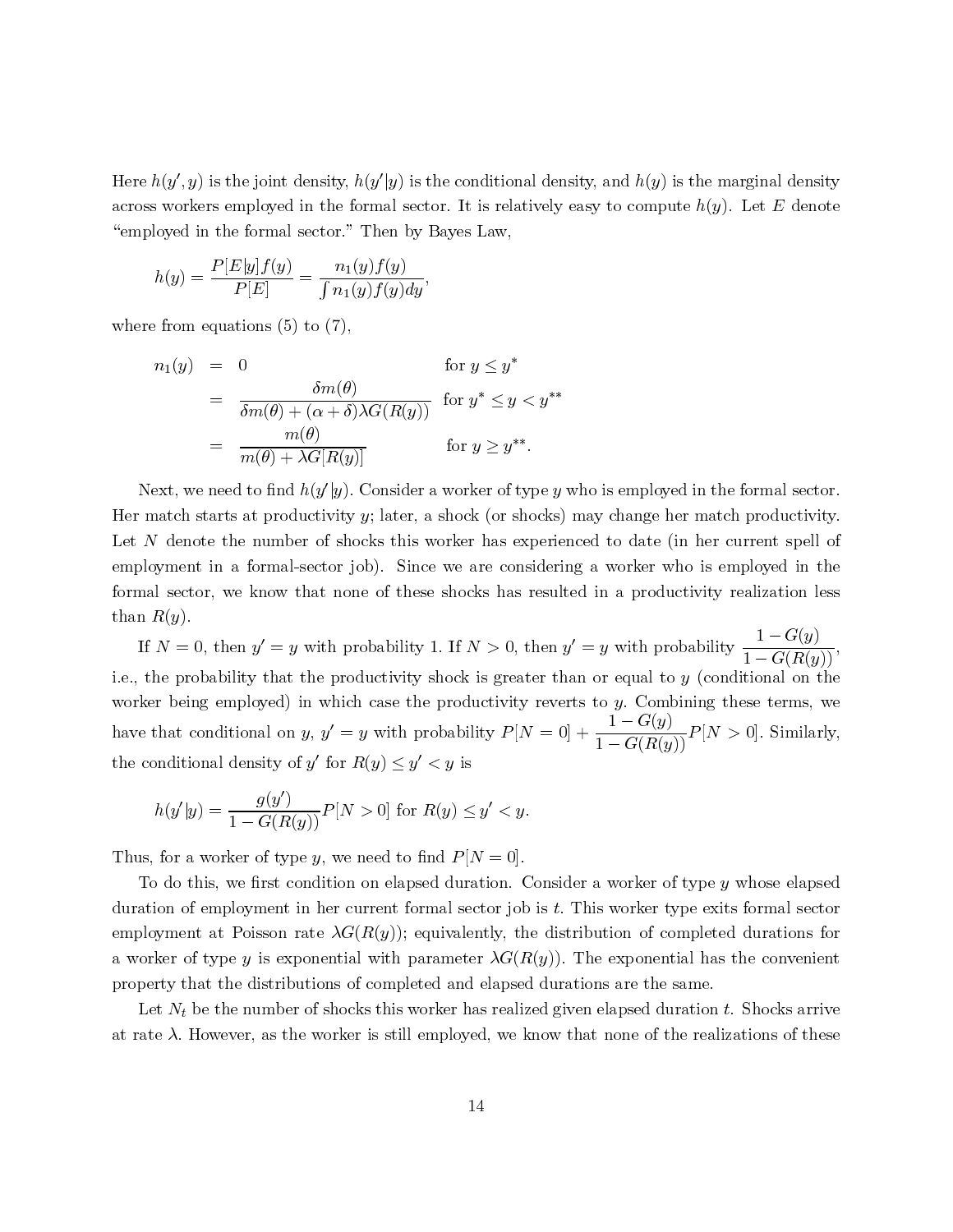Here  $h(y', y)$  is the joint density,  $h(y'|y)$  is the conditional density, and  $h(y)$  is the computer of computer to compute the sector. Here  $h(y', y)$  is the joint density,  $h(y'|y)$  is the conditional sector. It is represented in the formal sector. It is represented in the formal sector. "employed in the formal sector." Then by Bayes Law,

improved in the format sector. Then by  

$$
h(y) = \frac{P[E|y]f(y)}{P[E]} = \frac{n_1(y)f(y)}{\int n_1(y)f(y)dy},
$$

where from equations  $(5)$  to  $(7)$ ,

$$
n_1(y) = 0 \qquad \text{for } y \leq y^*
$$
  
= 
$$
\frac{\delta m(\theta)}{\delta m(\theta) + (\alpha + \delta) \lambda G(R(y))} \text{ for } y^* \leq y < y^{**}
$$
  
= 
$$
\frac{m(\theta)}{m(\theta) + \lambda G[R(y)]} \qquad \text{for } y \geq y^{**}.
$$
  
Next, we need to find  $h(y'|y)$ . Consider a worker of type y

the marginal density<br>
e  $h(y)$ . Let E denote<br>
r match productivity.<br>
1 her current spell of<br>
o is employed in the<br>
ivity realization less<br>
pability  $\frac{1-G(y)}{1-G(R(y))}$ ,<br>
y (conditional on the<br>
ning these terms, we<br>  $P[N > 0]$ . Her match starts at productivity  $y$ ; later, a shock (or shocks) may change her match productivity. Next, we need to find  $h(y'|y)$ . Consider a worker of type y who is employed in the formal sector.<br>Her match starts at productivity y; later, a shock (or shocks) may change her match productivity.<br>Let N denote the number of polyment in a formal-sector job). Since we are considering a worker who is employed in the Her match starts at productivity  $y$ ; later, a shock (or shocks) may change her match productivity.<br>Let N denote the number of shocks this worker has experienced to date (in her current spell of employment in a formal-sec formal sector, we know that none of these shocks has resulted in a productivity realization less  $\mathbf{t}$  of  $\mathbf{t}$ 

 $h(y)$  and  $h(y)$ <br> $h(y)$  are from  $n_1$  (<br> $h(y)$  are from  $n_1$  ()<br> $h(x)$  and see  $h(x)$ <br> $h(x)$  the  $\mu(x)$  and  $h(y)$ <br> $h(y)$  as, for To do ation orker<br> $\mu(x)$  at  $\lambda$ . , y) is the joint density,  $h(y)$ <br>
where employed in the form<br>
d in the formal sector." Th<br>  $\mathcal{P}[E|y]f(y) = \frac{n_1(y)f}{\int n_1(y)f}$ <br>
m equations (5) to (7),<br>  $y$ ) = 0<br>
=  $\frac{\delta m(\theta)}{\delta m(\theta) + (\alpha + \delta)\lambda G}$ <br>
=  $\frac{m(\theta)}{m(\theta) + \lambda G[R(y)]}$ <br>
we ne [g] is the conditional density, and  $h(y)$  is the marginal density<br>all sector. It is relatively easy to compute  $h(y)$ . Let E denote<br>on by Bayes Law,<br>(g)<br>for  $y \le y^*$ <br>for  $y' \le y \le y^*$ .<br>for  $y' \le y^*$ ,<br>and  $h(x) \le h(x) \le h(x)$  is  $h(y) = \frac{1 + \mu(y) f(y)}{P[E]}$ <br>
from equations (5<br>
from equations (5<br>  $n_1(y) = 0$ <br>  $= \frac{n}{\delta m(\theta)} + \frac{n}{m(\theta)} + \text{ext}$ , we need to find<br>
natch starts at produce the numb<br>
yment in a formal<br>
l sector, we know<br>  $R(y)$ .<br>  $N = 0$ , then  $y' = y$ <br>  $\frac{\partial |y|f(y)}{\partial P[E]} = \frac{n_1(y)f(y)}{\int n_1(y)f(y)}$ <br>  $\overline{P[E]} = \frac{n_1(y)f(y)}{\int n_1(y)f(y)}$ <br>
tions (5) to (7),<br>
0<br>  $\frac{\delta m(\theta)}{m(\theta) + \lambda G[R(y)]}$ <br>
d to find  $h(y'|y)$ . Considers at productivity y; late<br>
is a troductivity y; late<br>
is a formal-sector job).  $n_1(y)f(y)dy'$ <br>
7),<br>  $\frac{p(\theta)}{p(\theta)}$ <br>  $\frac{p(\theta)}{p(\theta)}$ <br>  $\frac{p(\theta)}{q(\theta)}$ <br>  $\frac{p(\theta)}{q(\theta)}$ <br>  $\frac{p(\theta)}{q(\theta)}$ , Consider<br>  $\frac{p(\theta)}{q(\theta)}$ , Litter, a shocks this vor job). Since<br>  $\frac{p(\theta)}{q(\theta)}$  increase the<br>  $\frac{p(\theta)}{q(\theta)}$  so  $\frac{p(\theta)}{q(\$  $h(y) = \frac{(-\cos x - \cos x}{P|E|}) = \frac{-(\cos x - \cos x}{f\sin y)f(y)dy}$ ,<br>
from equations (5) to (7),<br>  $n_1(y) = 0$  for  $y \le y^*$ <br>  $= \frac{\delta m(\theta)}{\delta m(\theta) + (\alpha + \delta)\lambda G(R(y))}$  for  $y^* \le y$ <br>  $= \frac{m(\theta)}{m(\theta) + \lambda G[R(y))}$  for  $y \ge y^*$ <br>
xxt, we need to find  $h(y'y)$ . Consider =  $\frac{\partial m(v)}{\partial m(\theta) + (\alpha + \delta)}$ <br>=  $\frac{m(\theta)}{m(\theta) + \lambda G[R(y))}$ <br>need to find  $h(y'|y)$ .<br>arts at productivity<br>atts at productivity<br>is the number of shade in a formal-sector j,<br>we know that nor<br>then  $y' = y$  with production<br>then  $y' = y$  with ions (5) to (7),<br>
for  $y \le y^*$ <br>  $\frac{\delta m(\theta)}{\delta m(\theta) + \langle \alpha + \delta \rangle \lambda G(R(y))}$  for  $y^* \le y < y^{**}$ .<br>  $\frac{m(\theta)}{m(\theta) + \lambda G[R(y))}$  for  $y \ge y^{**}$ .<br>
to find  $h(y'|y)$ . Consider a worker of type y<br>
at productivity y; later, a shock (or shocks in su =  $\frac{n(v)}{m(\theta) + \lambda G}$ <br>need to find  $h(\lambda)$ <br>arts at product<br>e the number c<br>in a formal-sec<br>, we know tha<br>then  $y' = y$  wi<br>ability that the<br>employed) in<br>adility that the<br>employed) in<br>adilional on y,<br>al density of y'<br>=  $\frac{g(y')}{1$ or  $y \leq y^*$ <br>  $\frac{\delta m(\theta)}{\delta m(\theta) + (\alpha + \delta) \lambda G(R(y))}$  for  $y^* \leq y < \frac{m(\theta)}{m(\theta) + \lambda G[R(y)]}$  for  $y \geq y^{**}$ .<br>
to find  $h(y'|y)$ . Consider a worker of ty<br>
at productivity y; later, a shock (or shat productivity) is the number of slocks t d  $h(y)$ <br>ductive of that<br> $y$  with the  $y$  with the  $y$  with the  $y$  with  $\ln w$ <br> $\ln y$ ,  $y$  of  $y'$  i<br> $\ln w$ <br> $\ln w$   $\ln w$ <br> $\ln w$   $\ln w$   $\ln w$   $\ln w$   $\ln w$   $\ln w$   $\ln w$   $\ln w$   $\ln w$   $\ln w$   $\ln w$   $\ln w$   $\ln w$   $\ln w$   $\ln w$   $\ln w$   $\ln w$   $\$  $\frac{1}{\delta}$ ) $\lambda G(R(y))$  for  $y' \le y < y''$ <br>for  $y \ge y''$ .<br>[y). Consider a worker of type y who is employed in the formal sector,<br>tity y; later, a shock (or shocks) may change her match productivity,<br>shocks this worker has experienc  $\begin{array}{ll} \end{array} & \text{for } y \geq y^{m}. \\ \end{array}$  <br>Consider a worker of type  $y$  who is employed in the formal sector,<br>y; later, a shock (or shocks) may change her match productivity.<br>cks this worker has experienced to date (in her curr  $m(\theta) + \lambda G[R(y)]$ <br>
Nest, we med to find  $h(y)$ ; Consider a warker of type y which is employed in the formal sector.<br>
match shocks this included integral of shocks this worker has experienced to date (in her current spell of<br>
N If  $N =$ <br>the pr<br> $\ker$  bei<br>that domination of  $h(y'|$ :<br> $\text{as, for a}$ <br>To do t<br>ation of  $\text{a}$  ation of  $\text{a}$ <br> $\text{b}$  ation of  $\text{b}$ <br> $\text{c}$  ation of  $\text{d}$ <br> $\text{d}$  ation  $\text{d}$ <br> $\text{d}$  ation  $\text{d}$ <br> $\text{d}$  ation  $\text{d}$ <br> $\$ yment in a formal-sector job). Since we are considering a worker who is employed in 1<br>sector, we know that none of these shocks has resulted in a productivity realization 1<br> $R(y)$ .<br>N = 0, then y' = y with probability 1. If  $1 - G(R(y))'$ <br>tional on the<br>see terms, we<br>0]. Similarly,<br>whose elapsed<br>formal sector<br>durations for<br>ne convenient<br>Shocks arrive<br>tions of these formal sector, we know that none of these shocks has resulted in a production  $R(y)$ .<br>If  $N = 0$ , then  $y' = y$  with probability 1. If  $N > 0$ , then  $y' = y$  with pro i.e., the probability that the productivity shock is greater than or equal to  $y$  (conditional on the tivity realization less<br>
bability  $\frac{1-G(y)}{1-G(R(y))}$ ,<br>
y (conditional on the<br>
ining these terms, we<br>  $P[N > 0]$ . Similarly,<br>  $P[N > 0]$ . Similarly,<br>
type y whose elapsed<br>
pe exits formal sector<br>
npleted durations for<br>
al has th than  $R(y)$ .<br>If  $N = 0$ , then  $y' = y$  with probability 1. If  $N > 0$ , then  $y' = y$ <br>i.e., the probability that the productivity shock is greater than or worker being employed) in which case the productivity reverts to  $y$ . Combining these terms, we with probability  $\frac{1-G(y)}{1-G(R(y))}$ ,<br>equal to y (conditional on the<br>y. Combining these terms, we<br> $\frac{-G(y)}{-G(R(y))}P[N > 0]$ . Similarly,<br>vorker of type y whose elapsed<br>worker type exits formal sector<br>on of completed durations for<br> If  $N = 0$ , then  $y' = y$ <br>i.e., the probability that<br>worker being employed) with probability 1. If  $N > 0$ , then  $y' = y$  with pro<br>the productivity shock is greater than or equal to<br>n which case the productivity reverts to y. Com<br>y,  $y' = y$  with probability  $P[N = 0] + \frac{1 - G(y)}{1 - G(R(y)}$ <br> $y'$  for  $R(y) \le y' <$ y with probability  $\frac{1 - G(y)}{1 - G(R(y))}$ ,<br>or equal to y (conditional on the<br>io y. Combining these terms, we<br> $\frac{1 - G(y)}{1 - G(R(y))}P[N > 0]$ . Similarly,<br>a worker of type y whose elapsed<br>s worker type exits formal sector<br>with of comp i.e., the probability that<br>worker being employed) is<br>have that conditional on

the conditional density of 
$$
y
$$
 for  $R(y) \le y < y$  is  
\n
$$
h(y'|y) = \frac{g(y')}{1 - G(R(y))} P[N > 0] \text{ for } R(y) \le y' < y.
$$
\nThus, for a worker of type  $y$ , we need to find  $P[N = 0]$ .

the productivity shock<br>  $y' = y$  with probabil<br>  $y'$  for  $R(y) \le y' < y$  is<br>  $\frac{1}{y}P[N > 0]$  for  $R(y) \le$ <br>  $\frac{1}{y}P[N > 0]$  for  $R(y) \le$ <br>  $y$ , we need to find  $P[\text{relation on elapsed dur}]$ <br>  $\frac{1}{y}$  her current formal set  $\frac{\lambda G(R(y))}{\lambda}$ ; equivales  $h(y)$  for  $\alpha$  do ion  $\alpha$  ymerity  $\alpha$  is  $\alpha$ .  $|y) = \frac{g(y)}{1 - G(I)}$ <br>a worker of ty<br>this, we first<br>of employmen<br>ent at Poisson<br>of type y is e<br>that the districtive that the districtive the numb<br>However, as tional on *y*, *y'* = *y* with probability *P*[*N* density of *y'* for *R*(*y*) ≤ *y'* < *y* is  $\frac{g(y')}{1 - G(R(y))}P[N > 0]$  for *R*(*y*) ≤ *y'* < *y*.<br>ker of type *y*, we need to find *P*[*N* = 0].<br>we first condition on elap  $P[N > 0]$  for  $R(y) \le y' < y$ <br>  $\Rightarrow P[N > 0]$  for  $R(y) \le y' < y$ <br>  $y$ , we need to find  $P[N = 0]$ .<br>
dition on elapsed duration. Conserved the value of  $\lambda G(R(y))$ ; equivalently, the<br>
nential with parameter  $\lambda G(I)$ <br>
for is of completed and To do this, we first condition on elapsed duration. Consider a worker of type  $y$  whose elapsed y whose elapsed<br>its formal sector<br>ed durations for<br>s the convenient<br>t. Shocks arrive<br>izations of these Thus, for a worker of type y, we need to find  $P[N = 0]$ .<br>To do this, we first condition on elapsed duration. Con duration of employment in her current formal sector job is  $t$ . This worker type exits formal sector sider a worker of type  $y$  whose elapsed<br>  $t$ . This worker type exits formal sector<br>
istribution of completed durations for<br>
). The exponential has the convenient<br>
urations are the same.<br>
given elapsed duration  $t$ . Shock Thus, for a worker of type  $y$ ,<br>To do this, we first condiduration of employment in h *h*, we need to find  $P[N = 0]$ .<br>
dition on elapsed duration. Consider a worker of type *y* whose elapsed<br>
ther current formal sector job is *t*. This worker type exits formal sector<br>
e  $\lambda G(R(y))$ ; equivalently, the distribu To do this, we<br>duration of employment at 1 a worker of type y is exponential with parameter  $\lambda G(R(y))$ . The exponential has the convenient first condition on elapsed duration. Consider a worker of type y whose elapsed<br>wyment in her current formal sector job is t. This worker type exits formal sector<br>oisson rate  $\lambda G(R(y))$ ; equivalently, the distribution of com duration of employment in her current formal sector job is t. This worker type ex-<br>employment at Poisson rate  $\lambda G(R(y))$ ; equivalently, the distribution of complete<br>a worker of type y is exponential with parameter  $\lambda G(R(y))$ . property that the distributions of completed and elapsed durations are the same.  $\overline{1}$ 

Let  $N_t$  be the number of shocks this worker has realized given elapsed duration t. Shocks arrive  $N_t$  be the number of shocks this worker has realized given elapsed duration t. Shocks arrive  $\lambda$ . However, as the worker is still employed, we know that none of the realizations of these 14<br>14 at rate  $\lambda$ . However, as the worker is still employed, we know that none of the realizations of these λ. However, as the worker is still employed, we know that none of the realizations of these  $14$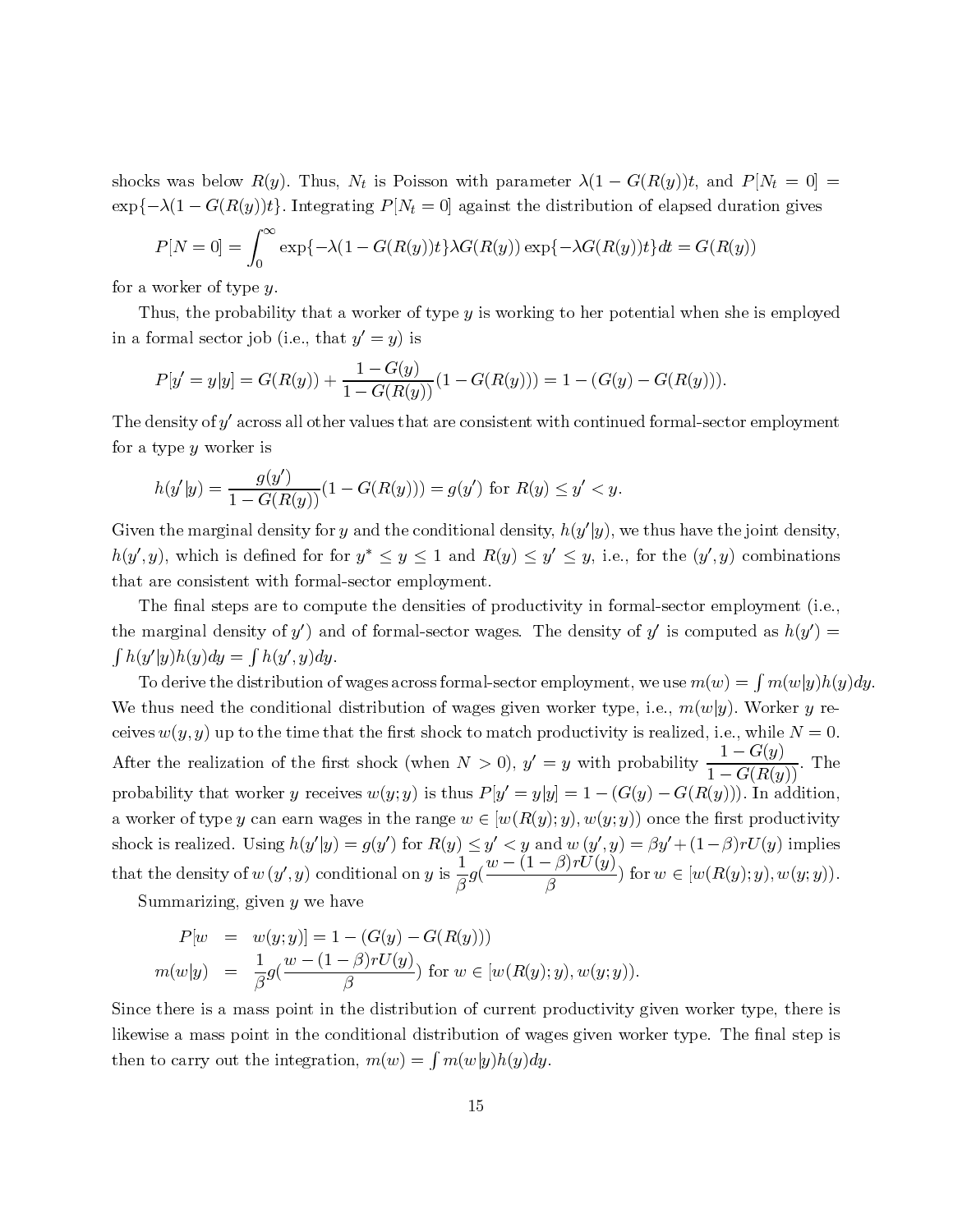$$
P[N=0] = \int_0^\infty \exp\{-\lambda(1 - G(R(y))t\}\lambda G(R(y))\exp\{-\lambda G(R(y))t\}dt = G(R(y))
$$

for a worker of type  $y$ .

Thus, the probability that a worker of type y is working to her potential when she is employed in a formal sector job (i.e., that  $y' =$ 

$$
P[y' = y|y] = G(R(y)) + \frac{1 - G(y)}{1 - G(R(y))}(1 - G(R(y))) = 1 - (G(y) - G(R(y))).
$$

The density of  $y'$  across all other values that are consistent with continued formal-sector employment for a type  $y$  worker is

$$
h(y'|y) = \frac{g(y')}{1 - G(R(y))}(1 - G(R(y))) = g(y') \text{ for } R(y) \le y' < y
$$

Given the marginal density for y and the conditional density,  $h(y)$  $(y, y)$ , which is defined for for  $y \leq y \leq 1$  and  $R(y) \leq y \leq y$ , i.e., for the  $(y$ that are consistent with formal-sector employment.

The final steps are to compute the densities of productivity in formal-sector employment (i.e., the marginal density of  $y'$ ) and of formal-sector wages. The density of  $y'$  is computed as  $h(y') =$ 

shocks was below R(x). Thus, Nt is Poisson with parameter A(1 − G(R(y))t, and P[N<sub>t</sub> = 0] =  $P(x - y)$ <br>  $x(y - y) = \int_0^\infty \exp(-\lambda(1 - GM/g)) \cdot (\lambda(1 - GM/g)) \cdot (\lambda(1 - GM/g)) \cdot (\lambda(1 - Mr/g)) \cdot (\lambda(1 - Mr/g)) \cdot (\lambda(1 - Mr/g)) \cdot (\lambda(1 - Mr/g)) \cdot (\lambda(1 - Mr/g)) \cdot (\lambda(1 - Mr/g)) \cdot (\lambda(1 - Mr/g)) \cdot (\lambda($ exp{ $-\lambda(1-G(R(y))t)$ . Integrating P[Nt = 0] against the distribution of elapsed duration gives  $P[X = 0]$  and we<br>have a weaker of spy s<sub>1</sub>. All  $-G(H(y))t)\lambda G(K(y))$  and  $-\lambda G(K(y))$ <br>The a weaker of spy s<sub>2</sub> is working to be related when t  $P[N = 0] = \int_0^\infty$ <br>worker of type y.<br>worker of type y.<br>uus, the probabil<br>ormal sector job<br> $P[y' = y|y] = G($ <br>ensity of y' across<br>type y worker is<br> $h(y'|y) = \frac{g(y)}{1 - G(y)}$ <br>the marginal desity of<br>the marginal density of<br>arginal densit exp{ $-λ(1 - Θ(R(y))p(yA0)(R(y)) \exp(-λ(1(y)))q(w = Θ(R(y)))$ <br>
ty that a worker of type y is working to her potential when she i<br>
(i.e., that  $y' = y$ ) is<br>  $R(y)$ ) +  $\frac{1 - G(y)}{1 - G(R(y))} (1 - G(R(y))) = 1 - (G(y) - G(R(y)))$ .<br>
all other values that are consistent w y. The Secondary of the Secondary of the Secondary of the Condary of the Condary of the Condata of the Condata of the Condata of the Condata of the Condata of the Condata of the Condata of the Condata of the Condata of the y is working to her potential when she is employed  $G(R(y))) = 1 - (G(y) - G(R(y)))$ .<br>
consistent with continued formal-sector employment when the point density,  $h(y|y)$ , we thus have the joint density,  $h(y) \le y' \le y$ , i.e., for the  $(y', y$ yy) is  $G(y)$ <br> $(R(y)$ <br> $(R(y \text{ s tha}))$ <br> $(h \text{ s g} \leq y \leq \text{ s g}$ <br> $h \geq g$  and  $(g \text{ s g})$ <br> $h \geq g$ <br> $h \geq g$ <br> $h \geq g$ <br> $h \geq g$ <br> $h \geq g$ <br> $h \geq g$ <br> $h \geq g$ <br> $h \geq g$ <br> $h \geq g$ <br> $h \geq g$ <br> $h \geq g$ <br> $h \geq g$ <br> $h \geq g$ <br> $h \geq g$ <br> $h \geq g$ <br> $h \geq g$ <br> $h \geq g$ <br> $h \geq g$ <br> $h \$  $P[y]$ <br>ensitype<br> $h(y')$  the<br> $h(y)$ , where  $c$ <br>argi $|y)h$ <br>argi $|y)h$ <br>ensitype<br> $w(y)$ <br>the  $w(y)$ <br>the  $w(x)$ <br> $m(w)$ <br> $m(w)$ <br>there as a y|y] =  $G(R(y)) + \frac{1 - G(y)}{1 - G(R(y))}$ <br>f y' across all other values that<br>worker is<br> $= \frac{g(y')}{1 - G(R(y))} (1 - G(R(y)))$ <br>arginal density for y and the c<br>h is defined for for  $y^* \le y$  is<br>istent with formal-sector em<br>steps are to compute the de 1 −  $G(R(y))^{(1)}$  →  $G(t(y)) = 1$   $\{(G(y)) \in G(t(x(y)))\}$ <br>
values that are consistent with continued formal-sector<br>  $-G(R(y))) = g(y')$  for  $R(y) \le y' \le y$ .<br>
y and the conditional density,  $h(y'|y)$ , we thus have tl<br>
r  $y^* \le y \le 1$  and  $R(y) \le y' \le y$ y or girlsteed by each your state of the state of the state of the state of the state of the state of the state of the state of the state of the state of the state of the state of the state of the state of the state of the y worker is<br>
y) =  $\frac{g}{1-G}$ <br>
marginal de<br>
marginal de<br>
hich is definitions<br>
istent with<br>
al steps are<br>
and density<br>
and density<br>
we the distributed the coralization<br>
realization<br>
realization<br>
realization<br>
realization<br>
re  $h(y)$ , the contract  $h(x)$ ,  $\mathbf{v}$  are contracted to  $\mathbf{v}$  and  $\mathbf{v}$  are  $\mathbf{v}$  of  $\mathbf{v}$  the bilit star is reduced the sequence of  $m(u)$  then sequence of  $m(u)$  then sequence of  $m(u)$  then sequence of  $m(u)$  the  $|y) = \frac{g(y)}{1 - G(I)}$ <br>marginal den<br>which is define<br>onsistent with<br>mal steps are<br>nal density of<br>nal density of<br>nal density of  $y(y)dy = \int h(y)$ <br>ive the distrib<br>need the cond<br> $y, y$  up to the<br>realization of<br>y that worker<br>salized. Us 1 − G(R(y))<sup>(1</sup> − G(R(y))) = g(y<br>
nal density for y and the condition<br>
s defined for for  $y^* \le y \le 1$  and<br>
ent with formal-sector employmer<br>
pps are to compute the densities c<br>
nsity of y') and of formal-sector<br>
=  $\int h(y$ ) for  $R(y) \le y'$ <br>
aal density,  $h(y, R(y) \le y' \le y$ <br>
at.<br>
of productivity<br>
wages. The deal-sector employes given worke<br>  $\log S$  given worke<br>  $> 0$ ,  $y' = y$  v<br>  $P[y' = y|y] = 0$ <br>  $\in [w(R(y); y), y]$ <br>  $\in \frac{w - (1 - \beta)r}{\beta}$ <br>
( $\frac{w - (1 - \beta)r}{\beta}$ <br>  $|y)$ ,  $y$ , i.e.<br>in fo<br>sity<br>men for type  $y'$ ,  $y$ ,  $y'$ ,  $y$ ,  $y'$ ,  $y$ ,  $(y; y)$ <br>tivity  $(y; y)$ <br> $(y; y)$ y and the conditional density,  $h(y')$ <br>or  $y^* \leq y \leq 1$  and  $R(y) \leq y' \leq y$ <br>L-sector employment.<br>oute the densities of productivity<br>d of formal-sector wages. The der<br>ivages across formal-sector employ<br>distribution of wages |y), we thus have the joint density,<br>  $|y|$ , i.e., for the  $(y', y)$  combinations<br>
in formal-sector employment (i.e.,<br>
sity of y' is computed as  $h(y') =$ <br>
ment, we use  $m(w) = \int m(w|y)h(x)$ <br>
r type, i.e.,  $m(w|y)$ . Worker y re-<br>
tiv  $h(y)$  that  $\int h(\nabla \cdot \nabla \cdot \nabla \cdot \nabla \cdot \nabla \cdot \nabla \cdot \nabla \cdot \nabla \cdot \nabla \cdot \nabla \cdot \nabla \cdot \nabla \cdot \nabla \cdot \nabla \cdot \nabla \cdot \nabla \cdot \nabla \cdot \nabla \cdot \nabla \cdot \nabla \cdot \nabla \cdot \nabla \cdot \nabla \cdot \nabla \cdot \nabla \cdot \nabla \cdot \nabla \cdot \nabla \cdot \nabla \cdot \nabla \cdot \nabla \cdot \nabla \cdot \nabla \cdot \nabla \cdot \n$ , y), which is defined for for  $y^* \leq y \leq 1$  and  $R(y) \leq y'$ <br>are consistent with formal-sector employment.<br>The final steps are to compute the densities of production rarginal density of y') and of formal-sector wages. The y, i.e., for the  $(y'$ <br>in formal-sector<br>ensity of y' is com<br>yment, we use  $m$ <br>er type, i.e.,  $m(w$ <br>ctivity is realized,<br>with probability  $\frac{1}{1} - (G(y) - G(R(w(y; y)))$  once the<br> $(y', y) = \beta y' + (1 - U(y))$ <br>for  $w \in [w(w(y; y)))$ .<br>etivity given wor , y) combinations<br>
employment (i.e.,<br>
puted as  $h(y') =$ <br>  $w) = \int m(w|y)h(y')$ <br>  $|y)$ . Worker y re-<br>
i.e., while  $N = 0$ .<br>  $\frac{1 - G(y)}{1 - G(R(y))}$ . The<br>  $y)$ )). In addition,<br>
first productivity<br>  $-\beta)rU(y)$  implies<br>  $R(y); y), w(y; y)$ ).  $y$ ,  $y$ , it is in the part of  $y$  are  $h$  (  $y$   $y$  ) in the equal to  $\frac{1}{2}$ y-vei.ere.i.ere.i.ere.i.er/<br>i.ere.oa<br>on: B: u<br>i.i.v. ' is computed as  $h(y')$ <br>
e.,  $m(w|y)$ . Worker y<br>
ealized, i.e., while  $N$  =<br>
bility  $\frac{1-G(y)}{1-G(R(y))}$ .<br>  $-G(R(y)))$ . In addit<br>
mce the first production<br>  $y' + (1 - \beta) r U(y)$  imp<br>  $w \in [w(R(y); y), w(y)]$ <br>
wen worker type, then<br>
er type. The fi  $m(y)$  Tc<br>Te thives<br>fter oba world ock<br>at t Su<br>nce ewi<br>en t arginal density of<br>  $|y)h(y)dy = \int h(y')$ <br>
derive the distribution<br>
dus need the condi<br>  $w(y, y)$  up to the t<br>
the realization of<br>
bility that worker<br>
ker of type y can es<br>
is realized. Using<br>
he density of  $w(y',$ <br>
mmarizing, give ,  $y)dy$ .<br>tional<br>ime th<br>the fir<br> $y$  recei<br>arn wa<br> $h(y'|y)$ <br> $y)$  cor<br> $y$  we h<br> $y$ ]] = 1<br> $y - (1)$ <br>int in<br>the cc If  $y$  is  $y_0$  and  $y_1 \rightarrow y_0$  and  $y_1 \rightarrow y_0$ .<br>To derive the distribution of wages across formal-sector employment, we use  $m(w) = \int m(w|y)h(y)dy$ .<br>thus need the conditional distribution of wages given worker type, i.e.,  $m(w|y)$ We thus need the conditional distribution of wages given worker type, i.e.,  $m(w|y)$ . Worker y receives  $w(y, y)$  up to the time that the first shock to match productivity is realized, i.e., while N<br>After the realization of ceives  $w(y, y)$  up to the time that the first shock to match productivity is realized, i.e., while  $N = 0$ .  $w(y, y)$  up to the time that the first shock to match productivity is realized, i.e., while  $N = 0$ .<br>the realization of the first shock (when  $N > 0$ ),  $y' = y$  with probability  $\frac{1 - G(y)}{1 - G(R(y))}$ . The<br>illity that worker y rec After the realization of the first shock (when  $N > 0$ ),  $y' =$  $N > 0$ ),  $y'$ <br>
us  $P[y' = y$ <br>  $w \in [w(R(\lambda))] \leq y' < y$ <br>  $\frac{1}{\beta}g(\frac{w - (1-\lambda)}{\beta})$ <br>  $(w) = [w(R(y))$ <br>  $w \in [w(R(y))$ <br>  $(w|y)h(y)]$ <br>  $15$ y with probability  $\frac{1-G(y)}{1-G(R(y))}$ <br>= 1 –  $(G(y) - G(R(y)))$ . In a<br>y),  $w(y; y)$  once the first prod<br> $w(y', y) = \beta y' + (1 - \beta) r U(y)$ <br> $\frac{\beta}{rU(y)}$  for  $w \in [w(R(y); y), u)$ <br> $\rightarrow$ ,  $w(y; y)$ .<br>ductivity given worker type, s given worker type. The final  $\frac{1-G(y)}{1-G(R(y))}$ . The  $(y))$ ). In addition,<br>  $(f(y)))$ . In addition,<br>  $\beta) r U(y)$  implies  $(R(y); y), w(y; y)$ ). probability that worker y receives  $w(y; y)$  is thus  $P[y' =$ y receives  $w(y; y)$  is thus  $P[y']$ <br>arn wages in the range  $w \in [u$ <br> $h(y'|y) = g(y')$  for  $R(y) \le y'$ <br> $y'$ , y conditional on y is  $\frac{1}{\beta}g(\frac{w-y}{y})$ <br> $y \le h$  ave<br> $[y] = 1 - (G(y) - G(R(y)))$ <br> $\frac{v - (1-\beta)rU(y)}{\beta}$  for  $w \in [w(y)]$ <br>the conditional distr  $y|y| = 1 - (G(y) - G(R(y)))$ . In addition,<br>(y); y),  $w(y; y)$  once the first productivity<br>and  $w(y', y) = \beta y' + (1 - \beta) r U(y)$  implies<br> $\frac{-\beta}{r}$ ) for  $w \in [w(R(y); y), w(y; y))$ .<br>y); y), w(y; y)).<br>y); y), w(y; y)). a worker of type y can earn wages in the range  $w \in [w(R(y); y), w(y; y))$  once the first productivity y can earn wages in the range  $w \in [w(R(y); y), w(y; y))$  once the first productivity<br>Using  $h(y'|y) = g(y')$  for  $R(y) \le y' < y$  and  $w(y', y) = \beta y' + (1 - \beta) rU(y)$  implies<br>for  $w(y', y)$  conditional on  $y$  is  $\frac{1}{\beta}g(\frac{w - (1 - \beta)rU(y)}{\beta})$  for  $w \in [w(R(y$  $\mu_{\rm{H}}$  ,  $\mu_{\rm{H}}$  ,  $\mu_{\rm{H}}$  ,  $\mu_{\rm{H}}$  ,  $\mu_{\rm{H}}$  ,  $\mu_{\rm{H}}$  ,  $\mu_{\rm{H}}$  ,  $\mu_{\rm{H}}$  ,  $\mu_{\rm{H}}$  ,  $\mu_{\rm{H}}$ that the density of  $w(y)$ 

Summarizing, given  $y$  we have

$$
P[w = w(y; y)] = 1 - (G(y) - G(R(y)))
$$
  
\n
$$
m(w|y) = \frac{1}{\beta}g(\frac{w - (1 - \beta)rU(y)}{\beta}) \text{ for } w \in [w(R(y); y), w(y; y))
$$

shock is realized. Using  $h(y')$ <br>that the density of  $w(y', y)$  of Summarizing, given  $y$  word  $P[w] = w(y; y)]$ <br> $m(w|y) = \frac{1}{\beta}g(\frac{w - y}{\beta})$ <br>Since there is a mass point in the<br>likewise a mass point in the<br>then to carry out the integ  $|y| = g(y)$ <br>
conditions<br>
a have<br>  $= 1 - (G(\frac{1-\beta)rU}{\beta})$ <br>
in the dis<br>
condition,  $m(\frac{1}{\beta})$ ) for  $R(y) \le y'$ <br>
d on y is  $\frac{1}{\beta}g(\frac{w}{\beta})$ <br>
(y)  $\rightarrow G(R(y))$ <br>
(y) for  $w \in [v]$ <br>
tribution of cu<br>
aal distribution<br>  $w) = \int m(w|y)$ <br>
15  $< y$  and  $w(y')$ <br>  $-(1 - \beta) rU($ <br>  $\beta$ <br>  $v(R(y); y), w(y)$ <br>  $v$ <br>  $v(y) dy$ .  $(y, y) = \rho y$ <br>(*i*, *y*) for *w*<br>(*i*, *y*)).<br>ivity give:<br>n worker + (1−β)rU(y) implies  $w(y;$ <br>  $w(y;$ <br>  $\frac{1}{\beta}g(\frac{1}{\beta}))$ <br>  $\frac{1}{\beta}$ <br>  $\frac{1}{\beta}$ <br>  $\frac{1}{\beta}$ <br>  $\frac{1}{\beta}$ <br>  $\frac{1}{\beta}$ <br>  $\frac{1}{\beta}$ <br>  $\frac{1}{\beta}$ , y) conditional on y is  $\frac{1}{\beta}$ <br>y we have<br>y)] = 1 - (G(y) - G(R( $y$ <br> $\frac{w - (1 - \beta)rU(y)}{\beta}$ ) for w<br>oint in the distribution of<br>the conditional distribution<br>tegration,  $m(w) = \int m(x)$  $\overline{\beta}$ *g*(*g*))<br>  $w \in$ <br>
of outid<br>  $(w)$ :<br>
15  $\frac{w - (1 - p) \cdot U(y)}{\beta}$ <br>
(w(R(y); y), w(y; y)<br>
current productives<br>
on of wages given<br>
y)h(y)dy.  $\beta^{(p)}(y)$  for  $w \in [w(R(y); y), w(y; y)).$ <br>
; y),  $w(y; y)$ ).<br>
productivity given worker type, there is ges given worker type. The final step is y we have<br>y)] = 1 -<br> $\frac{v - (1 - \beta)}{\beta}$ <br>sint in the<br>the condition,  $w|y$  =  $w(y, y)| = 1 - (\mathcal{O}(y) - \mathcal{O}(R(y))))$ <br>  $w|y$  =  $\frac{1}{\beta}g(\frac{w - (1 - \beta)rU(y)}{\beta})$  for  $w \in [$ <br>
re is a mass point in the distribution of c<br>
a mass point in the conditional distribution<br>
arry out the integration,  $m(w) = \int m(w|y)$ <br>
1  $m(w|y) = \frac{1}{\beta}$ <br>there is a mass<br>se a mass poin<br>to carry out the  $\overline{\beta}$ <sup>g</sup>(ss p<br>ss p<br>nt in<br>he in  $\frac{w - (1 - \beta)^r C(y)}{\beta}$ <br>oint in the distrited in the conditional integration,  $m(w)$  $\beta^{(p)}$  for  $w \in [w(R(y); y), w(y; y)).$ <br>the distribution of current productivity<br>nditional distribution of wages given wordly.<br>n,  $m(w) = \int m(w|y)h(y)dy$ .<br>15 Since there is a mass point in the distribution of current productivity given worker type, there is likewise a mass point in the conditional distribution of wages given worker type. The final step is then to carry out the integration,  $m(w) = \int m(w|y)h(y)dy$ .<br>15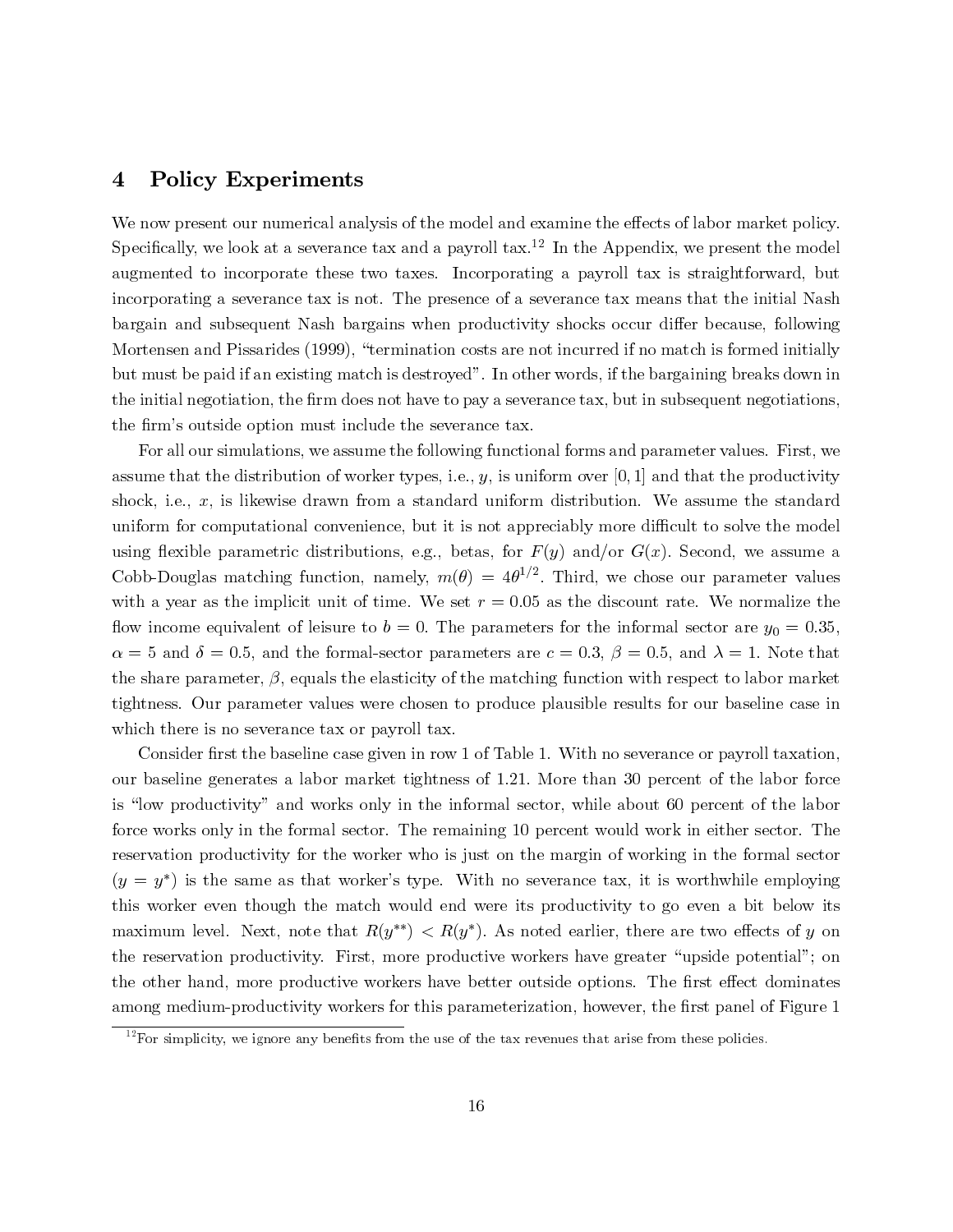### 4 Policy Experiments

We now present our numerical analysis of the model and examine the effects of labor market policy. Specifically, we look at a severance tax and a payroll tax.<sup>12</sup> In the Appendix, we present the model augmented to incorporate these two taxes. Incorporating a payroll tax is straightforward, but incorporating a severance tax is not. The presence of a severance tax means that the initial Nash bargain and subsequent Nash bargains when productivity shocks occur differ because, following Mortensen and Pissarides (1999), "termination costs are not incurred if no match is formed initially but must be paid if an existing match is destroyed". In other words, if the bargaining breaks down in the initial negotiation, the firm does not have to pay a severance tax, but in subsequent negotiations, the firm's outside option must include the severance tax.

For all our simulations, we assume the following functional forms and parameter values. First, we assume that the distribution of worker types, i.e.,  $y$ , is uniform over [0, 1] and that the productivity shock, i.e.,  $x$ , is likewise drawn from a standard uniform distribution. We assume the standard uniform for computational convenience, but it is not appreciably more difficult to solve the model using flexible parametric distributions, e.g., betas, for  $F(y)$  and/or  $G(x)$ . Second, we assume a Cobb-Douglas matching function, namely,  $m(\theta)=4\theta^{1/2}$ . Third, we chose our parameter values with a year as the implicit unit of time. We set  $r = 0.05$  as the discount rate. We normalize the flow income equivalent of leisure to  $b = 0$ . The parameters for the informal sector are  $y_0 = 0.35$ ,  $\alpha = 5$  and  $\delta = 0.5$ , and the formal-sector parameters are  $c = 0.3$ ,  $\beta = 0.5$ , and  $\lambda = 1$ . Note that the share parameter,  $\beta$ , equals the elasticity of the matching function with respect to labor market tightness. Our parameter values were chosen to produce plausible results for our baseline case in which there is no severance tax or payroll tax.

Consider first the baseline case given in row 1 of Table 1. With no severance or payroll taxation, our baseline generates a labor market tightness of 1.21. More than 30 percent of the labor force is "low productivity" and works only in the informal sector, while about 60 percent of the labor force works only in the formal sector. The remaining 10 percent would work in either sector. The reservation productivity for the worker who is just on the margin of working in the formal sector  $(y = y^*)$  is the same as that worker's type. With no severance tax, it is worthwhile employing this worker even though the match would end were its productivity to go even a bit below its maximum level. Next, note that  $R(y^{**}) < R(y^*)$ . As noted earlier, there are two effects of y on the reservation productivity. First, more productive workers have greater "upside potential"; on the other hand, more productive workers have better outside options. The first effect dominates among medium-productivity workers for this parameterization, however, the first panel of Figure 1

<sup>16 16 2</sup>For simplicity, we ignore any benefits from the use of the tax revenues that arise from these policies.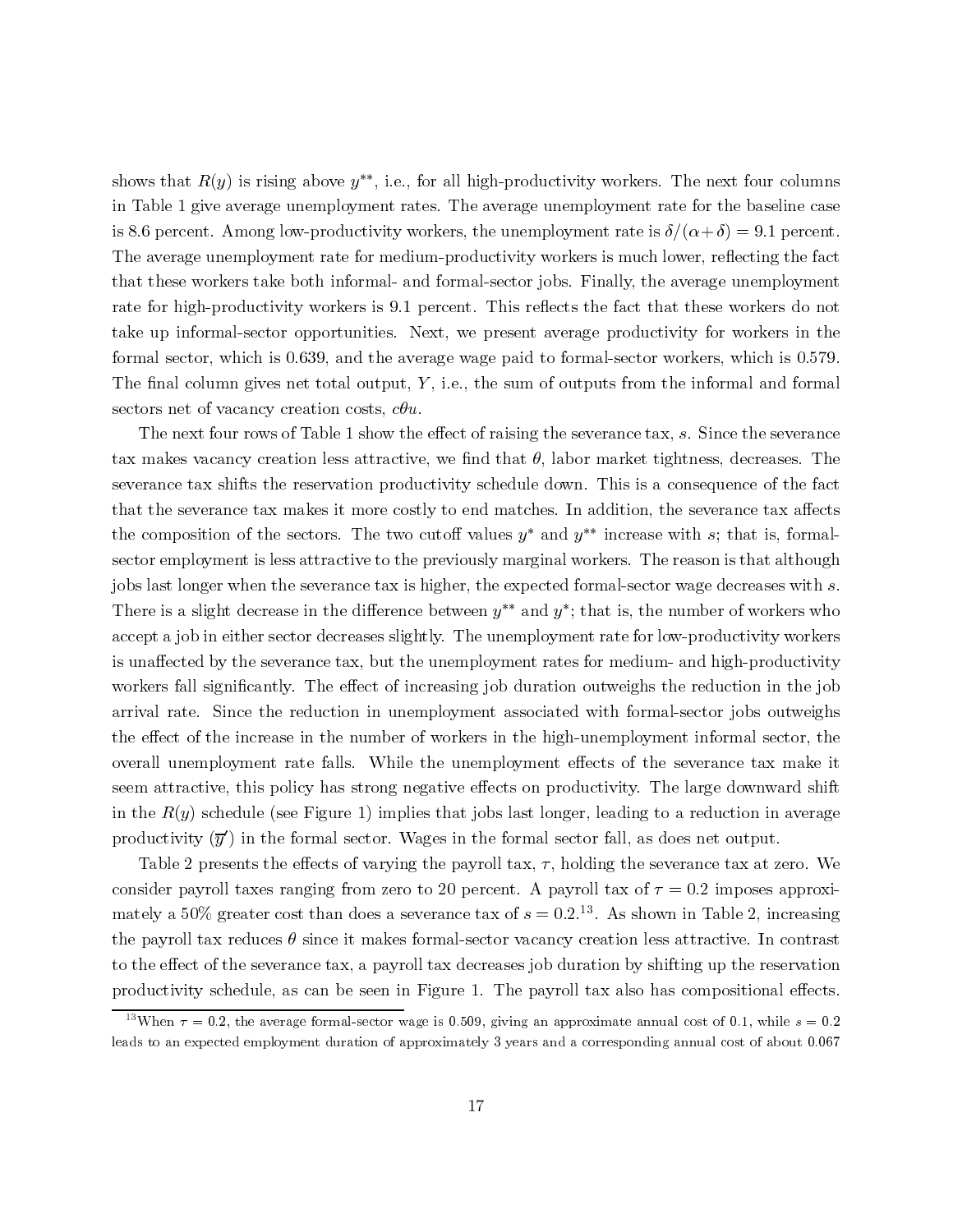shows that  $R(y)$  is rising above  $y^{**}$ , i.e., for all high-productivity workers. The next four columns in Table 1 give average unemployment rates. The average unemployment rate for the baseline case is 8.6 percent. Among low-productivity workers, the unemployment rate is  $\delta/(\alpha+\delta)=9.1$  percent. The average unemployment rate for medium-productivity workers is much lower, reflecting the fact that these workers take both informal- and formal-sector jobs. Finally, the average unemployment rate for high-productivity workers is 9.1 percent. This reflects the fact that these workers do not take up informal-sector opportunities. Next, we present average productivity for workers in the formal sector, which is 0.639, and the average wage paid to formal-sector workers, which is 0.579. The final column gives net total output,  $Y$ , i.e., the sum of outputs from the informal and formal sectors net of vacancy creation costs,  $c\theta u$ .

The next four rows of Table 1 show the effect of raising the severance tax, s. Since the severance tax makes vacancy creation less attractive, we find that  $\theta$ , labor market tightness, decreases. The severance tax shifts the reservation productivity schedule down. This is a consequence of the fact that the severance tax makes it more costly to end matches. In addition, the severance tax affects the composition of the sectors. The two cutoff values  $y^*$  and  $y^{**}$  increase with s; that is, formalsector employment is less attractive to the previously marginal workers. The reason is that although jobs last longer when the severance tax is higher, the expected formal-sector wage decreases with s. There is a slight decrease in the difference between  $y^{**}$  and  $y^*$ ; that is, the number of workers who accept a job in either sector decreases slightly. The unemployment rate for low-productivity workers is unaffected by the severance tax, but the unemployment rates for medium- and high-productivity workers fall significantly. The effect of increasing job duration outweighs the reduction in the job arrival rate. Since the reduction in unemployment associated with formal-sector jobs outweighs the effect of the increase in the number of workers in the high-unemployment informal sector, the overall unemployment rate falls. While the unemployment effects of the severance tax make it seem attractive, this policy has strong negative effects on productivity. The large downward shift in the  $R(y)$  schedule (see Figure 1) implies that jobs last longer, leading to a reduction in average productivity  $(\overline{y}')$  in the formal sector. Wages in the formal sector fall, as does net output.

Table 2 presents the effects of varying the payroll tax,  $\tau$ , holding the severance tax at zero. We consider payroll taxes ranging from zero to 20 percent. A payroll tax of  $\tau = 0.2$  imposes approximately a 50% greater cost than does a severance tax of  $s = 0.2$ .<sup>13</sup>. As shown in Table 2, increasing the payroll tax reduces  $\theta$  since it makes formal-sector vacancy creation less attractive. In contrast to the effect of the severance tax, a payroll tax decreases job duration by shifting up the reservation productivity schedule, as can be seen in Figure 1. The payroll tax also has compositional effects.

Twhen  $\tau = 0.2$ , the average formal-sector wage is 0.509, giving an approximate annual cost of 0.1, while  $s = 0.2$ <br>dds to an expected employment duration of approximately 3 years and a corresponding annual cost of about 0 leads to an expected employment duration of approximately 3 years and a corresponding annual cost of about 0.067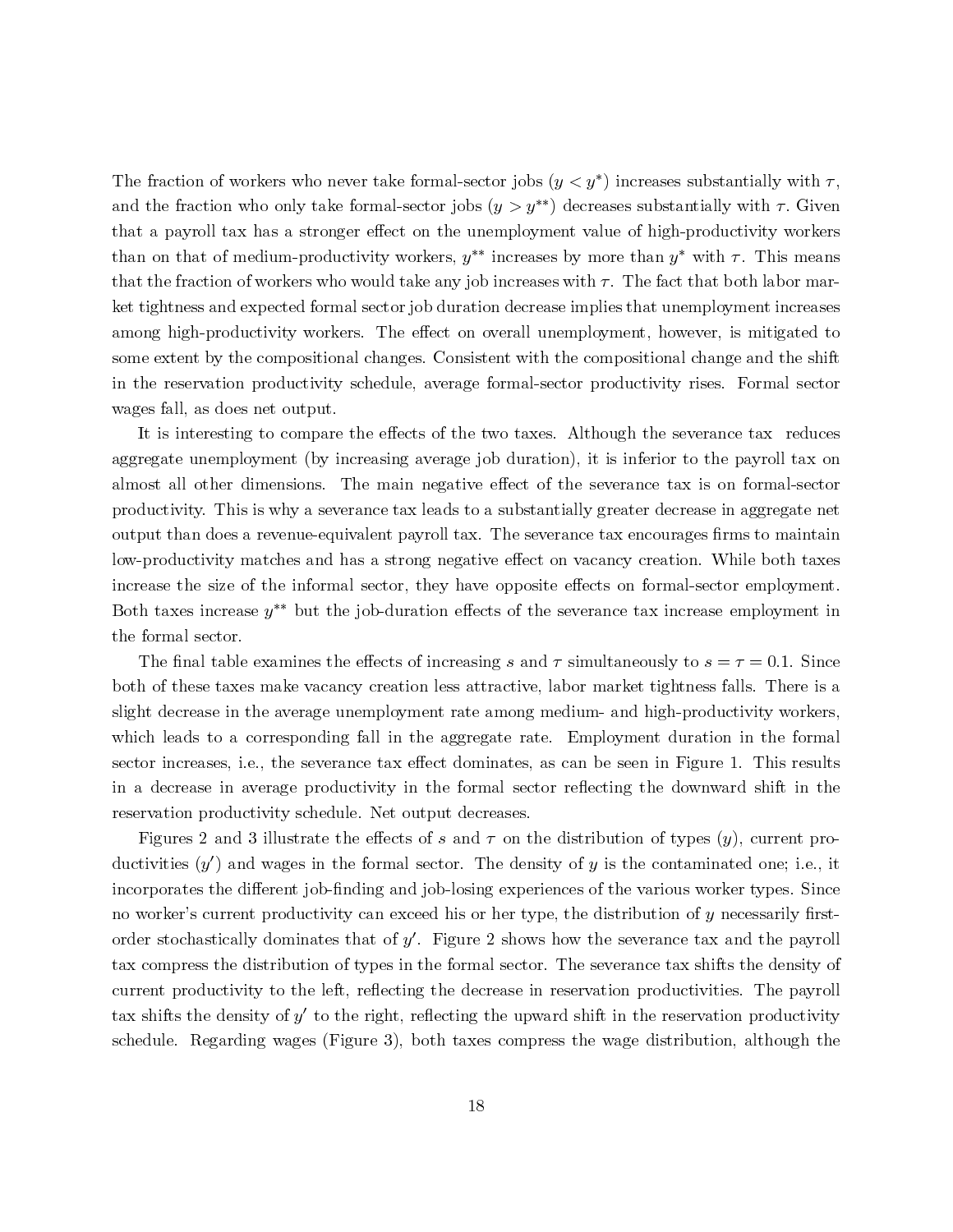The fraction of workers who never take formal-sector jobs  $(y < y^*)$  increases substantially with  $\tau$ , and the fraction who only take formal-sector jobs  $(y>y^{**})$  decreases substantially with  $\tau$ . Given that a payroll tax has a stronger effect on the unemployment value of high-productivity workers than on that of medium-productivity workers,  $y^{**}$  increases by more than  $y^*$  with  $\tau$ . This means that the fraction of workers who would take any job increases with  $\tau$ . The fact that both labor market tightness and expected formal sector job duration decrease implies that unemployment increases among high-productivity workers. The effect on overall unemployment, however, is mitigated to some extent by the compositional changes. Consistent with the compositional change and the shift in the reservation productivity schedule, average formal-sector productivity rises. Formal sector wages fall, as does net output.

It is interesting to compare the effects of the two taxes. Although the severance tax reduces aggregate unemployment (by increasing average job duration), it is inferior to the payroll tax on almost all other dimensions. The main negative effect of the severance tax is on formal-sector productivity. This is why a severance tax leads to a substantially greater decrease in aggregate net output than does a revenue-equivalent payroll tax. The severance tax encourages firms to maintain low-productivity matches and has a strong negative effect on vacancy creation. While both taxes increase the size of the informal sector, they have opposite effects on formal-sector employment. Both taxes increase  $y^*$  but the job-duration effects of the severance tax increase employment in the formal sector.

The final table examines the effects of increasing s and  $\tau$  simultaneously to  $s = \tau = 0.1$ . Since both of these taxes make vacancy creation less attractive, labor market tightness falls. There is a slight decrease in the average unemployment rate among medium- and high-productivity workers, which leads to a corresponding fall in the aggregate rate. Employment duration in the formal sector increases, i.e., the severance tax effect dominates, as can be seen in Figure 1. This results in a decrease in average productivity in the formal sector reflecting the downward shift in the reservation productivity schedule. Net output decreases.

Figures 2 and 3 illustrate the effects of s and  $\tau$  on the distribution of types  $(y)$ , current productivities  $(y')$  and wages in the formal sector. The density of  $y$  is the contaminated one; i.e., it incorporates the different job-finding and job-losing experiences of the various worker types. Since no worker's current productivity can exceed his or her type, the distribution of <sup>y</sup> necessarily firstorder stochastically dominates that of  $y'$ . Figure 2 shows how the severance tax and the payroll tax compress the distribution of types in the formal sector. The severance tax shifts the density of current productivity to the left, reflecting the decrease in reservation productivities. The payroll tax shifts the density of  $y'$  to the right, reflecting the upward shift in the reservation productivity schedule. Regarding wages (Figure 3), both taxes compress the wage distribution, although the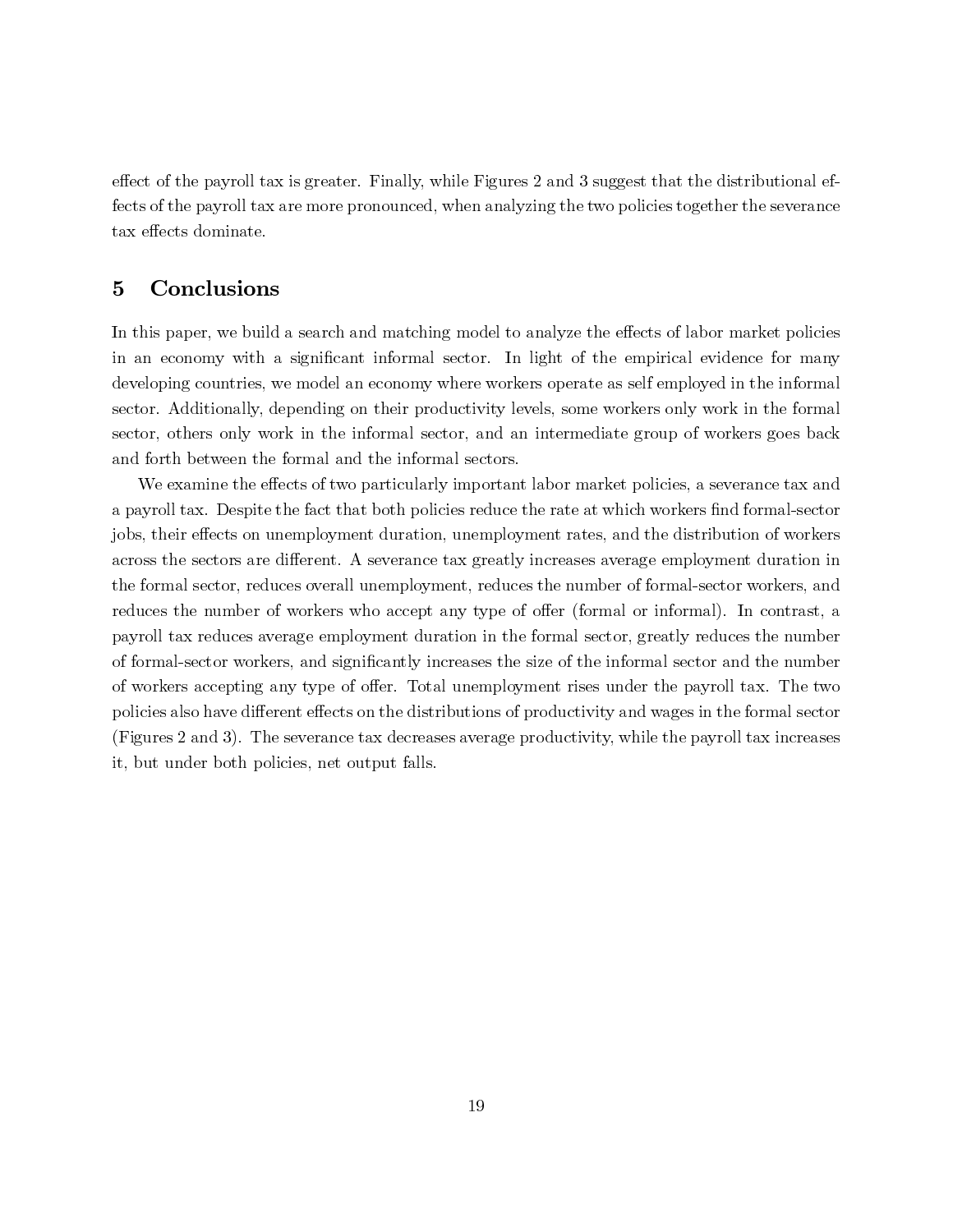effect of the payroll tax is greater. Finally, while Figures 2 and 3 suggest that the distributional effects of the payroll tax are more pronounced, when analyzing the two policies together the severance tax effects dominate.

# 5 Conclusions

In this paper, we build a search and matching model to analyze the effects of labor market policies in an economy with a significant informal sector. In light of the empirical evidence for many developing countries, we model an economy where workers operate as self employed in the informal sector. Additionally, depending on their productivity levels, some workers only work in the formal sector, others only work in the informal sector, and an intermediate group of workers goes back and forth between the formal and the informal sectors.

We examine the effects of two particularly important labor market policies, a severance tax and a payroll tax. Despite the fact that both policies reduce the rate at which workers find formal-sector jobs, their effects on unemployment duration, unemployment rates, and the distribution of workers across the sectors are different. A severance tax greatly increases average employment duration in the formal sector, reduces overall unemployment, reduces the number of formal-sector workers, and reduces the number of workers who accept any type of offer (formal or informal). In contrast, a payroll tax reduces average employment duration in the formal sector, greatly reduces the number of formal-sector workers, and significantly increases the size of the informal sector and the number of workers accepting any type of offer. Total unemployment rises under the payroll tax. The two policies also have different effects on the distributions of productivity and wages in the formal sector (Figures 2 and 3). The severance tax decreases average productivity, while the payroll tax increases it, but under both policies, net output falls.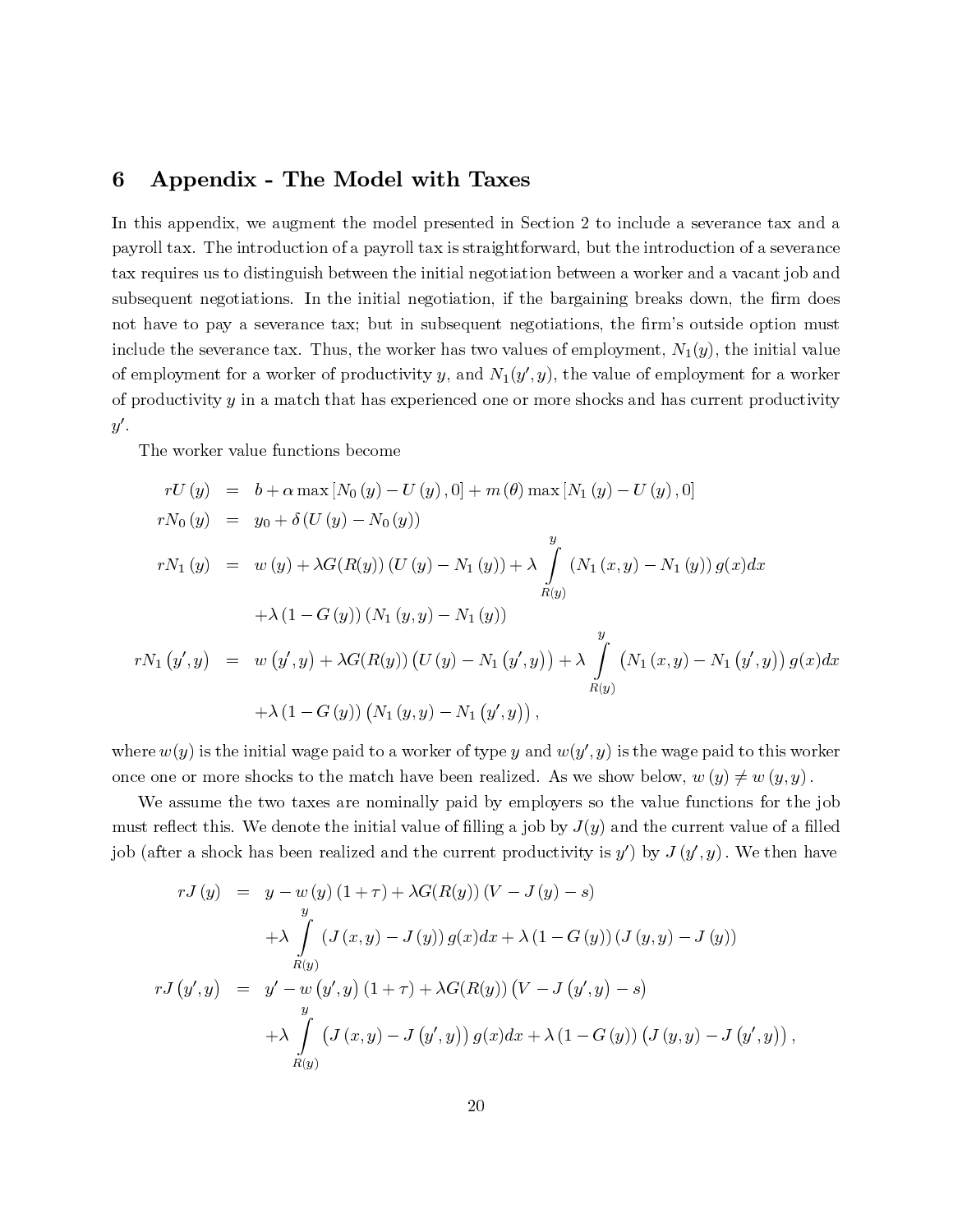## 6 Appendix - The Model with Taxes

In this appendix, we augment the model presented in Section 2 to include a severance tax and a payroll tax. The introduction of a payroll tax is straightforward, but the introduction of a severance tax requires us to distinguish between the initial negotiation between a worker and a vacant job and subsequent negotiations. In the initial negotiation, if the bargaining breaks down, the firm does not have to pay a severance tax; but in subsequent negotiations, the firm's outside option must of employment for a worker of productivity y, and  $N_1(y', y)$ , the value of employment for a worker of productivity  $y$  in a match that has experienced one or more shocks and has current productivity

The worker value functions become

include the sevarance tax. Thus, the worker has two values of employment, 
$$
N_1(y)
$$
, the initial value  
of employment for a worker of productivity  $y$ , and  $N_1(y', y)$ , the value of employment for a worker  
of productivity  $y$  in a match that has experienced one or more shocks and has current productivity  
 $y'$ .  
The worker value functions become  

$$
rU(y) = b + \alpha \max [N_0(y) - U(y), 0] + m(\theta) \max [N_1(y) - U(y), 0]
$$

$$
rN_0(y) = y_0 + \delta(U(y) - N_0(y))
$$

$$
rN_1(y) = w(y) + \lambda G(R(y)) (U(y) - N_1(y)) + \lambda \int_{R(y)}^y (N_1(x, y) - N_1(y)) g(x) dx
$$

$$
+ \lambda (1 - G(y)) (N_1(y, y) - N_1(y))
$$

$$
rN_1(y', y) = w(y', y) + \lambda G(R(y)) (U(y) - N_1(y', y)) + \lambda \int_{R(y)}^y (N_1(x, y) - N_1(y', y)) g(x) dx
$$

$$
+ \lambda (1 - G(y)) (N_1(y, y) - N_1(y', y)) + \lambda \int_{R(y)}^y (N_1(x, y) - N_1(y', y)) g(x) dx
$$

$$
+ \lambda (1 - G(y)) (N_1(y, y) - N_1(y', y)) + \lambda \int_{R(y)}^y (N_1(x, y) - N_1(y', y)) dx
$$
where  $w(y)$  is the initial wage paid to a worker of type  $y$  and  $w(y', y)$  is the wage paid to this worker  
once one or more shocks to the match have been realized. As we show below,  $w(y) \neq w(y, y)$ .  
where  $w(y)$  is the initial wage paid to a worker of type  $y$  and  $w(y', y)$  is the blue functions for the job  
must reflect this. We denote the initial value of filling  $q$  is by  $J(y)$  and the current value of a filled  
job (after a shock has been realized and the current productivity is  $y'$ ) by  $J(y', y)$ . We then have  

$$
rJ(y) = y - w(y) (1 + \tau) + \lambda G(R(y)) (V - J(y) - s)
$$

$$
+ \lambda \int_{R(y)}^y (J(x, y) - J(y')g(x) dx + \lambda (1 - G(y)) (J(y, y) - J(y), y)
$$

$$
+
$$

where  $w(y)$  is the initial wage paid to a worker of type y and  $w(y', y)$  is the wage paid to this worker once one or more shocks to the match have been realized. As we show below,  $w(y) \neq w(y, y)$ .

y<br>on<br>mpjo . reference on Western Transference on the set of the set of the set of the set of the set of the set of the set of the set of the set of the set of the set of the set of the set of the set of the set of the set of the set o  $y(x)dx$ <br>worker<br>y).<br>the job<br>a filled<br>n have We assume the two taxes are nominally paid by employers so the value functions for the job must reflect this. We denote the initial value of filling a job by  $J(y)$  and the current value of a filled job (after a shock has been realized and the current productivity is  $y'$ ) by

$$
I_{N_1}(y) = w(y) + \lambda G(K(y)) (U(y) - N_1(y)) + \lambda \int_{R(y)} (N_1(x, y) - N_1(y)) y(x) dx
$$
  
+  $\lambda (1 - G(y)) (N_1(y, y) - N_1(y))$   

$$
I_{N_2}(y)
$$
  
+  $\lambda (1 - G(y)) (N_1(y, y) - N_1(y', y)) + \lambda \int_{R(y)} (N_1(x, y) - N_1(y', y)) g(x) dx$   
+  $\lambda (1 - G(y)) (N_1(y, y) - N_1(y', y)),$   
 $w(y)$  is the initial wage paid to a worker of type y and  $w(y', y)$  is the wage paid to this worker  
one or more shocks to the match have been realized. As we show below,  $w(y) \neq w(y, y)$ .  
be assume the two taxes are nominally paid by employers so the value functions for the job  
reflect this. We denote the initial value of filling a job by  $J(y)$  and the current value of a filled  
filter a shock has been realized and the current productivity is  $y'$  by  $J(y', y)$ . We then have  
 $rJ(y) = y - w(y) (1 + r) + \lambda G(R(y)) (V - J(y) - s)$   
+  $\lambda \int_{R(y)} (J(x, y) - J(y)) g(x) dx + \lambda (1 - G(y)) (J(y, y) - J(y))$   
 $rJ(y', y) = y' - w(y', y) (1 + r) + \lambda G(R(y)) (V - J(y', y) - s)$   
+  $\lambda \int_{R(y)} (J(x, y) - J(y', y)) g(x) dx + \lambda (1 - G(y)) (J(y, y) - J(y', y)),$   
 $\lambda \int_{R(y)} (J(x, y) - J(y', y)) g(x) dx + \lambda (1 - G(y)) (J(y, y) - J(y', y)),$   
20

,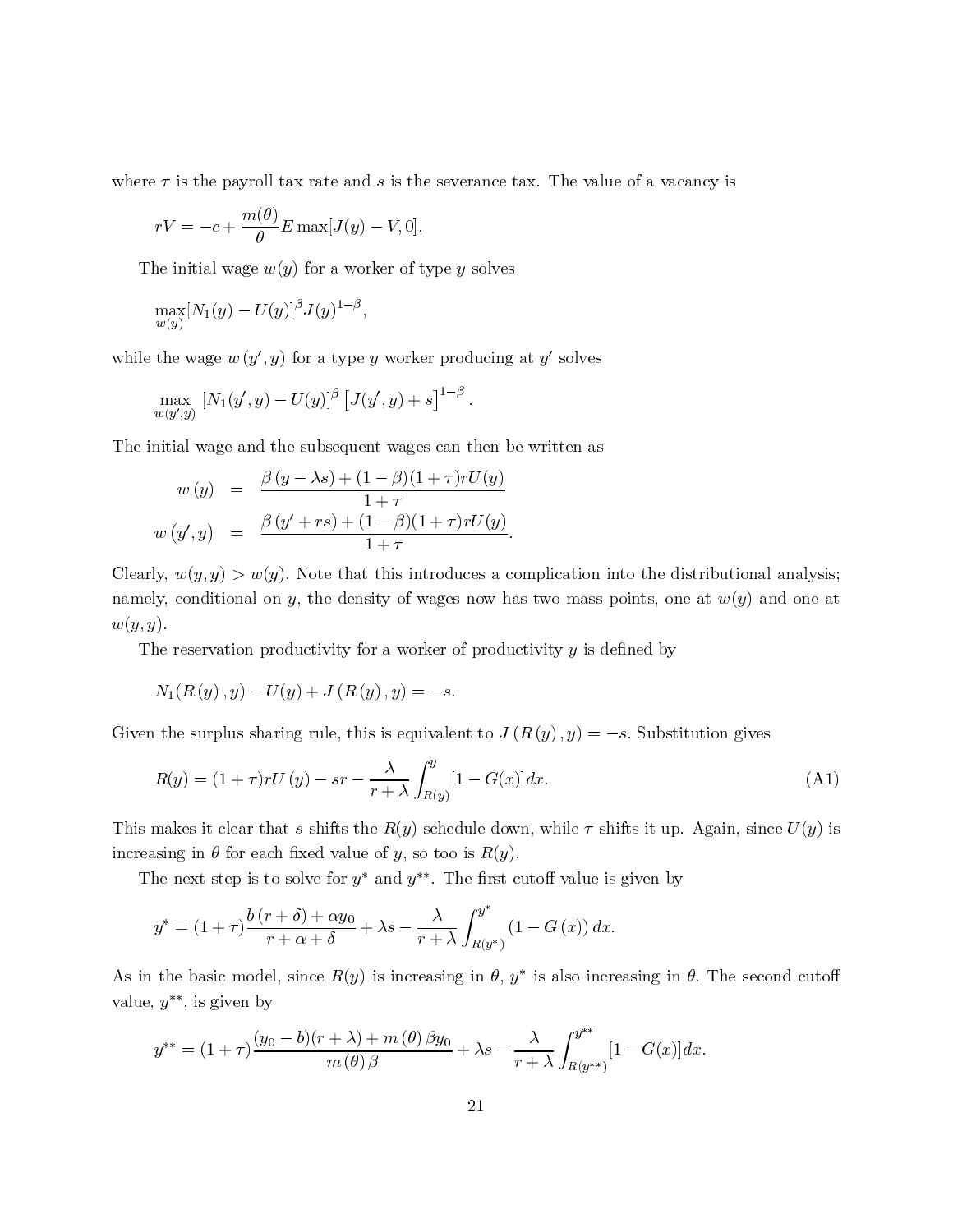where  $\tau$  is the payroll tax rate and s is the severance tax. The value of a vacancy is

$$
rV = -c + \frac{m(\theta)}{\theta} E \max[J(y) - V, 0].
$$

The initial wage  $w(y)$  for a worker of type y solves

$$
\max_{w(y)} [N_1(y) - U(y)]^{\beta} J(y)^{1-\beta},
$$

while the wage  $w(y', y)$  for a type y worker producing at y' solves

$$
\max_{w(y',y)} [N_1(y',y) - U(y)]^{\beta} [J(y',y) + s]^{1-\beta}.
$$

The initial wage and the subsequent wages can then be written as

$$
rV = -c + \frac{n\kappa(t)}{\theta} E \max[J(y) - V, 0].
$$
  
ne initial wage  $w(y)$  for a worker of type y solves  

$$
\max_{w(y)} [N_1(y) - U(y)]^{\beta} J(y)^{1-\beta},
$$
  
the wage  $w (y', y)$  for a type y worker producing at y'  

$$
\max_{w(y',y)} [N_1(y', y) - U(y)]^{\beta} [J(y', y) + s]^{1-\beta}.
$$
  
initial wage and the subsequent wages can then be wiri  
 $w (y) = \frac{\beta (y - \lambda s) + (1 - \beta)(1 + \tau)rU(y)}{1 + \tau}$   
 $w (y', y) = \frac{\beta (y' + rs) + (1 - \beta)(1 + \tau)rU(y)}{1 + \tau}.$   
ly,  $w(y, y) > w(y)$ . Note that this introduces a compli  
ly, conditional on y, the density of wages now has two  
ly.  
and to  $w$ , the density of wages now has two  
only, conditionality for a worker of productivity  
 $N_1(R(y), y) - U(y) + J(R(y), y) = -s$ .  
the surplus sharing rule, this is equivalent to  $J(R(y)$   
 $R(y) = (1 + \tau)rU(y) - sr - \frac{\lambda}{r + \lambda} \int_{R(y)}^y [1 - G(x)]dx.$   
makes it clear that s shifts the  $R(y)$  schedule down, we  
using in  $\theta$  for each fixed value of y, so too is  $R(y)$ .  
ne next step is to solve for  $y^*$  and  $y^{**}$ . The first cutoff  
 $y^* = (1 + \tau)\frac{b(r + \delta) + \alpha y_0}{r + \alpha + \delta} + \lambda s - \frac{\lambda}{r + \lambda} \int_{R(y^*)}^y (1 - C)$   
the basic model, since  $R(y)$  is increasing in  $\theta$ ,  $y^*$  is  
 $y^{**}$ , is given by  
 $y^{**} = (1 + \tau)\frac{(y_0 - b)(r + \lambda) + m(\theta) \beta y_0}{m(\theta) \beta} + \lambda s - \frac{\lambda}{r + \lambda} \lambda$ 

τ is the payroll tax rate and  $s$  is the severance tax. The value of a vacancy is<br>  $V = -c + \frac{m(\theta)}{\theta} T$  rank  $[Jy] = U(y)$ .  $[$ . 0).<br>
in initial wage  $w(y)$  for a weber of type y solves<br>
the wage  $w(y', y)$  for a type y weber prod  $-\frac{p}{1 + r}$ <br>+  $\tau$ <br>this introduces a<br>ty of wages now b Clearly,  $w(y, y) > w(y)$ . Note that this introduces a complication into the distributional analysis; namely, conditional on y, the density of wages now has two mass points, one at  $w(y)$  and one at  $w(y,y).$ 

The reservation productivity for a worker of productivity  $y$  is defined by

$$
N_1(R(y), y) - U(y) + J(R(y), y) = -s.
$$

Given the surplus sharing rule, this is equivalent to  $J(R(y), y) = -s$ . Substitution gives

Given the surplus sharing rule, this is equivalent to 
$$
J(R(y), y) = -s
$$
. Substitution gives  
\n
$$
R(y) = (1 + \tau) rU(y) - sr - \frac{\lambda}{r + \lambda} \int_{R(y)}^{y} [1 - G(x)] dx.
$$
\n(A1)  
\nThis makes it clear that s shifts the  $R(y)$  schedule down, while  $\tau$  shifts it up. Again, since  $U(y)$  is

 $-sr - \frac{\lambda}{r + \lambda} \int_{R(y)} [1 - G(x)] dx.$  (A1)<br>
shifts the  $R(y)$  schedule down, while  $\tau$  shifts it up. Again, since  $U(y)$  is<br>
d value of y, so too is  $R(y)$ .<br>
e for y\* and y\*\*. The first cutoff value is given by This makes it clear that s shifts the  $R(y)$  schedule down, while  $\tau$  shifts it up. Again, since  $U(y)$  is increasing in  $\theta$  for each fixed value of y, so too is  $R(y)$ .

The next step is to solve for  $y^*$  and  $y^{**}$ . The first cutoff value is given by

$$
y^* = (1+\tau)\frac{b(r+\delta)+\alpha y_0}{r+\alpha+\delta} + \lambda s - \frac{\lambda}{r+\lambda} \int_{R(y^*)}^{y^*} (1-G(x)) dx.
$$

 $-\frac{\lambda}{r+\lambda} \int_{R(y^*)} (1 - G(x)) dx.$ <br>
ncreasing in  $\theta$ ,  $y^*$  is also incr<br>
( $\theta$ )  $\beta y_0$   $\lambda$   $y^{**}$ As in the basic model, since  $R(y)$  is increasing in  $\theta$ ,  $y^*$  is also increasing in  $\theta$ . The second cutoff value,  $y^{**}$ , is given by

$$
y^{**} = (1+\tau)\frac{(y_0-b)(r+\lambda)+m(\theta)\beta y_0}{m(\theta)\beta} + \lambda s - \frac{\lambda}{r+\lambda}\int_{R(y^{**})}^{y^{**}} [1-G(x)]dx.
$$
  
21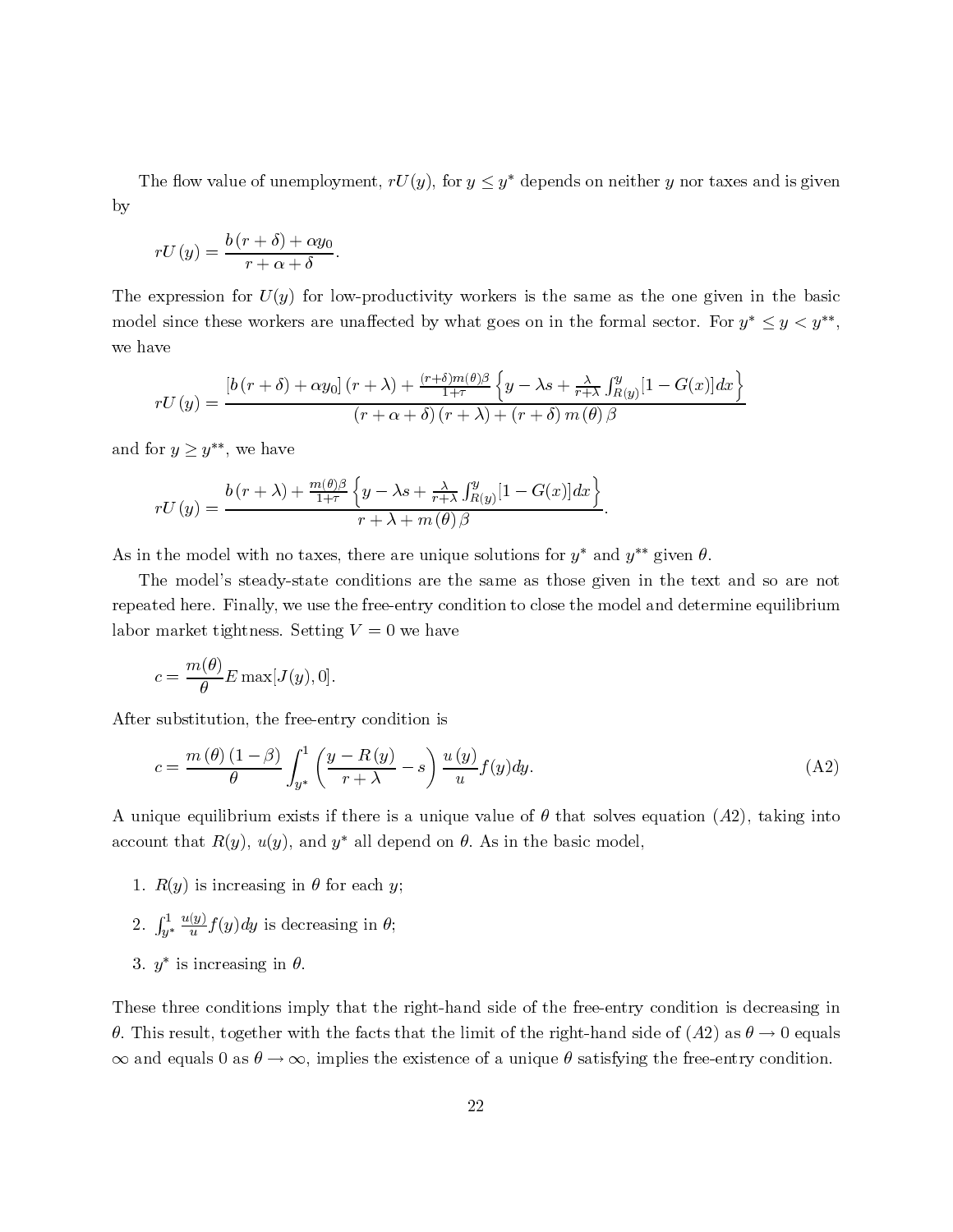The flow value of unemployment,  $rU(y)$ , for  $y \leq y^*$  depends on neither y nor taxes and is given by

$$
rU(y) = \frac{b(r+\delta) + \alpha y_0}{r + \alpha + \delta}.
$$

The expression for  $U(y)$  for low-productivity workers is the same as the one given in the basic model since these workers are unaffected by what goes on in the formal sector. For  $y^* \leq y < y^{**}$ , we have  $\overline{\phantom{a}}$ 

$$
rU(y) = \frac{\left[b(r+\delta) + \alpha y_0\right](r+\lambda) + \frac{(r+\delta)m(\theta)\beta}{1+\tau} \left\{y-\lambda s + \frac{\lambda}{r+\lambda} \int_{R(y)}^y [1-G(x)]dx\right\}}{(r+\alpha+\delta)(r+\lambda) + (r+\delta)m(\theta)\beta}
$$
  
or  $y \ge y^{**}$ , we have  

$$
b(r+\lambda) + \frac{m(\theta)\beta}{1+\lambda} \left\{y-\lambda s + \frac{\lambda}{r+\lambda} \int_{R(y)}^y [1-G(x)]dx\right\}
$$

and for  $y \geq y^{**}$ , we have

$$
rU(y) = \frac{b(r + \lambda) + \frac{m(\theta)\beta}{1+\tau} \left\{y - \lambda s + \frac{\lambda}{r+\lambda} \int_{R(y)}^y [1 - G(x)] dx\right\}}{r + \lambda + m(\theta)\beta}.
$$

As in the model with no taxes, there are unique solutions for  $y^*$  and  $y^{**}$  given  $\theta$ .

The model's steady-state conditions are the same as those given in the text and so are not repeated here. Finally, we use the free-entry condition to close the model and determine equilibrium labor market tightness. Setting  $V = 0$  we have

$$
c = \frac{m(\theta)}{\theta} E \max[J(y), 0].
$$

After substitution, the free-entry condition is

$$
c = \frac{m(\theta)(1-\beta)}{\theta} \int_{y^*}^1 \left(\frac{y-R(y)}{r+\lambda} - s\right) \frac{u(y)}{u} f(y) dy.
$$
 (A2)  
ique equilibrium exists if there is a unique value of  $\theta$  that solves equation (A2), taking into  
nt that  $R(y)$ ,  $u(y)$ , and  $y^*$  all depend on  $\theta$ . As in the basic model,

A unique equilibrium exists if there is a unique value of  $\theta$  that solves equation  $(A2)$ , taking into account that  $R(y)$ ,  $u(y)$ , and  $y^*$  all depend on  $\theta$ . As in the basic model,

- 1.  $R(y)$  is increasing in  $\theta$  for each y;
- 2.  $\int_{y^*}^1$  $\frac{u(y)}{u} f(y) dy$  is decreasing in  $\theta$ ;
- 3.  $y^*$  is increasing in  $\theta$ .

These three conditions imply that the right-hand side of the free-entry condition is decreasing in θ. This result, together with the facts that the limit of the right-hand side of (A2) as  $θ \rightarrow 0$  equals  $\infty$  and equals 0 as  $\theta \to \infty$ , implies the existence of a unique  $\theta$  satisfying the free-entry condition.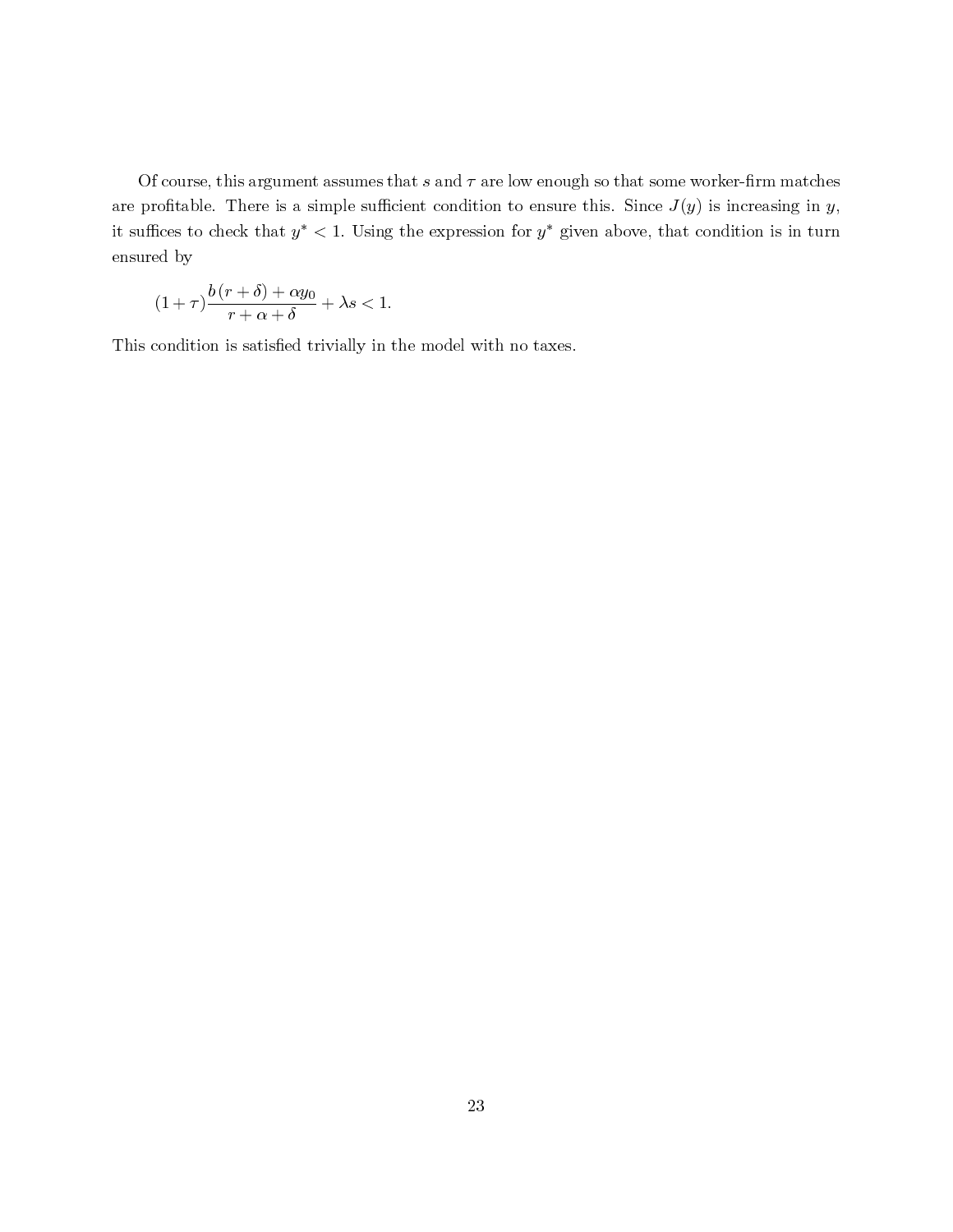Of course, this argument assumes that s and  $\tau$  are low enough so that some worker-firm matches are profitable. There is a simple sufficient condition to ensure this. Since  $J(y)$  is increasing in y, it suffices to check that  $y^*$  < 1. Using the expression for  $y^*$  given above, that condition is in turn ensured by

$$
(1+\tau)\frac{b(r+\delta)+\alpha y_0}{r+\alpha+\delta}+\lambda s<1.
$$

This condition is satisfied trivially in the model with no taxes.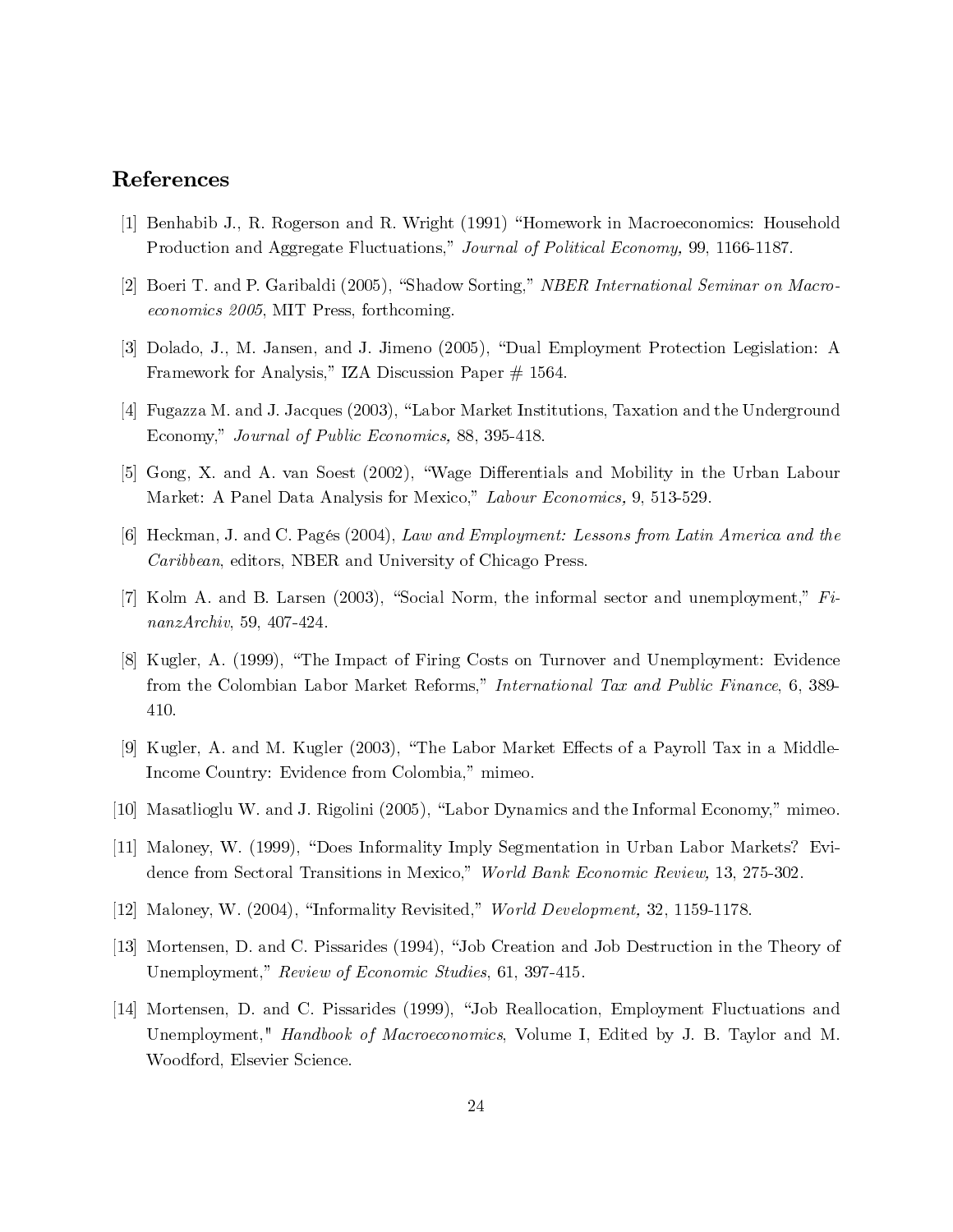# References

- [1] Benhabib J., R. Rogerson and R. Wright (1991) "Homework in Macroeconomics: Household Production and Aggregate Fluctuations," Journal of Political Economy, 99, 1166-1187.
- [2] Boeri T. and P. Garibaldi (2005), "Shadow Sorting," NBER International Seminar on Macroeconomics 2005, MIT Press, forthcoming.
- [3] Dolado, J., M. Jansen, and J. Jimeno (2005), "Dual Employment Protection Legislation: A Framework for Analysis," IZA Discussion Paper  $\#$  1564.
- [4] Fugazza M. and J. Jacques (2003), "Labor Market Institutions, Taxation and the Underground Economy," Journal of Public Economics, 88, 395-418.
- [5] Gong, X. and A. van Soest (2002), "Wage Differentials and Mobility in the Urban Labour Market: A Panel Data Analysis for Mexico," Labour Economics, 9, 513-529.
- [6] Heckman, J. and C. Pagés (2004), Law and Employment: Lessons from Latin America and the Caribbean, editors, NBER and University of Chicago Press.
- [7] Kolm A. and B. Larsen (2003), "Social Norm, the informal sector and unemployment," FinanzArchiv, 59, 407-424.
- [8] Kugler, A. (1999), "The Impact of Firing Costs on Turnover and Unemployment: Evidence from the Colombian Labor Market Reforms," International Tax and Public Finance, 6, 389- 410.
- [9] Kugler, A. and M. Kugler (2003), "The Labor Market Effects of a Payroll Tax in a Middle-Income Country: Evidence from Colombia," mimeo.
- [10] Masatlioglu W. and J. Rigolini (2005), "Labor Dynamics and the Informal Economy," mimeo.
- [11] Maloney, W. (1999), "Does Informality Imply Segmentation in Urban Labor Markets? Evidence from Sectoral Transitions in Mexico," World Bank Economic Review, 13, 275-302.
- [12] Maloney, W. (2004), "Informality Revisited," World Development, 32, 1159-1178.
- [13] Mortensen, D. and C. Pissarides (1994), "Job Creation and Job Destruction in the Theory of Unemployment," Review of Economic Studies, 61, 397-415.
- [14] Mortensen, D. and C. Pissarides (1999), "Job Reallocation, Employment Fluctuations and Unemployment," Handbook of Macroeconomics, Volume I, Edited by J. B. Taylor and M. Woodford, Elsevier Science.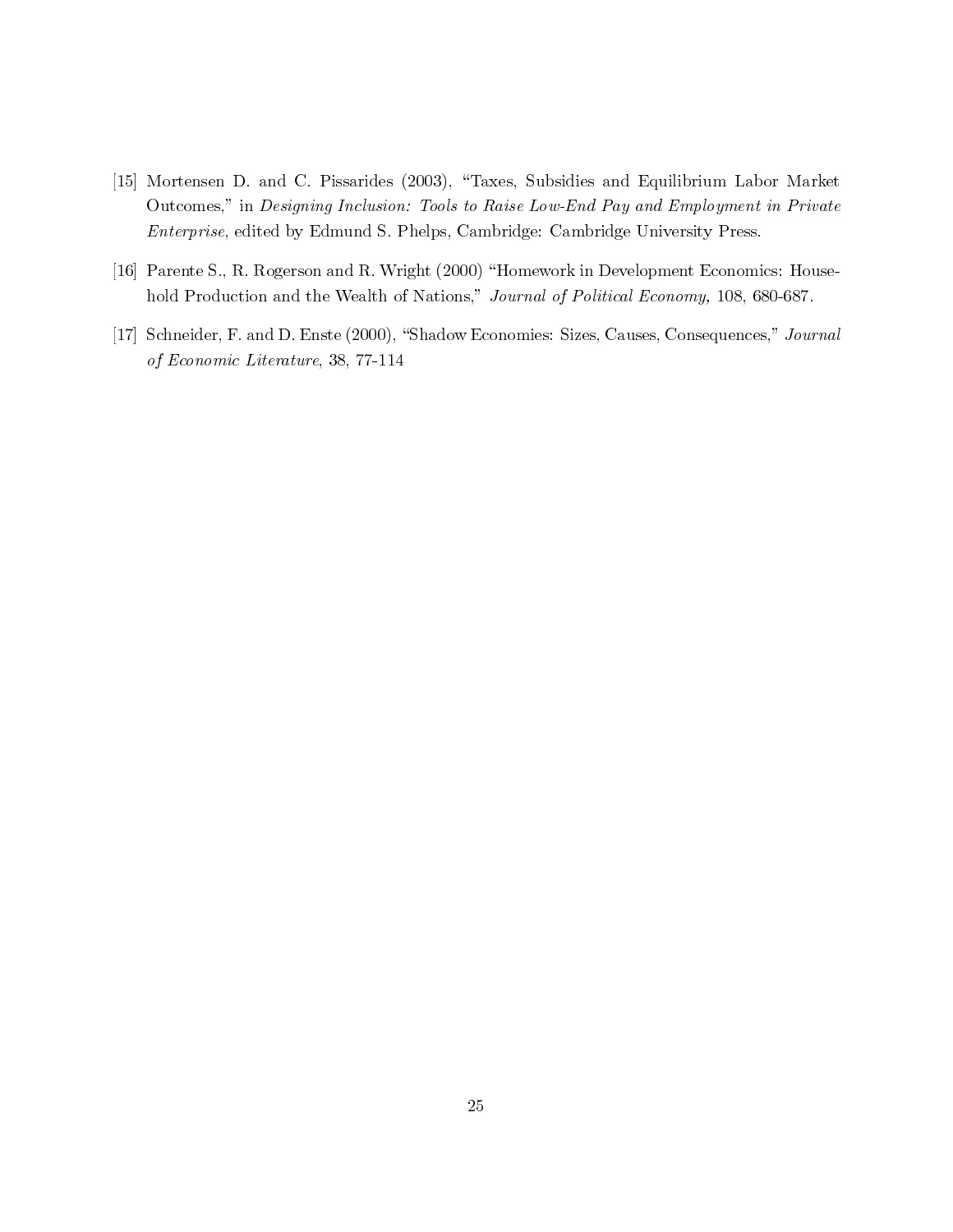- [15] Mortensen D. and C. Pissarides (2003), "Taxes, Subsidies and Equilibrium Labor Market Outcomes," in Designing Inclusion: Tools to Raise Low-End Pay and Employment in Private Enterprise, edited by Edmund S. Phelps, Cambridge: Cambridge University Press.
- [16] Parente S., R. Rogerson and R. Wright (2000) "Homework in Development Economics: Household Production and the Wealth of Nations," Journal of Political Economy, 108, 680-687.
- [17] Schneider, F. and D. Enste (2000), "Shadow Economies: Sizes, Causes, Consequences," Journal of Economic Literature, 38, 77-114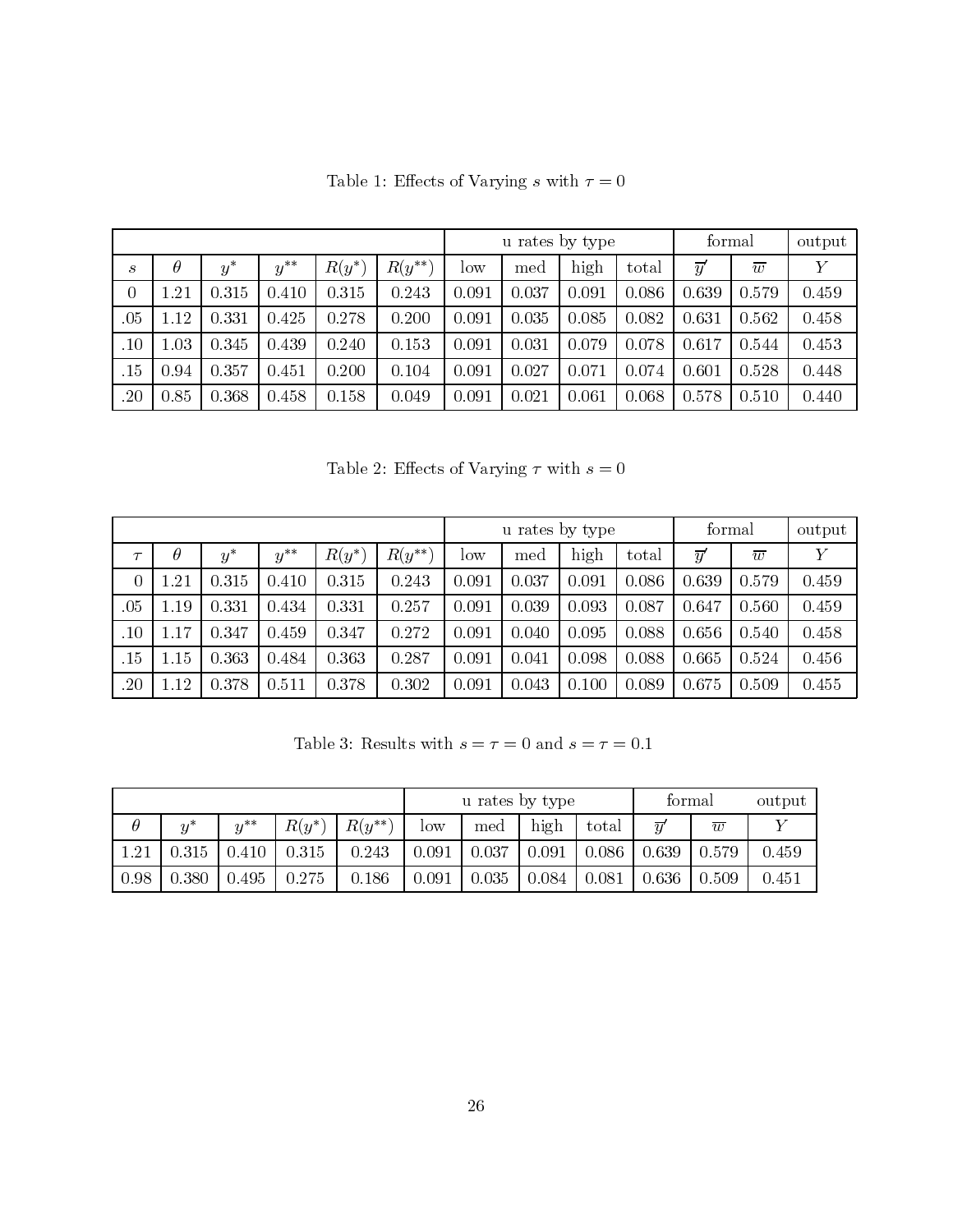|                |          |       |                |          |             | u rates by type |       |       |       | formal         |                | output         |
|----------------|----------|-------|----------------|----------|-------------|-----------------|-------|-------|-------|----------------|----------------|----------------|
| S              | $\theta$ | $y^*$ | $y^{\ast\ast}$ | $R(y^*)$ | $R(y^{**})$ | low             | med   | high  | total | $\overline{y}$ | $\overline{w}$ | $\overline{Y}$ |
| $\overline{0}$ | .21      | 0.315 | 0.410          | 0.315    | 0.243       | 0.091           | 0.037 | 0.091 | 0.086 | 0.639          | 0.579          | 0.459          |
| .05            | .12      | 0.331 | 0.425          | 0.278    | 0.200       | 0.091           | 0.035 | 0.085 | 0.082 | 0.631          | 0.562          | 0.458          |
| .10            | .03      | 0.345 | 0.439          | 0.240    | 0.153       | 0.091           | 0.031 | 0.079 | 0.078 | 0.617          | 0.544          | 0.453          |
| .15            | 0.94     | 0.357 | 0.451          | 0.200    | 0.104       | 0.091           | 0.027 | 0.071 | 0.074 | 0.601          | 0.528          | 0.448          |
| .20            | 0.85     | 0.368 | 0.458          | 0.158    | 0.049       | 0.091           | 0.021 | 0.061 | 0.068 | 0.578          | 0.510          | 0.440          |

Table 1: Effects of Varying  $s$  with  $\tau=0$ 

Table 2: Effects of Varying  $\tau$  with  $s=0$ 

|                |          |       |          |          |             | u rates by type |       |       |       | formal          |                | output         |
|----------------|----------|-------|----------|----------|-------------|-----------------|-------|-------|-------|-----------------|----------------|----------------|
| $\tau$         | $\theta$ | $y^*$ | $y^{**}$ | $R(y^*)$ | $R(y^{**})$ | low             | med   | high  | total | $\overline{y}'$ | $\overline{w}$ | $\overline{Y}$ |
| $\overline{0}$ | .21      | 0.315 | 0.410    | 0.315    | 0.243       | 0.091           | 0.037 | 0.091 | 0.086 | 0.639           | 0.579          | 0.459          |
| .05            | .19      | 0.331 | 0.434    | 0.331    | 0.257       | 0.091           | 0.039 | 0.093 | 0.087 | 0.647           | 0.560          | 0.459          |
| .10            | .17      | 0.347 | 0.459    | 0.347    | 0.272       | 0.091           | 0.040 | 0.095 | 0.088 | 0.656           | 0.540          | 0.458          |
| .15            | .15      | 0.363 | 0.484    | 0.363    | 0.287       | 0.091           | 0.041 | 0.098 | 0.088 | 0.665           | 0.524          | 0.456          |
| .20            | .12      | 0.378 | 0.511    | 0.378    | 0.302       | 0.091           | 0.043 | 0.100 | 0.089 | 0.675           | 0.509          | 0.455          |

Table 3: Results with  $s=\tau=0$  and  $s=\tau=0.1$ 

|      |       |              |          |             |        | u rates by type |       | formal |                 | output         |       |
|------|-------|--------------|----------|-------------|--------|-----------------|-------|--------|-----------------|----------------|-------|
|      | $u^*$ | $y^{**}$     | $R(y^*)$ | $R(y^{**})$ | $\log$ | med             | high  | total  | $\overline{y}'$ | $\overline{w}$ |       |
| 1.21 | 0.315 | $\mid$ 0.410 | 0.315    | 0.243       | 0.091  | 0.037           | 0.091 | 0.086  | 0.639           | 0.579          | 0.459 |
| 0.98 | 0.380 | 0.495        | 0.275    | 0.186       | 0.091  | 0.035           | 0.084 | 0.081  | 0.636           | 0.509          | 0.451 |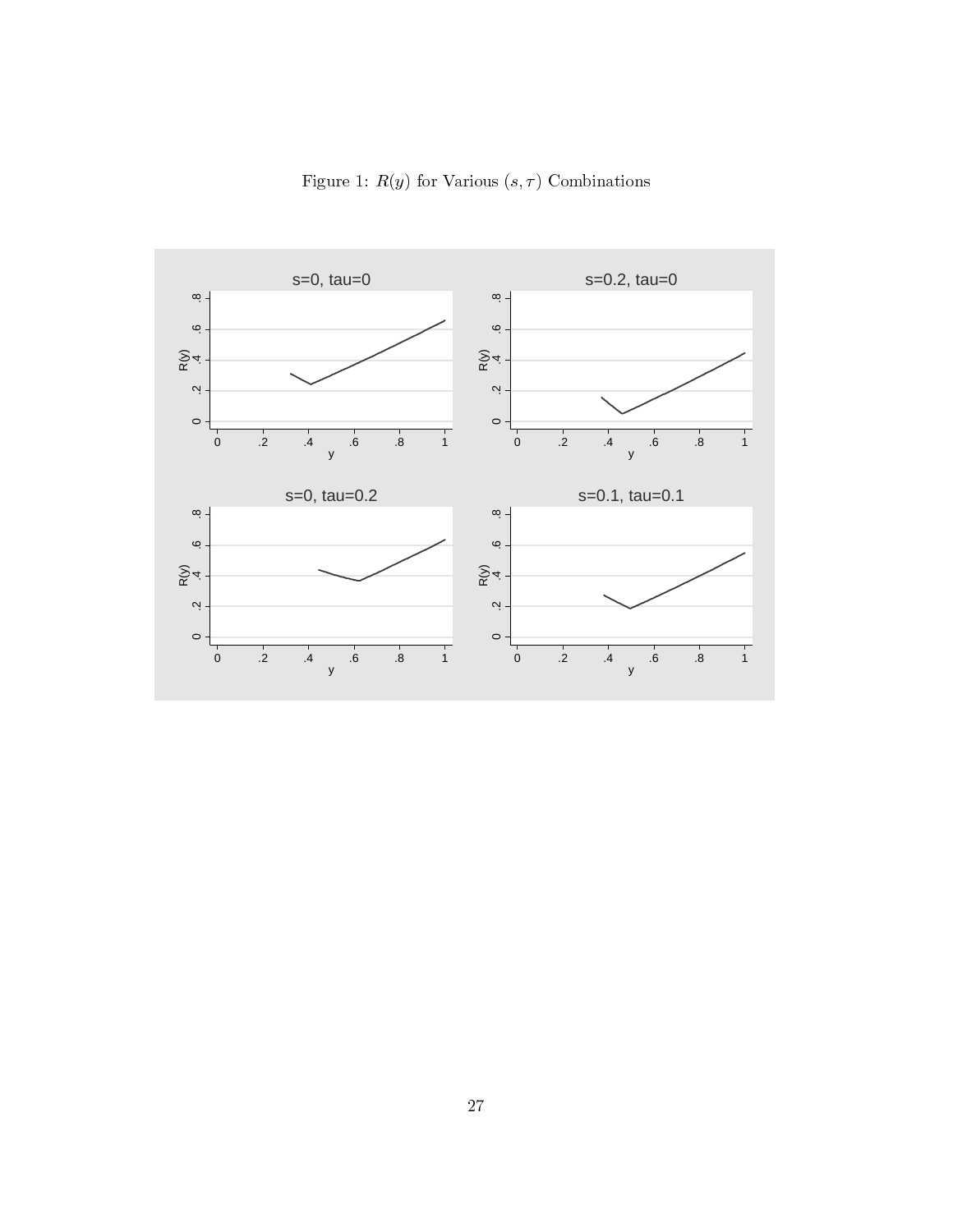

Figure 1:  $R(y)$  for Various  $(s, \tau)$  Combinations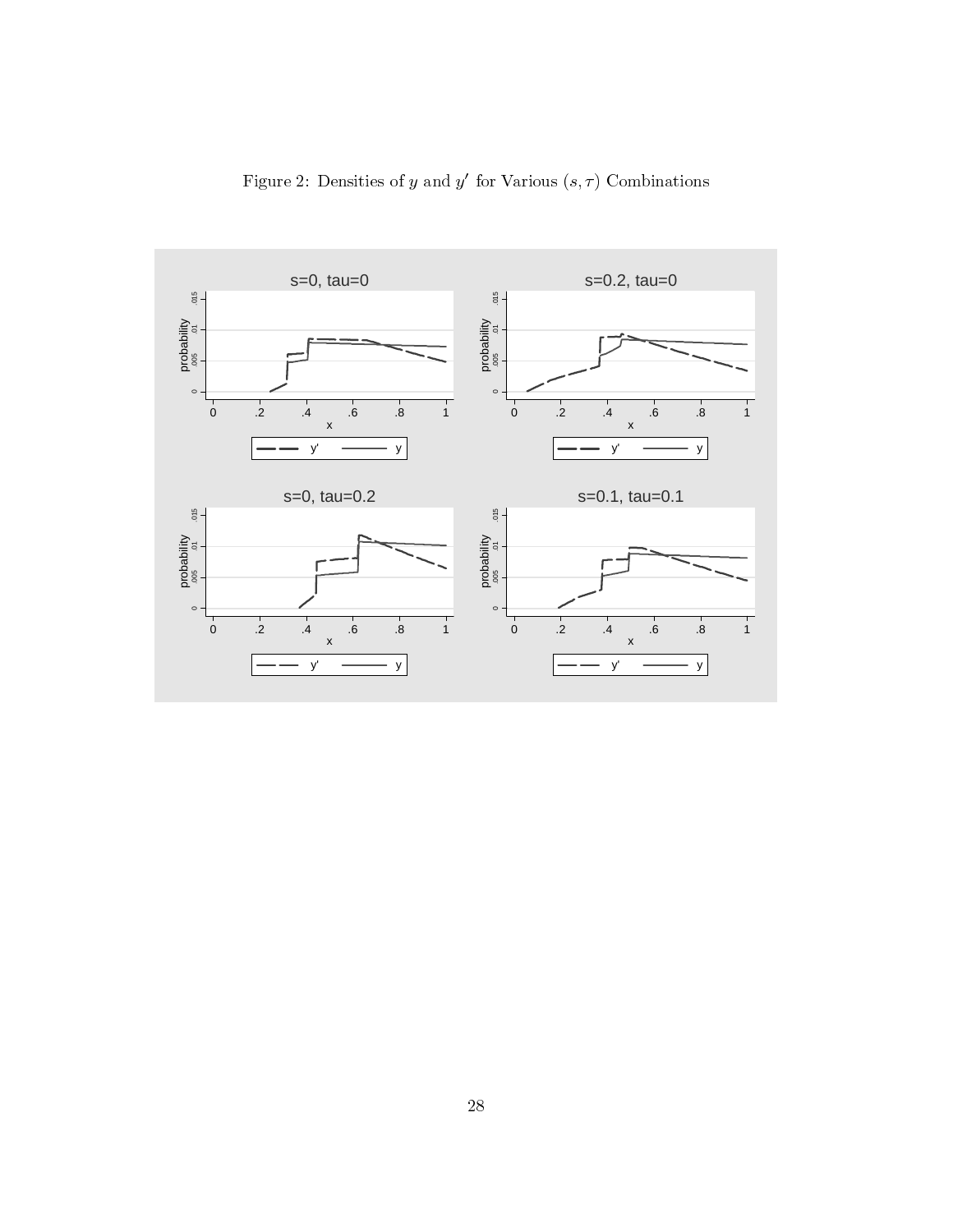

Figure 2: Densities of y and y' for Various  $(s, \tau)$  Combinations